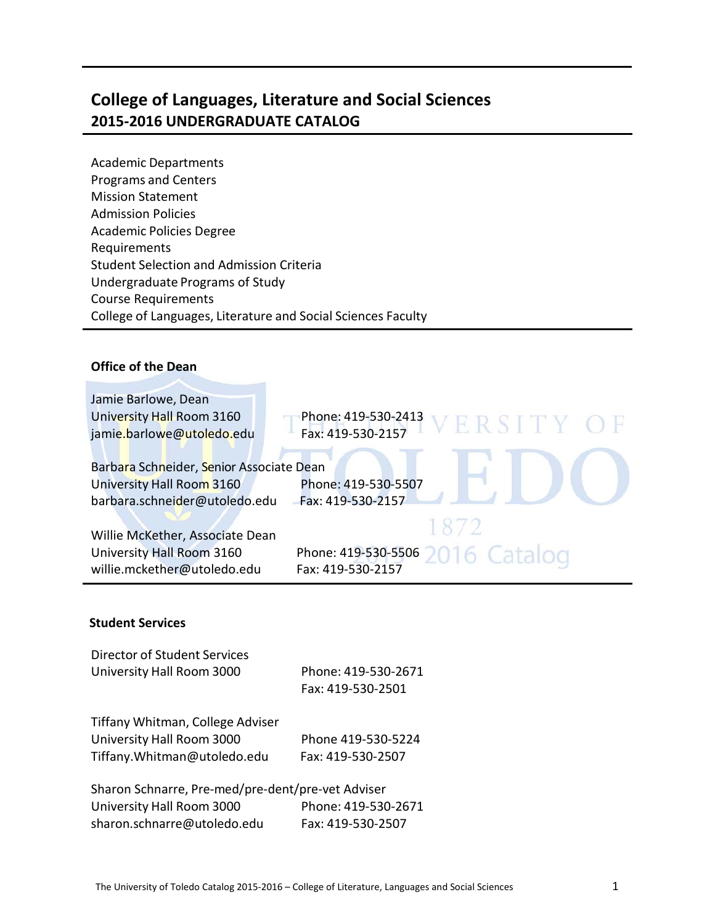### **College of Languages, Literature and Social Sciences 2015-2016 UNDERGRADUATE CATALOG**

Academic Departments Programs and Centers Mission Statement Admission Policies Academic Policies Degree Requirements Student Selection and Admission Criteria Undergraduate Programs of Study Course Requirements College of Languages, Literature and Social Sciences Faculty

#### **Office of the Dean**

| Jamie Barlowe, Dean                                                                                    | Phone: 419-530-2413                      |
|--------------------------------------------------------------------------------------------------------|------------------------------------------|
| University Hall Room 3160                                                                              | VERSITY OF                               |
| jamie.barlowe@utoledo.edu                                                                              | Fax: 419-530-2157                        |
| Barbara Schneider, Senior Associate Dean<br>University Hall Room 3160<br>barbara.schneider@utoledo.edu | Phone: 419-530-5507<br>Fax: 419-530-2157 |
| Willie McKether, Associate Dean                                                                        | 1872                                     |
| University Hall Room 3160                                                                              | Phone: 419-530-5506 2016 Catalog         |
| willie.mckether@utoledo.edu                                                                            | Fax: 419-530-2157                        |

#### **Student Services**

| Director of Student Services<br>University Hall Room 3000                                                     | Phone: 419-530-2671<br>Fax: 419-530-2501 |
|---------------------------------------------------------------------------------------------------------------|------------------------------------------|
| Tiffany Whitman, College Adviser<br>University Hall Room 3000<br>Tiffany. Whitman@utoledo.edu                 | Phone 419-530-5224<br>Fax: 419-530-2507  |
| Sharon Schnarre, Pre-med/pre-dent/pre-vet Adviser<br>University Hall Room 3000<br>sharon.schnarre@utoledo.edu | Phone: 419-530-2671<br>Fax: 419-530-2507 |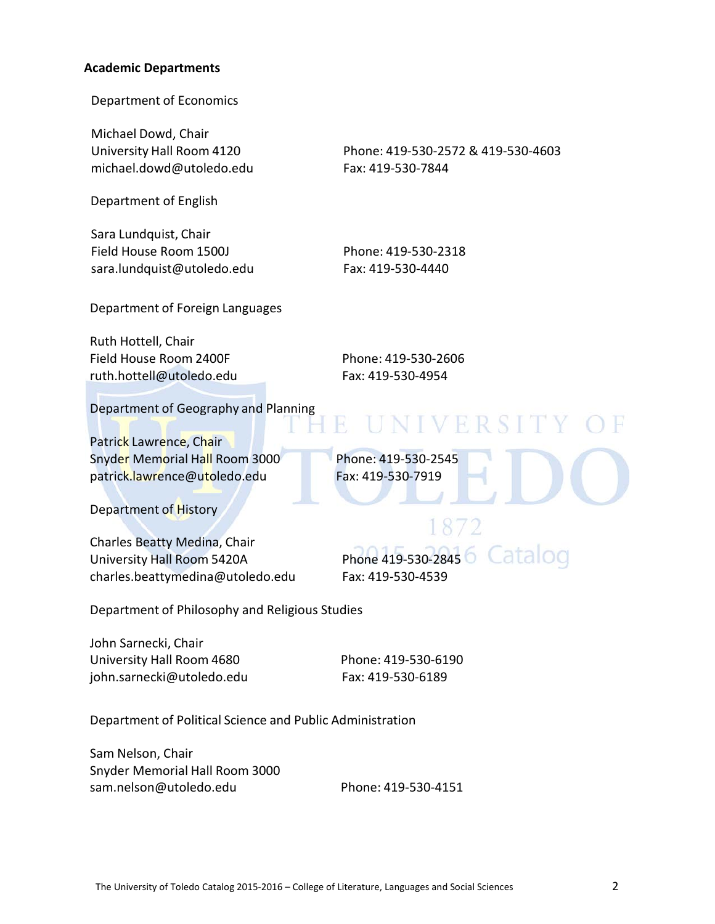#### **Academic Departments**

Department of Economics

Michael Dowd, Chair [michael.dowd@utoledo.edu](mailto:michael.dowd@utoledo.edu) Fax: 419-530-7844

Department of English

Sara Lundquist, Chair Field House Room 1500J Phone: 419-530-2318 [sara.lundquist@utoledo.edu](mailto:sara.lundquist@utoledo.edu) Fax: 419-530-4440

University Hall Room 4120 Phone: 419-530-2572 & 419-530-4603

Department of Foreign Languages

Ruth Hottell, Chair Field House Room 2400F Phone: 419-530-2606 [ruth.hottell@utoledo.edu](mailto:ruth.hottell@utoledo.edu) Fax: 419-530-4954

Department of Geography and Planning

Patrick Lawrence, Chair Snyder Memorial Hall Room 3000 Phone: 419-530-2545 [patrick.lawrence@utoledo.edu](mailto:patrick.lawrence@utoledo.edu) Fax: 419-530-7919

Department of History

Charles Beatty Medina, Chair University Hall Room 5420A Phone 419-530-2845 charles.beattymedina@utoledo.edu Fax: 419-530-4539

Catalog

UNIVERSITY

Department of Philosophy and Religious Studies

John Sarnecki, Chair University Hall Room 4680 Phone: 419-530-6190 [john.sarnecki@utoledo.edu](mailto:john.sarnecki@utoledo.edu) Fax: 419-530-6189

Department of Political Science and Public Administration

Sam Nelson, Chair Snyder Memorial Hall Room 3000 sam.nelson@utoledo.edu Phone: 419-530-4151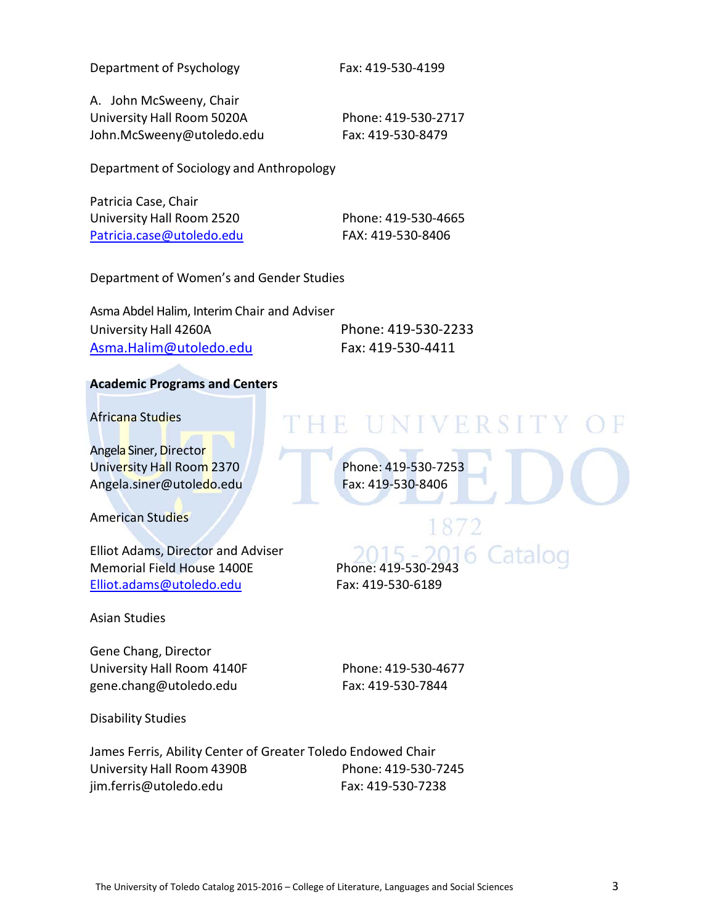Department of Psychology Fax: 419-530-4199

A. John McSweeny, Chair University Hall Room 5020A Phone: 419-530-2717 [John.McSweeny@utoledo.edu](mailto:jjasper@utoledo.edu) Fax: 419-530-8479

Department of Sociology and Anthropology

Patricia Case, Chair University Hall Room 2520 Phone: 419-530-4665 [Patricia.case@utoledo.edu](mailto:Patricia.case@utoledo.edu) FAX: 419-530-8406

Department of Women's and Gender Studies

Asma Abdel Halim, Interim Chair and Adviser University Hall 4260A Phone: 419-530-2233 [Asma.Halim@utoledo.edu](mailto:Asma.Halim@utoledo.edu) Fax: 419-530-4411

#### **Academic Programs and Centers**

Africana Studies

Angela Siner, Director University Hall Room 2370 Phone: 419-530-7253 Angela.siner@utoledo.edu [F](mailto:rubin.patterson@utoledo.edu)ax: 419-530-8406

American Studies

Elliot Adams, Director and Adviser Memorial Field House 1400E Phone: 419-530-2943 [Elliot.adams@utoledo.edu](mailto:Elliot.adams@utoledo.edu) Fax: 419-530-6189

Asian Studies

Gene Chang, Director University Hall Room 4140F Phone: 419-530-4677 [gene.chang@utoledo.edu](mailto:gene.chang@utoledo.edu) Fax: 419-530-7844

Disability Studies

THE UNIVERSITY OF

 $(115 -$ 

James Ferris, Ability Center of Greater Toledo Endowed Chair University Hall Room 4390B Phone: 419-530-7245 [jim.ferris@utoledo.edu](mailto:jim.ferris@utoledo.edu) Fax: 419-530-7238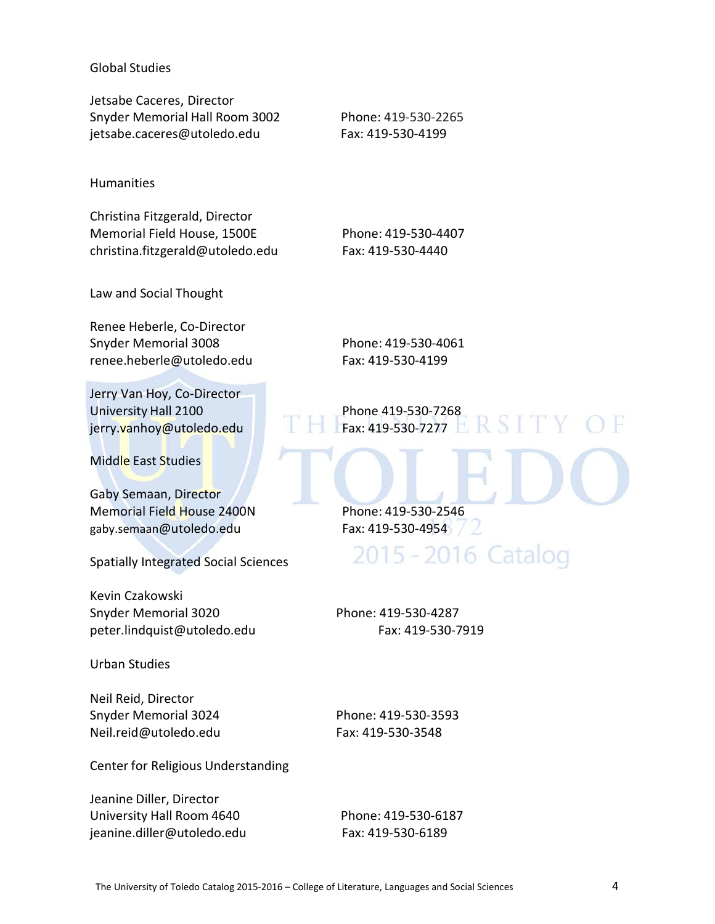#### Global Studies

Jetsabe Caceres, Director Snyder Memorial Hall Room 3002 Phone: 419-530-2265 jetsabe.caceres@utoledo.edu Fax: 419-530-4199

#### Humanities

Christina Fitzgerald, Director Memorial Field House, 1500E Phone: 419-530-4407 christina.fitzgerald@utoledo.edu Fax: 419-530-4440

Law and Social Thought

Renee Heberle, Co-Director Snyder Memorial 3008 Phone: 419-530-4061 [renee.heberle@utoledo.edu](mailto:renee.heberle@utoledo.edu) Fax: 419-530-4199

Jerry Van Hoy, Co-Director University Hall 2100 Phone 419-530-7268 [jerry.vanhoy@utoledo.edu](mailto:jerry.vanhoy@utoledo.edu) Fax: 419-530-7277

Middle East Studies

Gaby Semaan, Director Memorial Field House 2400N Phone: 419-530-2546 [gaby.semaan@utoledo.edu](mailto:enigem@utoledo.edu) Fax: 419-530-4954

Spatially Integrated Social Sciences

Kevin Czakowski Snyder Memorial 3020 Phone: 419-530-4287 peter.lindquist@utoledo.edu Fax: 419-530-7919

Urban Studies

Neil Reid, Director Snyder Memorial 3024 Phone: 419-530-3593 Neil.reid@utoledo.edu Fax: 419-530-3548

Center for Religious Understanding

Jeanine Diller, Director University Hall Room 4640 Phone: 419-530-6187 [jeanine.diller@utoledo.edu](mailto:jeanine.diller@utoledo.edu) Fax: 419-530-6189

**RSITY** 

2015 - 2016 Catalog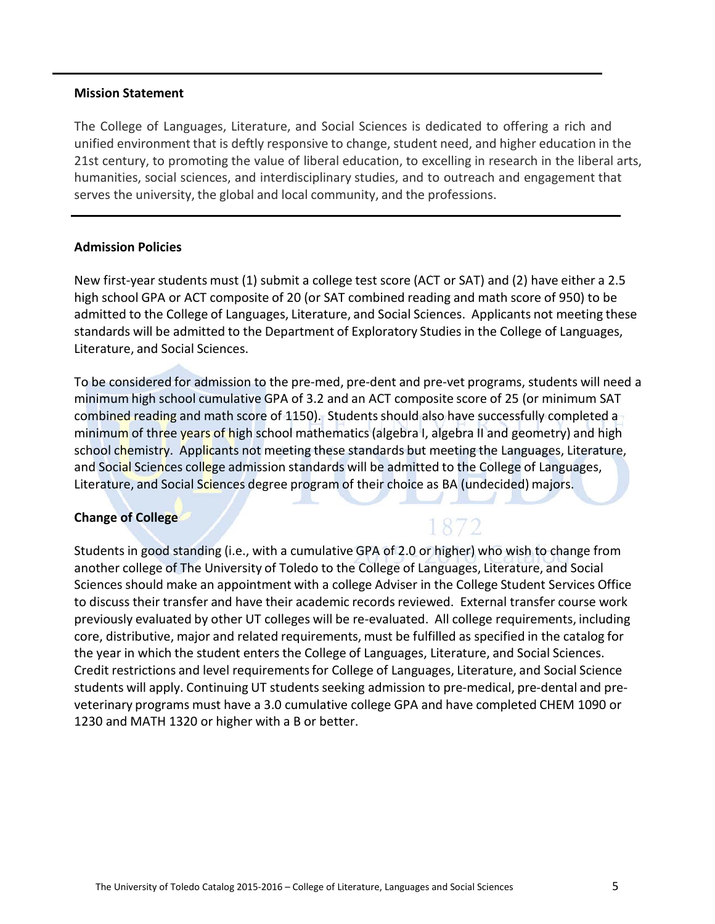#### **Mission Statement**

The College of Languages, Literature, and Social Sciences is dedicated to offering a rich and unified environment that is deftly responsive to change, student need, and higher education in the 21st century, to promoting the value of liberal education, to excelling in research in the liberal arts, humanities, social sciences, and interdisciplinary studies, and to outreach and engagement that serves the university, the global and local community, and the professions.

#### **Admission Policies**

New first-year students must (1) submit a college test score (ACT or SAT) and (2) have either a 2.5 high school GPA or ACT composite of 20 (or SAT combined reading and math score of 950) to be admitted to the College of Languages, Literature, and Social Sciences. Applicants not meeting these standards will be admitted to the Department of Exploratory Studies in the College of Languages, Literature, and Social Sciences.

To be considered for admission to the pre-med, pre-dent and pre-vet programs, students will need a minimum high school cumulative GPA of 3.2 and an ACT composite score of 25 (or minimum SAT combined reading and math score of 1150). Students should also have successfully completed a minimum of three years of high school mathematics (algebra I, algebra II and geometry) and high school chemistry. Applicants not meeting these standards but meeting the Languages, Literature, and Social Sciences college admission standards will be admitted to the College of Languages, Literature, and Social Sciences degree program of their choice as BA (undecided) majors.

1872

#### **Change of College**

Students in good standing (i.e., with a cumulative GPA of 2.0 or higher) who wish to change from another college of The University of Toledo to the College of Languages, Literature, and Social Sciences should make an appointment with a college Adviser in the College Student Services Office to discuss their transfer and have their academic records reviewed. External transfer course work previously evaluated by other UT colleges will be re-evaluated. All college requirements, including core, distributive, major and related requirements, must be fulfilled as specified in the catalog for the year in which the student enters the College of Languages, Literature, and Social Sciences. Credit restrictions and level requirementsfor College of Languages, Literature, and Social Science students will apply. Continuing UT students seeking admission to pre-medical, pre-dental and preveterinary programs must have a 3.0 cumulative college GPA and have completed CHEM 1090 or 1230 and MATH 1320 or higher with a B or better.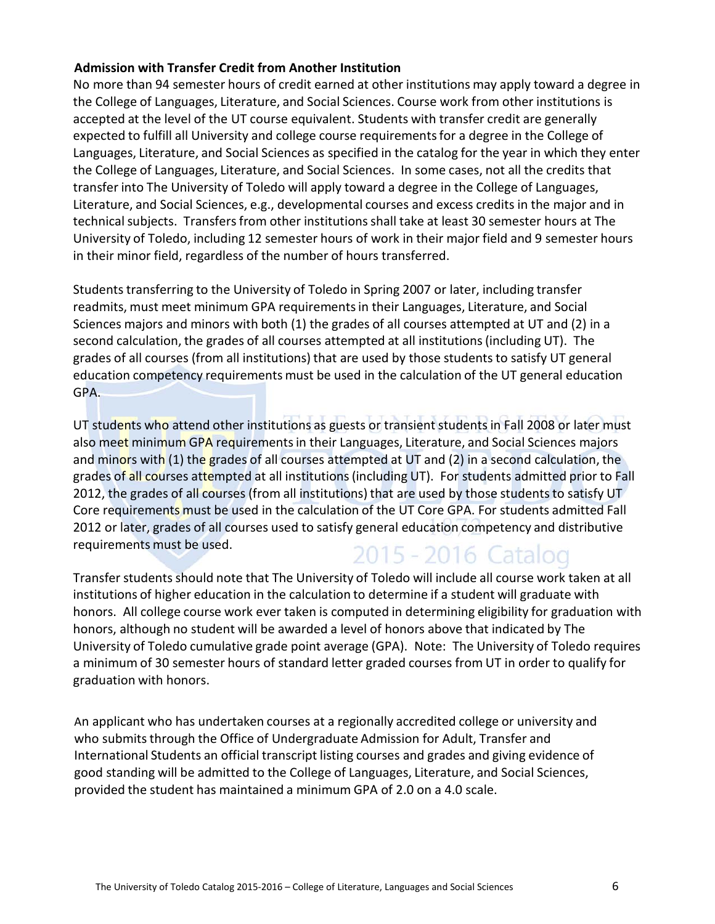#### **Admission with Transfer Credit from Another Institution**

No more than 94 semester hours of credit earned at other institutions may apply toward a degree in the College of Languages, Literature, and Social Sciences. Course work from other institutions is accepted at the level of the UT course equivalent. Students with transfer credit are generally expected to fulfill all University and college course requirementsfor a degree in the College of Languages, Literature, and Social Sciences as specified in the catalog for the year in which they enter the College of Languages, Literature, and Social Sciences. In some cases, not all the credits that transfer into The University of Toledo will apply toward a degree in the College of Languages, Literature, and Social Sciences, e.g., developmental courses and excess credits in the major and in technical subjects. Transfers from other institutions shall take at least 30 semester hours at The University of Toledo, including 12 semester hours of work in their major field and 9 semester hours in their minor field, regardless of the number of hours transferred.

Students transferring to the University of Toledo in Spring 2007 or later, including transfer readmits, must meet minimum GPA requirementsin their Languages, Literature, and Social Sciences majors and minors with both (1) the grades of all courses attempted at UT and (2) in a second calculation, the grades of all courses attempted at all institutions(including UT). The grades of all courses (from all institutions) that are used by those studentsto satisfy UT general education competency requirements must be used in the calculation of the UT general education GPA.

UT students who attend other institutions as guests or transient students in Fall 2008 or later must also meet minimum GPA requirements in their Languages, Literature, and Social Sciences majors and minors with (1) the grades of all courses attempted at UT and (2) in a second calculation, the grades of all courses attempted at all institutions (including UT). For students admitted prior to Fall 2012, the grades of all courses (from all institutions) that are used by those students to satisfy UT Core requirements must be used in the calculation of the UT Core GPA. For students admitted Fall 2012 or later, grades of all courses used to satisfy general education competency and distributive requirements must be used. 2015 - 2016 Catalog

Transfer students should note that The University of Toledo will include all course work taken at all institutions of higher education in the calculation to determine if a student will graduate with honors. All college course work ever taken is computed in determining eligibility for graduation with honors, although no student will be awarded a level of honors above that indicated by The University of Toledo cumulative grade point average (GPA). Note: The University of Toledo requires a minimum of 30 semester hours of standard letter graded courses from UT in order to qualify for graduation with honors.

An applicant who has undertaken courses at a regionally accredited college or university and who submits through the Office of Undergraduate Admission for Adult, Transfer and International Students an official transcript listing courses and grades and giving evidence of good standing will be admitted to the College of Languages, Literature, and Social Sciences, provided the student has maintained a minimum GPA of 2.0 on a 4.0 scale.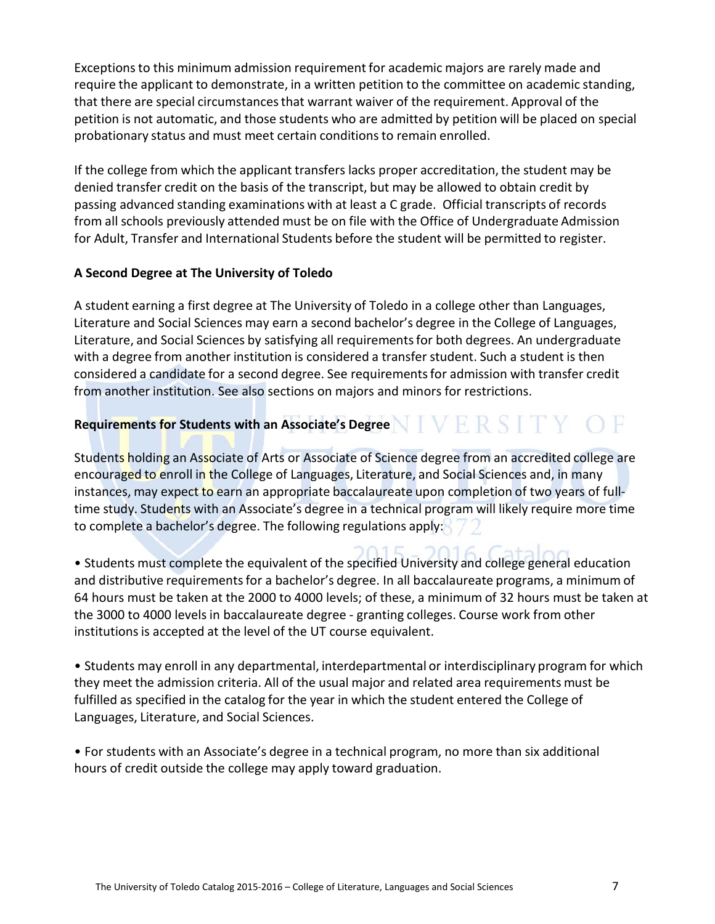Exceptionsto this minimum admission requirement for academic majors are rarely made and require the applicant to demonstrate, in a written petition to the committee on academic standing, that there are special circumstancesthat warrant waiver of the requirement. Approval of the petition is not automatic, and those students who are admitted by petition will be placed on special probationary status and must meet certain conditionsto remain enrolled.

If the college from which the applicant transfers lacks proper accreditation, the student may be denied transfer credit on the basis of the transcript, but may be allowed to obtain credit by passing advanced standing examinations with at least a C grade. Official transcripts of records from all schools previously attended must be on file with the Office of Undergraduate Admission for Adult, Transfer and International Students before the student will be permitted to register.

#### **A Second Degree at The University of Toledo**

A student earning a first degree at The University of Toledo in a college other than Languages, Literature and Social Sciences may earn a second bachelor's degree in the College of Languages, Literature, and Social Sciences by satisfying all requirementsfor both degrees. An undergraduate with a degree from another institution is considered a transfer student. Such a student is then considered a candidate for a second degree. See requirementsfor admission with transfer credit from another institution. See also sections on majors and minors for restrictions.

#### Requirements for Students with an Associate's Degree NTVFRSTTYOF

Students holding an Associate of Arts or Associate of Science degree from an accredited college are encouraged to enroll in the College of Languages, Literature, and Social Sciences and, in many instances, may expect to earn an appropriate baccalaureate upon completion of two years of fulltime study. Students with an Associate's degree in a technical program will likely require more time to complete a bachelor's degree. The following regulations apply:

 $2015$  $20161$  $int_{0}^{1}$ • Students must complete the equivalent of the specified University and college general education and distributive requirementsfor a bachelor's degree. In all baccalaureate programs, a minimum of 64 hours must be taken at the 2000 to 4000 levels; of these, a minimum of 32 hours must be taken at the 3000 to 4000 levels in baccalaureate degree - granting colleges. Course work from other institutions is accepted at the level of the UT course equivalent.

• Students may enroll in any departmental, interdepartmental or interdisciplinary program for which they meet the admission criteria. All of the usual major and related area requirements must be fulfilled as specified in the catalog for the year in which the student entered the College of Languages, Literature, and Social Sciences.

• For students with an Associate's degree in a technical program, no more than six additional hours of credit outside the college may apply toward graduation.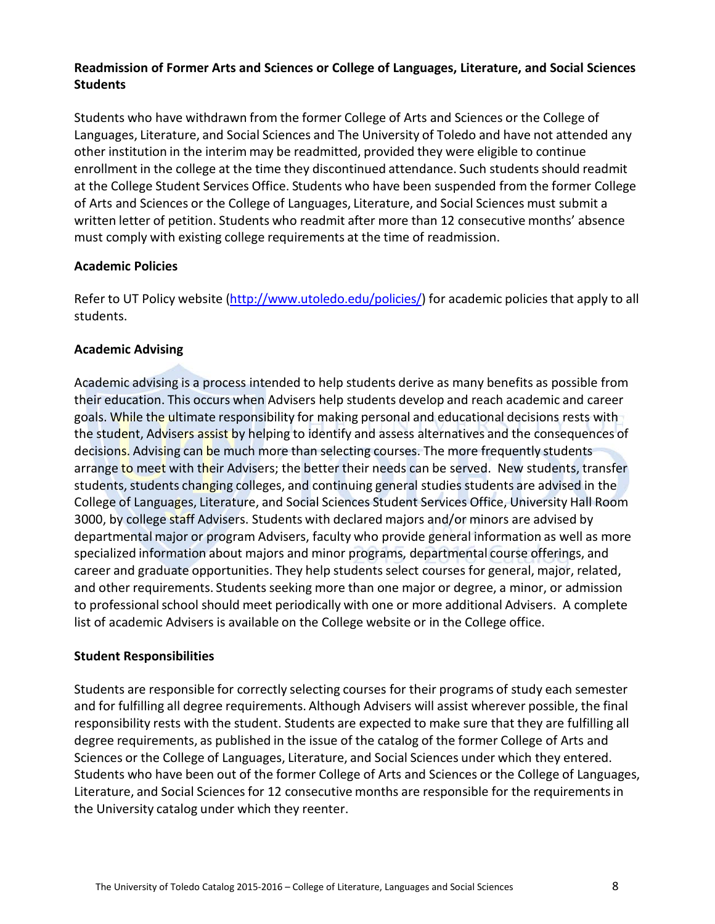#### **Readmission of Former Arts and Sciences or College of Languages, Literature, and Social Sciences Students**

Students who have withdrawn from the former College of Arts and Sciences or the College of Languages, Literature, and Social Sciences and The University of Toledo and have not attended any other institution in the interim may be readmitted, provided they were eligible to continue enrollment in the college at the time they discontinued attendance. Such students should readmit at the College Student Services Office. Students who have been suspended from the former College of Arts and Sciences or the College of Languages, Literature, and Social Sciences must submit a written letter of petition. Students who readmit after more than 12 consecutive months' absence must comply with existing college requirements at the time of readmission.

#### **Academic Policies**

Refer to UT Policy website [\(http://www.utoledo.edu/policies/\)](http://www.utoledo.edu/policies/) for academic policies that apply to all students.

#### **Academic Advising**

Academic advising is a process intended to help students derive as many benefits as possible from their education. This occurs when Advisers help students develop and reach academic and career goals. While the ultimate responsibility for making personal and educational decisions rests with the student, Advisers assist by helping to identify and assess alternatives and the consequences of decisions. Advising can be much more than selecting courses. The more frequently students arrange to meet with their Advisers; the better their needs can be served. New students, transfer students, students changing colleges, and continuing general studies students are advised in the College of Languages, Literature, and Social Sciences Student Services Office, University Hall Room 3000, by college staff Advisers. Students with declared majors and/or minors are advised by departmental major or program Advisers, faculty who provide general information as well as more specialized information about majors and minor programs, departmental course offerings, and career and graduate opportunities. They help students select courses for general, major, related, and other requirements. Students seeking more than one major or degree, a minor, or admission to professional school should meet periodically with one or more additional Advisers. A complete list of academic Advisers is available on the College website or in the College office.

#### **Student Responsibilities**

Students are responsible for correctly selecting courses for their programs of study each semester and for fulfilling all degree requirements. Although Advisers will assist wherever possible, the final responsibility rests with the student. Students are expected to make sure that they are fulfilling all degree requirements, as published in the issue of the catalog of the former College of Arts and Sciences or the College of Languages, Literature, and Social Sciences under which they entered. Students who have been out of the former College of Arts and Sciences or the College of Languages, Literature, and Social Sciences for 12 consecutive months are responsible for the requirements in the University catalog under which they reenter.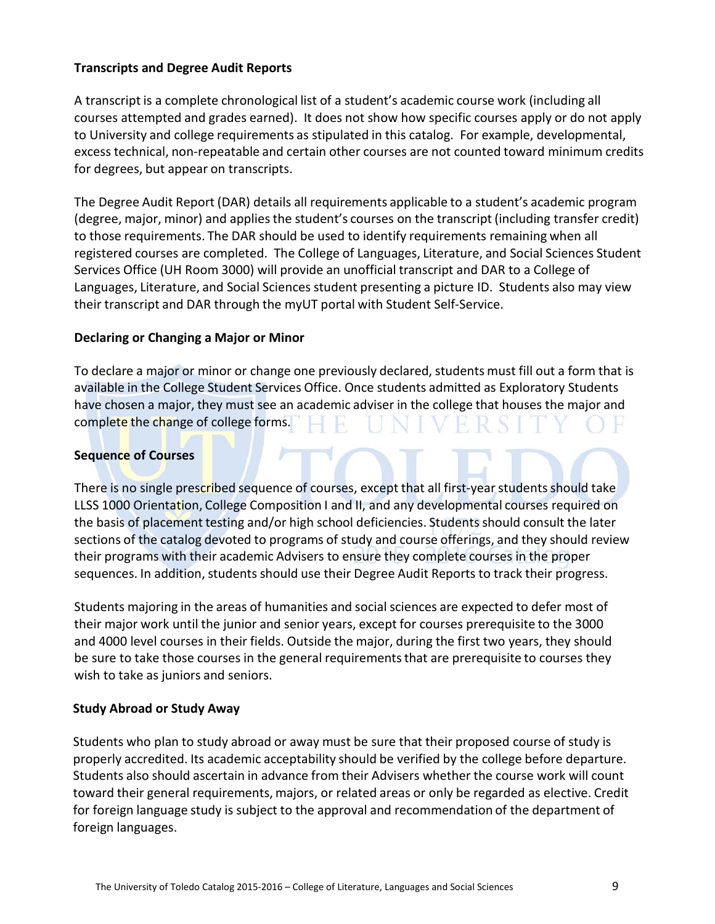#### **Transcripts and Degree Audit Reports**

A transcript is a complete chronological list of a student's academic course work (including all courses attempted and grades earned). It does not show how specific courses apply or do not apply to University and college requirements as stipulated in this catalog. For example, developmental, excess technical, non-repeatable and certain other courses are not counted toward minimum credits for degrees, but appear on transcripts.

The Degree Audit Report (DAR) details all requirements applicable to a student's academic program (degree, major, minor) and appliesthe student's courses on the transcript (including transfer credit) to those requirements. The DAR should be used to identify requirements remaining when all registered courses are completed. The College of Languages, Literature, and Social Sciences Student Services Office (UH Room 3000) will provide an unofficial transcript and DAR to a College of Languages, Literature, and Social Sciences student presenting a picture ID. Students also may view their transcript and DAR through the myUT portal with Student Self-Service.

#### **Declaring or Changing a Major or Minor**

To declare a major or minor or change one previously declared, students must fill out a form that is available in the College Student Services Office. Once students admitted as Exploratory Students have chosen a major, they must see an academic adviser in the college that houses the major and complete the change of college forms.

#### **Sequence of Courses**

There is no single prescribed sequence of courses, except that all first-year students should take LLSS 1000 Orientation, College Composition I and II, and any developmental courses required on the basis of placement testing and/or high school deficiencies. Studentsshould consult the later sections of the catalog devoted to programs of study and course offerings, and they should review their programs with their academic Advisers to ensure they complete courses in the proper sequences. In addition, students should use their Degree Audit Reports to track their progress.

Students majoring in the areas of humanities and social sciences are expected to defer most of their major work until the junior and senior years, except for courses prerequisite to the 3000 and 4000 level courses in their fields. Outside the major, during the first two years, they should be sure to take those courses in the general requirements that are prerequisite to courses they wish to take as juniors and seniors.

#### **Study Abroad or Study Away**

Students who plan to study abroad or away must be sure that their proposed course of study is properly accredited. Its academic acceptability should be verified by the college before departure. Students also should ascertain in advance from their Advisers whether the course work will count toward their general requirements, majors, or related areas or only be regarded as elective. Credit for foreign language study is subject to the approval and recommendation of the department of foreign languages.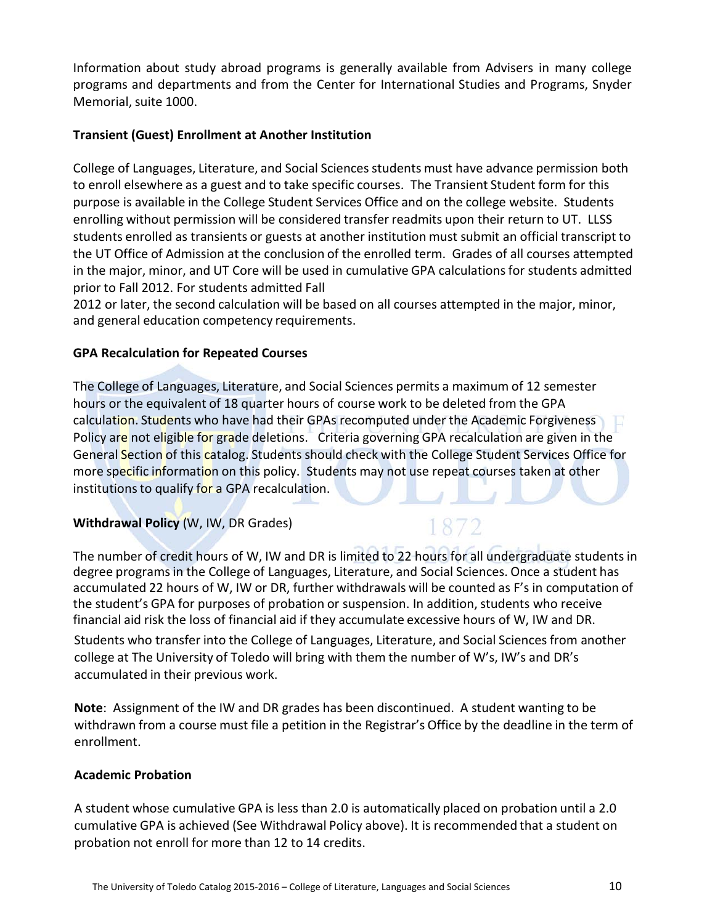Information about study abroad programs is generally available from Advisers in many college programs and departments and from the Center for International Studies and Programs, Snyder Memorial, suite 1000.

#### **Transient (Guest) Enrollment at Another Institution**

College of Languages, Literature, and Social Sciences students must have advance permission both to enroll elsewhere as a guest and to take specific courses. The Transient Student form for this purpose is available in the College Student Services Office and on the college website. Students enrolling without permission will be considered transfer readmits upon their return to UT. LLSS students enrolled as transients or guests at another institution must submit an official transcript to the UT Office of Admission at the conclusion of the enrolled term. Grades of all courses attempted in the major, minor, and UT Core will be used in cumulative GPA calculationsfor students admitted prior to Fall 2012. For students admitted Fall

2012 or later, the second calculation will be based on all courses attempted in the major, minor, and general education competency requirements.

#### **GPA Recalculation for Repeated Courses**

The College of Languages, Literature, and Social Sciences permits a maximum of 12 semester hours or the equivalent of 18 quarter hours of course work to be deleted from the GPA calculation. Students who have had their GPAs recomputed under the Academic Forgiveness Policy are not eligible for grade deletions. Criteria governing GPA recalculation are given in the General Section of this catalog. Students should check with the College Student Services Office for more specific information on this policy. Students may not use repeat courses taken at other institutions to qualify for a GPA recalculation.

#### **Withdrawal Policy** (W, IW, DR Grades)

The number of credit hours of W, IW and DR is limited to 22 hours for all undergraduate studentsin degree programsin the College of Languages, Literature, and Social Sciences. Once a student has accumulated 22 hours of W, IW or DR, further withdrawals will be counted as F's in computation of the student's GPA for purposes of probation or suspension. In addition, students who receive financial aid risk the loss of financial aid if they accumulate excessive hours of W, IW and DR.

Students who transfer into the College of Languages, Literature, and Social Sciences from another college at The University of Toledo will bring with them the number of W's, IW's and DR's accumulated in their previous work.

**Note**: Assignment of the IW and DR grades has been discontinued. A student wanting to be withdrawn from a course must file a petition in the Registrar's Office by the deadline in the term of enrollment.

#### **Academic Probation**

A student whose cumulative GPA is less than 2.0 is automatically placed on probation until a 2.0 cumulative GPA is achieved (See Withdrawal Policy above). It is recommended that a student on probation not enroll for more than 12 to 14 credits.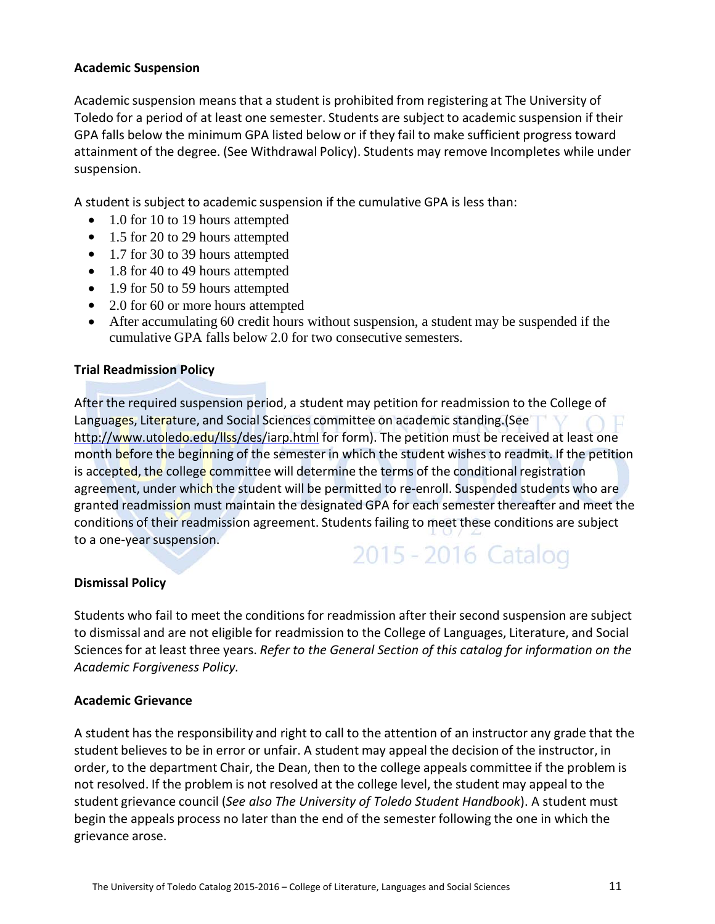#### **Academic Suspension**

Academic suspension means that a student is prohibited from registering at The University of Toledo for a period of at least one semester. Students are subject to academic suspension if their GPA falls below the minimum GPA listed below or if they fail to make sufficient progress toward attainment of the degree. (See Withdrawal Policy). Students may remove Incompletes while under suspension.

A student is subject to academic suspension if the cumulative GPA is less than:

- 1.0 for 10 to 19 hours attempted
- 1.5 for 20 to 29 hours attempted
- 1.7 for 30 to 39 hours attempted
- 1.8 for 40 to 49 hours attempted
- 1.9 for 50 to 59 hours attempted
- 2.0 for 60 or more hours attempted
- After accumulating 60 credit hours without suspension, a student may be suspended if the cumulative GPA falls below 2.0 for two consecutive semesters.

#### **Trial Readmission Policy**

After the required suspension period, a student may petition for readmission to the College of Languages, Literature, and Social Sciences committee on academic standing.(See <http://www.utoledo.edu/llss/des/iarp.html> for form). The petition must be received at least one month before the beginning of the semester in which the student wishes to readmit. If the petition is accepted, the college committee will determine the terms of the conditional registration agreement, under which the student will be permitted to re-enroll. Suspended students who are granted readmission must maintain the designated GPA for each semester thereafter and meet the conditions of their readmission agreement. Students failing to meet these conditions are subject to a one-year suspension.

## 2015 - 2016 Catalog

#### **Dismissal Policy**

Students who fail to meet the conditions for readmission after their second suspension are subject to dismissal and are not eligible for readmission to the College of Languages, Literature, and Social Sciences for at least three years. *Refer to the General Section of this catalog for information on the Academic Forgiveness Policy.*

#### **Academic Grievance**

A student has the responsibility and right to call to the attention of an instructor any grade that the student believes to be in error or unfair. A student may appeal the decision of the instructor, in order, to the department Chair, the Dean, then to the college appeals committee if the problem is not resolved. If the problem is not resolved at the college level, the student may appeal to the student grievance council (*See also The University of Toledo Student Handbook*). A student must begin the appeals process no later than the end of the semester following the one in which the grievance arose.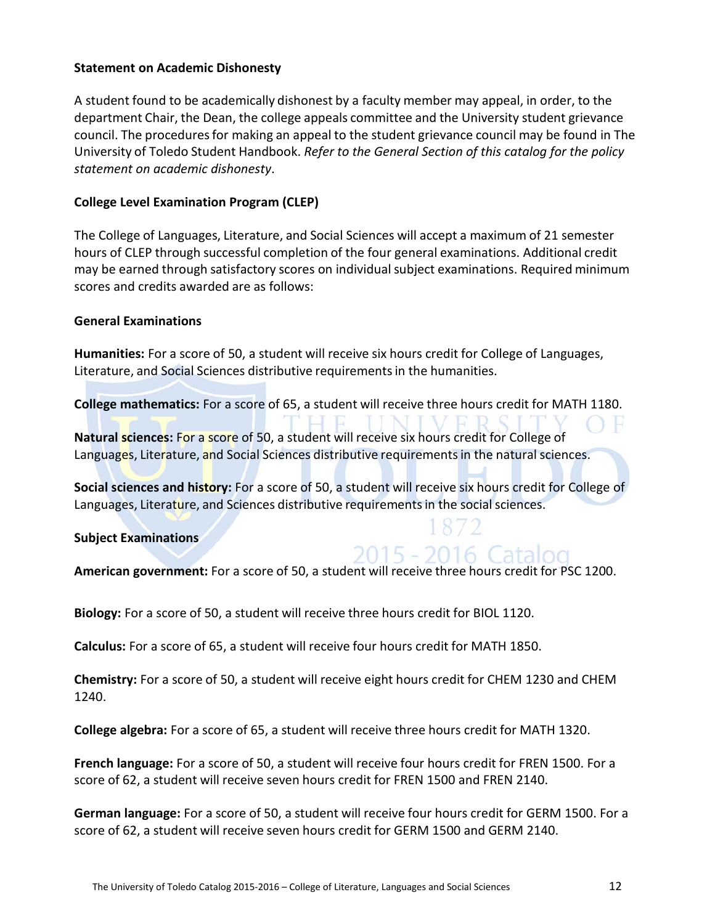#### **Statement on Academic Dishonesty**

A student found to be academically dishonest by a faculty member may appeal, in order, to the department Chair, the Dean, the college appeals committee and the University student grievance council. The proceduresfor making an appeal to the student grievance council may be found in The University of Toledo Student Handbook. *Refer to the General Section of this catalog for the policy statement on academic dishonesty*.

#### **College Level Examination Program (CLEP)**

The College of Languages, Literature, and Social Sciences will accept a maximum of 21 semester hours of CLEP through successful completion of the four general examinations. Additional credit may be earned through satisfactory scores on individual subject examinations. Required minimum scores and credits awarded are as follows:

#### **General Examinations**

**Humanities:** For a score of 50, a student will receive six hours credit for College of Languages, Literature, and Social Sciences distributive requirementsin the humanities.

**College mathematics:** For a score of 65, a student will receive three hours credit for MATH 1180.

**Natural sciences:** For a score of 50, a student will receive six hours credit for College of Languages, Literature, and Social Sciences distributive requirements in the natural sciences.

**Social sciences and history:** For a score of 50, a student will receive six hours credit for College of Languages, Literature, and Sciences distributive requirements in the social sciences.

**Subject Examinations**

## 2015 - 2016 Catalog

**American government:** For a score of 50, a student will receive three hours credit for PSC 1200.

**Biology:** For a score of 50, a student will receive three hours credit for BIOL 1120.

**Calculus:** For a score of 65, a student will receive four hours credit for MATH 1850.

**Chemistry:** For a score of 50, a student will receive eight hours credit for CHEM 1230 and CHEM 1240.

**College algebra:** For a score of 65, a student will receive three hours credit for MATH 1320.

**French language:** For a score of 50, a student will receive four hours credit for FREN 1500. For a score of 62, a student will receive seven hours credit for FREN 1500 and FREN 2140.

**German language:** For a score of 50, a student will receive four hours credit for GERM 1500. For a score of 62, a student will receive seven hours credit for GERM 1500 and GERM 2140.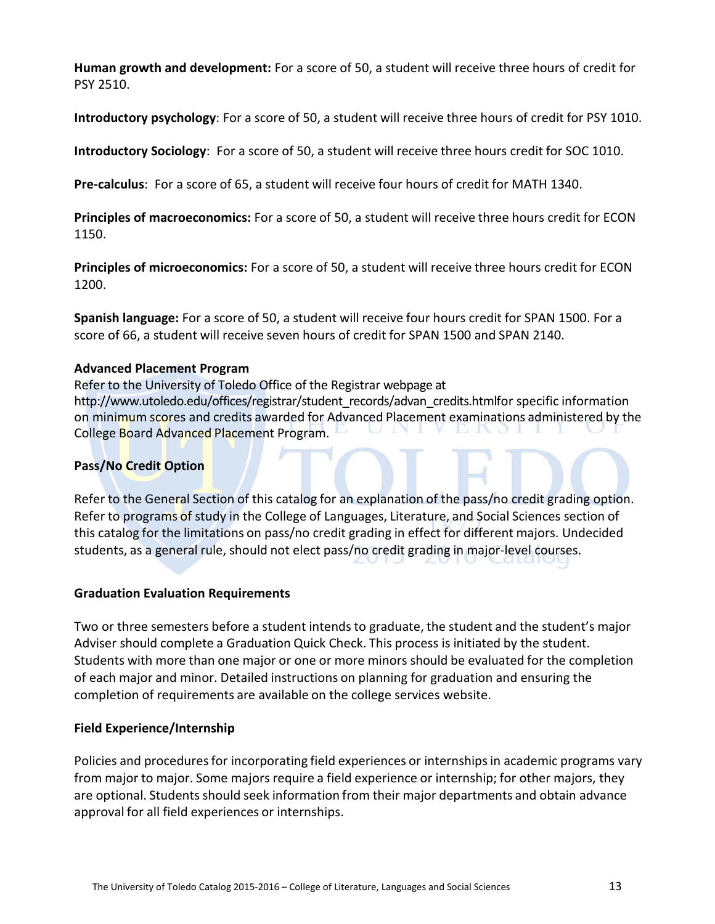**Human growth and development:** For a score of 50, a student will receive three hours of credit for PSY 2510.

**Introductory psychology**: For a score of 50, a student will receive three hours of credit for PSY 1010.

**Introductory Sociology**: For a score of 50, a student will receive three hours credit for SOC 1010.

**Pre-calculus**: For a score of 65, a student will receive four hours of credit for MATH 1340.

**Principles of macroeconomics:** For a score of 50, a student will receive three hours credit for ECON 1150.

**Principles of microeconomics:** For a score of 50, a student will receive three hours credit for ECON 1200.

**Spanish language:** For a score of 50, a student will receive four hours credit for SPAN 1500. For a score of 66, a student will receive seven hours of credit for SPAN 1500 and SPAN 2140.

#### **Advanced Placement Program**

Refer to the University of Toledo Office of the Registrar webpage at http://www.utoledo.edu/offices/registrar/student\_records/advan\_credits.htmlfor specific information on minimum scores and credits awarded for Advanced Placement examinations administered by the College Board Advanced Placement Program.

#### **Pass/No Credit Option**

Refer to the General Section of this catalog for an explanation of the pass/no credit grading option. Refer to programs of study in the College of Languages, Literature, and Social Sciences section of this catalog for the limitations on pass/no credit grading in effect for different majors. Undecided students, as a general rule, should not elect pass/no credit grading in major-level courses.

#### **Graduation Evaluation Requirements**

Two or three semesters before a student intends to graduate, the student and the student's major Adviser should complete a Graduation Quick Check. This process is initiated by the student. Students with more than one major or one or more minors should be evaluated for the completion of each major and minor. Detailed instructions on planning for graduation and ensuring the completion of requirements are available on the college services website.

#### **Field Experience/Internship**

Policies and procedures for incorporating field experiences or internships in academic programs vary from major to major. Some majors require a field experience or internship; for other majors, they are optional. Students should seek information from their major departments and obtain advance approval for all field experiences or internships.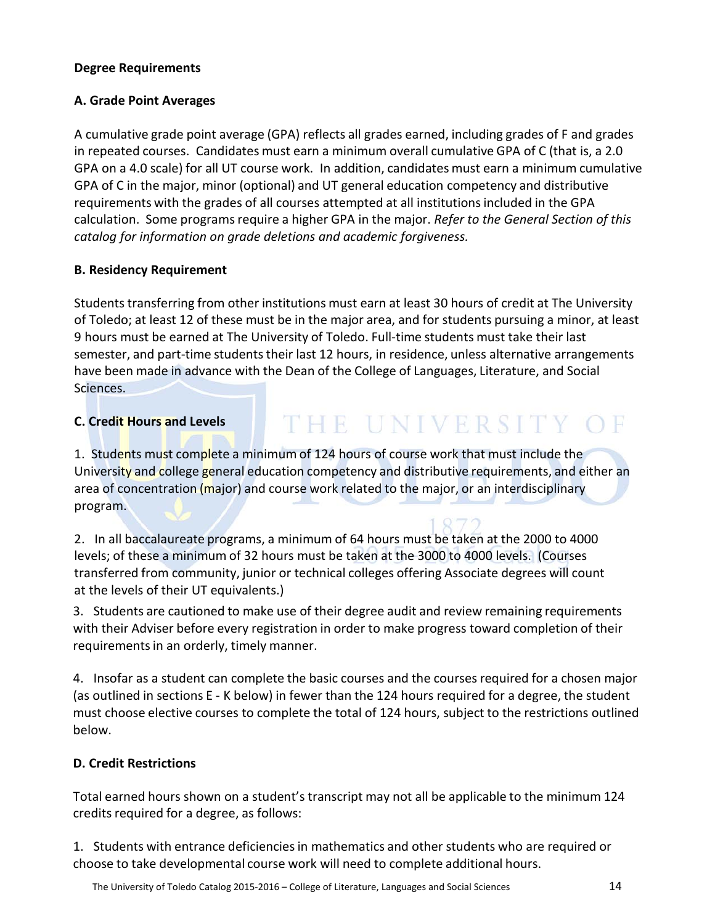#### **Degree Requirements**

#### **A. Grade Point Averages**

A cumulative grade point average (GPA) reflects all grades earned, including grades of F and grades in repeated courses. Candidates must earn a minimum overall cumulative GPA of C (that is, a 2.0 GPA on a 4.0 scale) for all UT course work. In addition, candidates must earn a minimum cumulative GPA of C in the major, minor (optional) and UT general education competency and distributive requirements with the grades of all courses attempted at all institutionsincluded in the GPA calculation. Some programsrequire a higher GPA in the major. *Refer to the General Section of this catalog for information on grade deletions and academic forgiveness.*

#### **B. Residency Requirement**

Students transferring from other institutions must earn at least 30 hours of credit at The University of Toledo; at least 12 of these must be in the major area, and for students pursuing a minor, at least 9 hours must be earned at The University of Toledo. Full-time students must take their last semester, and part-time students their last 12 hours, in residence, unless alternative arrangements have been made in advance with the Dean of the College of Languages, Literature, and Social Sciences.

#### **C. Credit Hours and Levels**

## THE UNIVERSITY OF

1. Students must complete a minimum of 124 hours of course work that must include the University and college general education competency and distributive requirements, and either an area of concentration (major) and course work related to the major, or an interdisciplinary program.

2. In all baccalaureate programs, a minimum of 64 hours must be taken at the 2000 to 4000 levels; of these a minimum of 32 hours must be taken at the 3000 to 4000 levels. (Courses transferred from community, junior or technical colleges offering Associate degrees will count at the levels of their UT equivalents.)

3. Students are cautioned to make use of their degree audit and review remaining requirements with their Adviser before every registration in order to make progress toward completion of their requirements in an orderly, timely manner.

4. Insofar as a student can complete the basic courses and the courses required for a chosen major (as outlined in sections E - K below) in fewer than the 124 hours required for a degree, the student must choose elective courses to complete the total of 124 hours, subject to the restrictions outlined below.

#### **D. Credit Restrictions**

Total earned hours shown on a student's transcript may not all be applicable to the minimum 124 credits required for a degree, as follows:

1. Students with entrance deficienciesin mathematics and other students who are required or choose to take developmental course work will need to complete additional hours.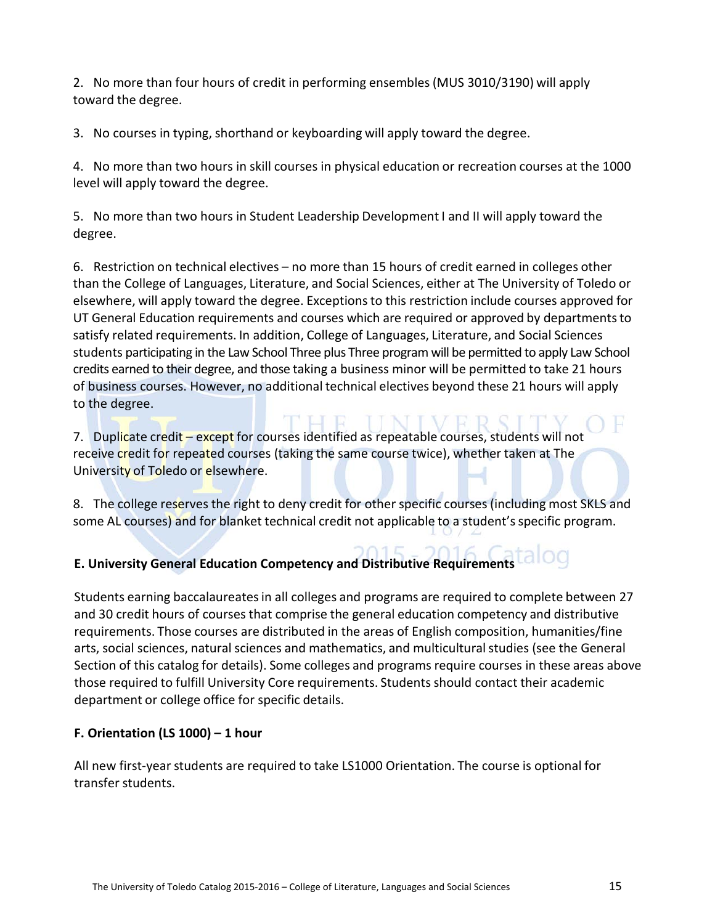2. No more than four hours of credit in performing ensembles(MUS 3010/3190) will apply toward the degree.

3. No courses in typing, shorthand or keyboarding will apply toward the degree.

4. No more than two hours in skill courses in physical education or recreation courses at the 1000 level will apply toward the degree.

5. No more than two hours in Student Leadership Development I and II will apply toward the degree.

6. Restriction on technical electives – no more than 15 hours of credit earned in colleges other than the College of Languages, Literature, and Social Sciences, either at The University of Toledo or elsewhere, will apply toward the degree. Exceptionsto this restriction include courses approved for UT General Education requirements and courses which are required or approved by departmentsto satisfy related requirements. In addition, College of Languages, Literature, and Social Sciences students participating in the Law School Three plus Three program will be permitted to apply Law School credits earned to their degree, and those taking a business minor will be permitted to take 21 hours of business courses. However, no additional technical electives beyond these 21 hours will apply to the degree.

7. Duplicate credit – except for courses identified as repeatable courses, students will not receive credit for repeated courses (taking the same course twice), whether taken at The University of Toledo or elsewhere.

8. The college reserves the right to deny credit for other specific courses (including most SKLS and some AL courses) and for blanket technical credit not applicable to a student's specific program.

## **E. University General Education Competency and Distributive Requirements**

Students earning baccalaureatesin all colleges and programs are required to complete between 27 and 30 credit hours of courses that comprise the general education competency and distributive requirements. Those courses are distributed in the areas of English composition, humanities/fine arts, social sciences, natural sciences and mathematics, and multicultural studies (see the General Section of this catalog for details). Some colleges and programs require courses in these areas above those required to fulfill University Core requirements. Students should contact their academic department or college office for specific details.

#### **F. Orientation (LS 1000) – 1 hour**

All new first-year students are required to take LS1000 Orientation. The course is optional for transfer students.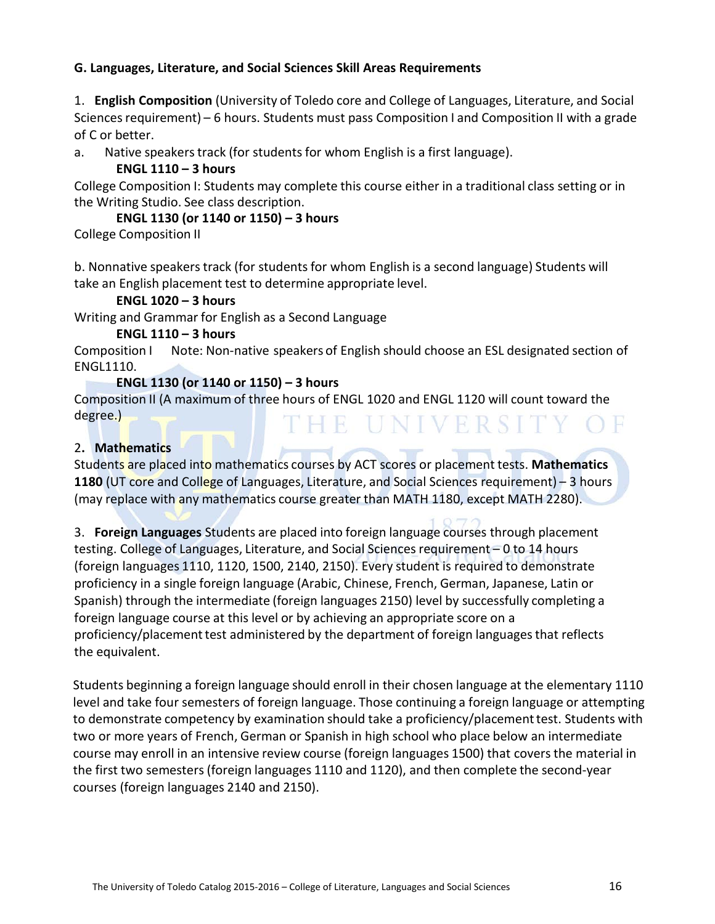#### **G. Languages, Literature, and Social Sciences Skill Areas Requirements**

1. **English Composition** (University of Toledo core and College of Languages, Literature, and Social Sciences requirement) – 6 hours. Students must pass Composition I and Composition II with a grade of C or better.

a. Native speakers track (for students for whom English is a first language).

#### **ENGL 1110 – 3 hours**

College Composition I: Students may complete this course either in a traditional class setting or in the Writing Studio. See class description.

#### **ENGL 1130 (or 1140 or 1150) – 3 hours**

College Composition II

b. Nonnative speakerstrack (for studentsfor whom English is a second language) Students will take an English placement test to determine appropriate level.

#### **ENGL 1020 – 3 hours**

Writing and Grammar for English as a Second Language

#### **ENGL 1110 – 3 hours**

Composition I Note: Non-native speakers of English should choose an ESL designated section of ENGL1110.

#### **ENGL 1130 (or 1140 or 1150) – 3 hours**

Composition II (A maximum of three hours of ENGL 1020 and ENGL 1120 will count toward the degree.) THE UNIVERSITY OF

#### 2**. Mathematics**

Students are placed into mathematics courses by ACT scores or placement tests. **Mathematics 1180** (UT core and College of Languages, Literature, and Social Sciences requirement) – 3 hours (may replace with any mathematics course greater than MATH 1180, except MATH 2280).

3. **Foreign Languages** Students are placed into foreign language courses through placement testing. College of Languages, Literature, and Social Sciencesrequirement – 0 to 14 hours (foreign languages 1110, 1120, 1500, 2140, 2150). Every student is required to demonstrate proficiency in a single foreign language (Arabic, Chinese, French, German, Japanese, Latin or Spanish) through the intermediate (foreign languages 2150) level by successfully completing a foreign language course at this level or by achieving an appropriate score on a proficiency/placement test administered by the department of foreign languages that reflects the equivalent.

Students beginning a foreign language should enroll in their chosen language at the elementary 1110 level and take four semesters of foreign language. Those continuing a foreign language or attempting to demonstrate competency by examination should take a proficiency/placementtest. Students with two or more years of French, German or Spanish in high school who place below an intermediate course may enroll in an intensive review course (foreign languages 1500) that covers the material in the first two semesters (foreign languages 1110 and 1120), and then complete the second-year courses (foreign languages 2140 and 2150).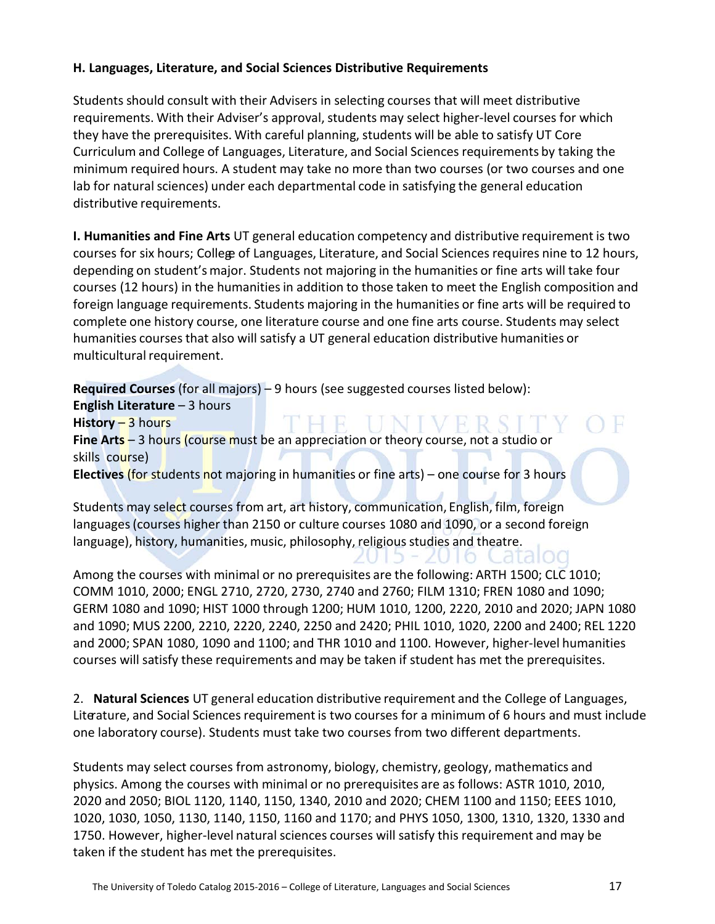#### **H. Languages, Literature, and Social Sciences Distributive Requirements**

Students should consult with their Advisers in selecting courses that will meet distributive requirements. With their Adviser's approval, students may select higher-level courses for which they have the prerequisites. With careful planning, students will be able to satisfy UT Core Curriculum and College of Languages, Literature, and Social Sciences requirements by taking the minimum required hours. A student may take no more than two courses (or two courses and one lab for natural sciences) under each departmental code in satisfying the general education distributive requirements.

**I. Humanities and Fine Arts** UT general education competency and distributive requirement is two courses for six hours; College of Languages, Literature, and Social Sciences requires nine to 12 hours, depending on student's major. Students not majoring in the humanities or fine arts will take four courses (12 hours) in the humanities in addition to those taken to meet the English composition and foreign language requirements. Students majoring in the humanities or fine arts will be required to complete one history course, one literature course and one fine arts course. Students may select humanities courses that also will satisfy a UT general education distributive humanities or multicultural requirement.

**Required Courses** (for all majors) – 9 hours (see suggested courses listed below): **English Literature – 3 hours History** – 3 hours **Fine Arts** – 3 hours (course must be an appreciation or theory course, not a studio or skills course) **Electives** (for students not majoring in humanities or fine arts) – one course for 3 hours

Students may select courses from art, art history, communication, English, film, foreign languages (courses higher than 2150 or culture courses 1080 and 1090, or a second foreign language), history, humanities, music, philosophy, religious studies and theatre.

Among the courses with minimal or no prerequisites are the following: ARTH 1500; CLC 1010; COMM 1010, 2000; ENGL 2710, 2720, 2730, 2740 and 2760; FILM 1310; FREN 1080 and 1090; GERM 1080 and 1090; HIST 1000 through 1200; HUM 1010, 1200, 2220, 2010 and 2020; JAPN 1080 and 1090; MUS 2200, 2210, 2220, 2240, 2250 and 2420; PHIL 1010, 1020, 2200 and 2400; REL 1220 and 2000; SPAN 1080, 1090 and 1100; and THR 1010 and 1100. However, higher-level humanities courses will satisfy these requirements and may be taken if student has met the prerequisites.

2. **Natural Sciences** UT general education distributive requirement and the College of Languages, Literature, and Social Sciences requirement is two courses for a minimum of 6 hours and must include one laboratory course). Students must take two courses from two different departments.

Students may select courses from astronomy, biology, chemistry, geology, mathematics and physics. Among the courses with minimal or no prerequisites are as follows: ASTR 1010, 2010, 2020 and 2050; BIOL 1120, 1140, 1150, 1340, 2010 and 2020; CHEM 1100 and 1150; EEES 1010, 1020, 1030, 1050, 1130, 1140, 1150, 1160 and 1170; and PHYS 1050, 1300, 1310, 1320, 1330 and 1750. However, higher-level natural sciences courses will satisfy this requirement and may be taken if the student has met the prerequisites.

Latalod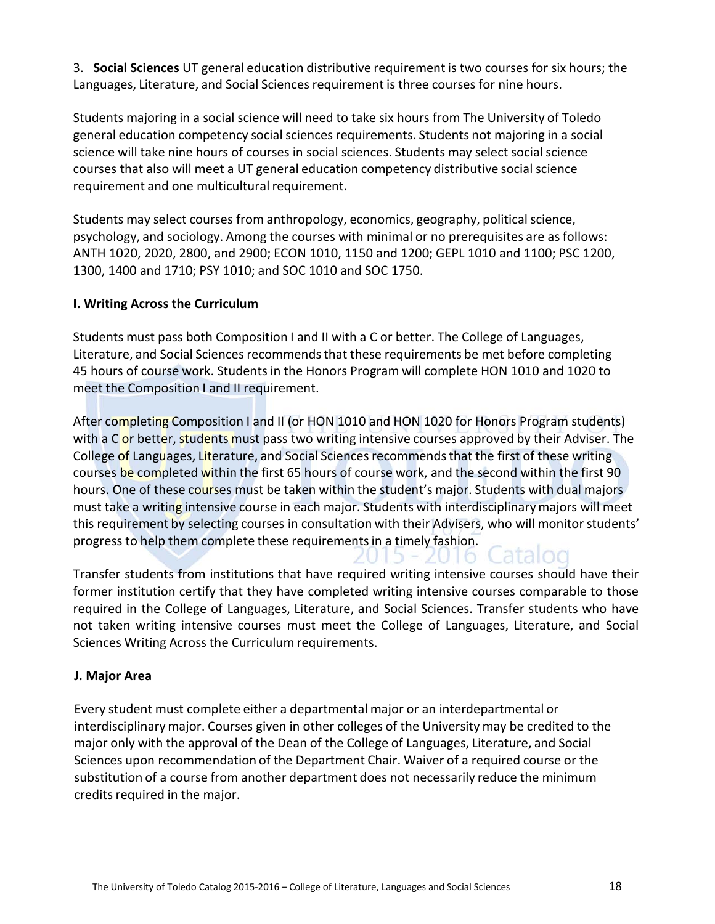3. **Social Sciences** UT general education distributive requirement is two courses for six hours; the Languages, Literature, and Social Sciences requirement is three courses for nine hours.

Students majoring in a social science will need to take six hours from The University of Toledo general education competency social sciencesrequirements. Students not majoring in a social science will take nine hours of courses in social sciences. Students may select socialscience courses that also will meet a UT general education competency distributive social science requirement and one multicultural requirement.

Students may select courses from anthropology, economics, geography, political science, psychology, and sociology. Among the courses with minimal or no prerequisites are as follows: ANTH 1020, 2020, 2800, and 2900; ECON 1010, 1150 and 1200; GEPL 1010 and 1100; PSC 1200, 1300, 1400 and 1710; PSY 1010; and SOC 1010 and SOC 1750.

#### **I. Writing Across the Curriculum**

Students must pass both Composition I and II with a C or better. The College of Languages, Literature, and Social Sciences recommendsthat these requirements be met before completing 45 hours of course work. Studentsin the Honors Program will complete HON 1010 and 1020 to meet the Composition I and II requirement.

After completing Composition I and II (or HON 1010 and HON 1020 for Honors Program students) with a C or better, students must pass two writing intensive courses approved by their Adviser. The College of Languages, Literature, and Social Sciences recommends that the first of these writing courses be completed within the first 65 hours of course work, and the second within the first 90 hours. One of these courses must be taken within the student's major. Students with dual majors must take a writing intensive course in each major. Students with interdisciplinary majors will meet this requirement by selecting courses in consultation with their Advisers, who will monitor students' progress to help them complete these requirements in a timely fashion.

Transfer students from institutions that have required writing intensive courses should have their former institution certify that they have completed writing intensive courses comparable to those required in the College of Languages, Literature, and Social Sciences. Transfer students who have not taken writing intensive courses must meet the College of Languages, Literature, and Social Sciences Writing Across the Curriculum requirements.

#### **J. Major Area**

Every student must complete either a departmental major or an interdepartmental or interdisciplinarymajor. Courses given in other colleges of the University may be credited to the major only with the approval of the Dean of the College of Languages, Literature, and Social Sciences upon recommendation of the Department Chair. Waiver of a required course or the substitution of a course from another department does not necessarily reduce the minimum credits required in the major.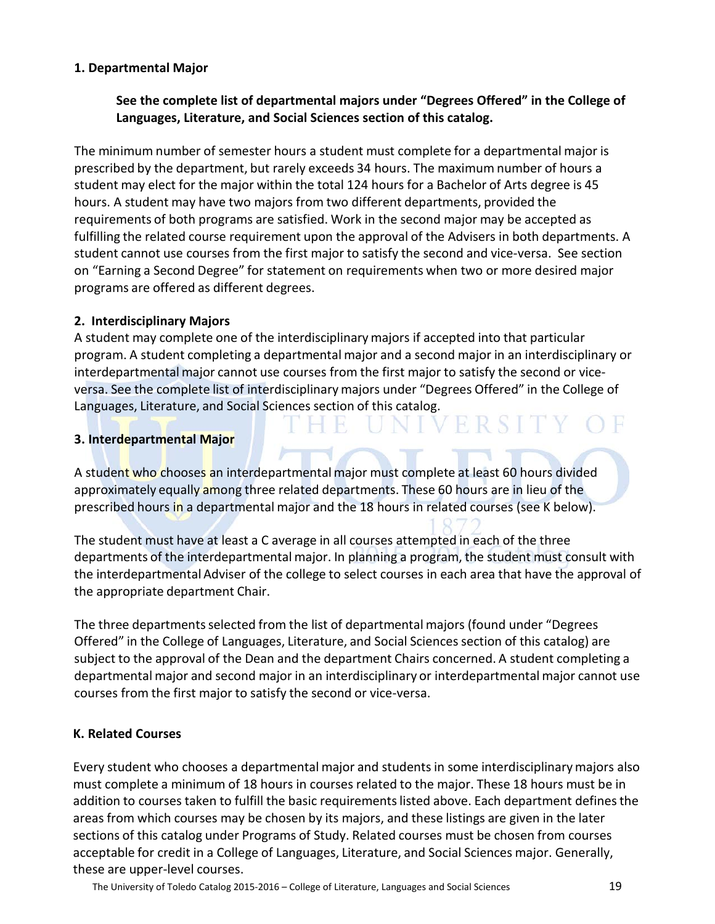#### **1. Departmental Major**

#### **See the complete list of departmental majors under "Degrees Offered" in the College of Languages, Literature, and Social Sciences section of this catalog.**

The minimum number of semester hours a student must complete for a departmental major is prescribed by the department, but rarely exceeds 34 hours. The maximum number of hours a student may elect for the major within the total 124 hours for a Bachelor of Arts degree is 45 hours. A student may have two majors from two different departments, provided the requirements of both programs are satisfied. Work in the second major may be accepted as fulfilling the related course requirement upon the approval of the Advisers in both departments. A student cannot use courses from the first major to satisfy the second and vice-versa. See section on "Earning a Second Degree" for statement on requirements when two or more desired major programs are offered as different degrees.

#### **2. Interdisciplinary Majors**

A student may complete one of the interdisciplinarymajors if accepted into that particular program. A student completing a departmental major and a second major in an interdisciplinary or interdepartmental major cannot use courses from the first major to satisfy the second or viceversa. See the complete list of interdisciplinary majors under "Degrees Offered" in the College of Languages, Literature, and Social Sciences section of this catalog.<br> **EXPERISTY OF** 

#### **3. Interdepartmental Major**

A student who chooses an interdepartmental major must complete at least 60 hours divided approximately equally among three related departments. These 60 hours are in lieu of the prescribed hours in a departmental major and the 18 hours in related courses (see K below).

The student must have at least a C average in all courses attempted in each of the three departments of the interdepartmental major. In planning a program, the student must consult with the interdepartmental Adviser of the college to select courses in each area that have the approval of the appropriate department Chair.

The three departments selected from the list of departmental majors (found under "Degrees Offered" in the College of Languages, Literature, and Social Sciences section of this catalog) are subject to the approval of the Dean and the department Chairs concerned. A student completing a departmental major and second major in an interdisciplinary or interdepartmental major cannot use courses from the first major to satisfy the second or vice-versa.

#### **K. Related Courses**

Every student who chooses a departmental major and studentsin some interdisciplinarymajors also must complete a minimum of 18 hours in courses related to the major. These 18 hours must be in addition to courses taken to fulfill the basic requirements listed above. Each department defines the areas from which courses may be chosen by its majors, and these listings are given in the later sections of this catalog under Programs of Study. Related courses must be chosen from courses acceptable for credit in a College of Languages, Literature, and Social Sciences major. Generally, these are upper-level courses.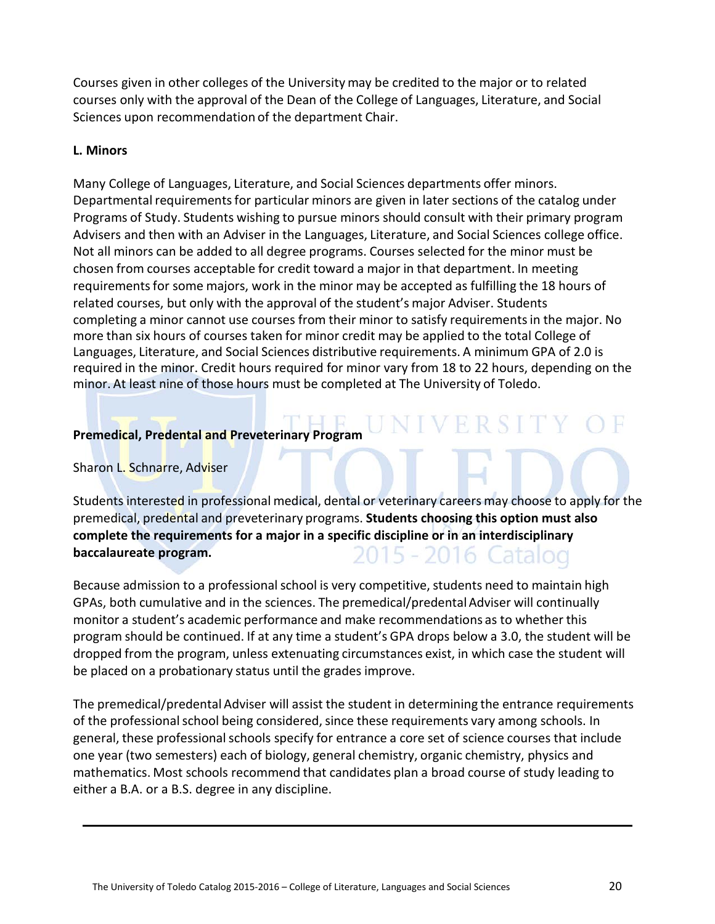Courses given in other colleges of the University may be credited to the major or to related courses only with the approval of the Dean of the College of Languages, Literature, and Social Sciences upon recommendation of the department Chair.

#### **L. Minors**

Many College of Languages, Literature, and Social Sciences departments offer minors. Departmental requirements for particular minors are given in later sections of the catalog under Programs of Study. Students wishing to pursue minors should consult with their primary program Advisers and then with an Adviser in the Languages, Literature, and Social Sciences college office. Not all minors can be added to all degree programs. Courses selected for the minor must be chosen from courses acceptable for credit toward a major in that department. In meeting requirementsfor some majors, work in the minor may be accepted as fulfilling the 18 hours of related courses, but only with the approval of the student's major Adviser. Students completing a minor cannot use courses from their minor to satisfy requirementsin the major. No more than six hours of courses taken for minor credit may be applied to the total College of Languages, Literature, and Social Sciences distributive requirements. A minimum GPA of 2.0 is required in the minor. Credit hours required for minor vary from 18 to 22 hours, depending on the minor. At least nine of those hours must be completed at The University of Toledo.

#### **Premedical, Predental and Preveterinary Program**

Sharon L. Schnarre, Adviser

Students interested in professional medical, dental or veterinary careers may choose to apply for the premedical, predental and preveterinary programs. **Students choosing this option must also complete the requirements for a major in a specific discipline or in an interdisciplinary baccalaureate program.** 2015 - 2016 Catalog

**IVERSITY OF** 

Because admission to a professional school is very competitive, students need to maintain high GPAs, both cumulative and in the sciences. The premedical/predental Adviser will continually monitor a student's academic performance and make recommendations as to whether this program should be continued. If at any time a student's GPA drops below a 3.0, the student will be dropped from the program, unless extenuating circumstances exist, in which case the student will be placed on a probationary status until the grades improve.

The premedical/predental Adviser will assist the student in determining the entrance requirements of the professional school being considered, since these requirements vary among schools. In general, these professional schools specify for entrance a core set of science courses that include one year (two semesters) each of biology, general chemistry, organic chemistry, physics and mathematics. Most schools recommend that candidates plan a broad course of study leading to either a B.A. or a B.S. degree in any discipline.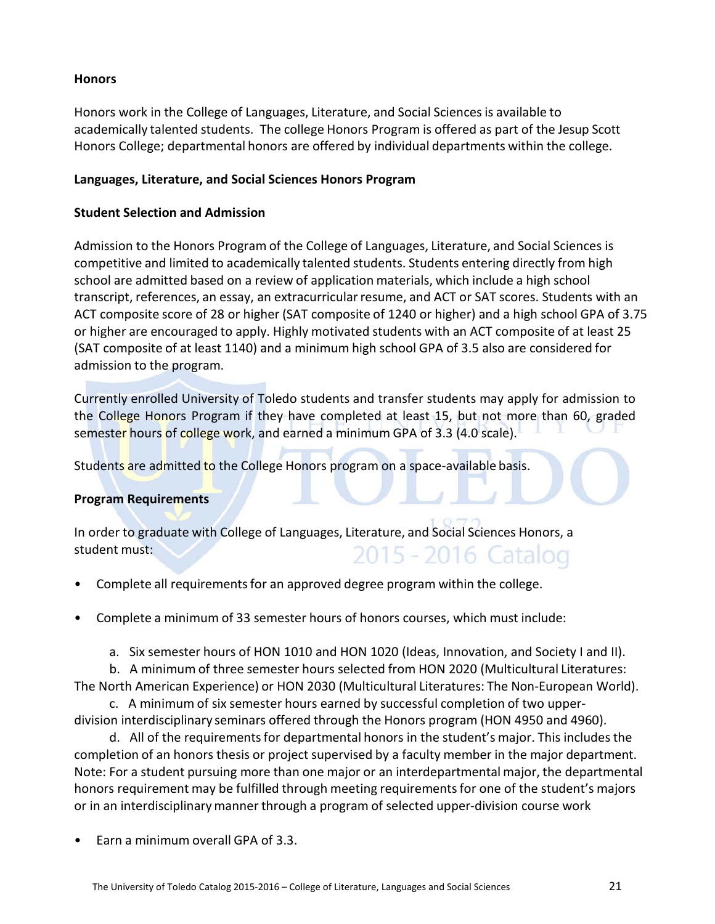#### **Honors**

Honors work in the College of Languages, Literature, and Social Sciencesis available to academically talented students. The college Honors Program is offered as part of the Jesup Scott Honors College; departmental honors are offered by individual departments within the college.

#### **Languages, Literature, and Social Sciences Honors Program**

#### **Student Selection and Admission**

Admission to the Honors Program of the College of Languages, Literature, and Social Sciences is competitive and limited to academically talented students. Students entering directly from high school are admitted based on a review of application materials, which include a high school transcript, references, an essay, an extracurricular resume, and ACT or SAT scores. Students with an ACT composite score of 28 or higher (SAT composite of 1240 or higher) and a high school GPA of 3.75 or higher are encouraged to apply. Highly motivated students with an ACT composite of at least 25 (SAT composite of at least 1140) and a minimum high school GPA of 3.5 also are considered for admission to the program.

Currently enrolled University of Toledo students and transfer students may apply for admission to the College Honors Program if they have completed at least 15, but not more than 60, graded semester hours of college work, and earned a minimum GPA of 3.3 (4.0 scale).

Students are admitted to the College Honors program on a space-available basis.

#### **Program Requirements**

In order to graduate with College of Languages, Literature, and Social Sciences Honors, a student must: 2015 - 2016 Catalog

- Complete all requirements for an approved degree program within the college.
- Complete a minimum of 33 semester hours of honors courses, which must include:
	- a. Six semester hours of HON 1010 and HON 1020 (Ideas, Innovation, and Society I and II).

b. A minimum of three semester hours selected from HON 2020 (Multicultural Literatures: The North American Experience) or HON 2030 (Multicultural Literatures: The Non-European World).

c. A minimum of six semester hours earned by successful completion of two upperdivision interdisciplinary seminars offered through the Honors program (HON 4950 and 4960).

d. All of the requirements for departmental honors in the student's major. This includes the completion of an honors thesis or project supervised by a faculty member in the major department. Note: For a student pursuing more than one major or an interdepartmental major, the departmental honors requirement may be fulfilled through meeting requirements for one of the student's majors or in an interdisciplinarymanner through a program of selected upper-division course work

• Earn a minimum overall GPA of 3.3.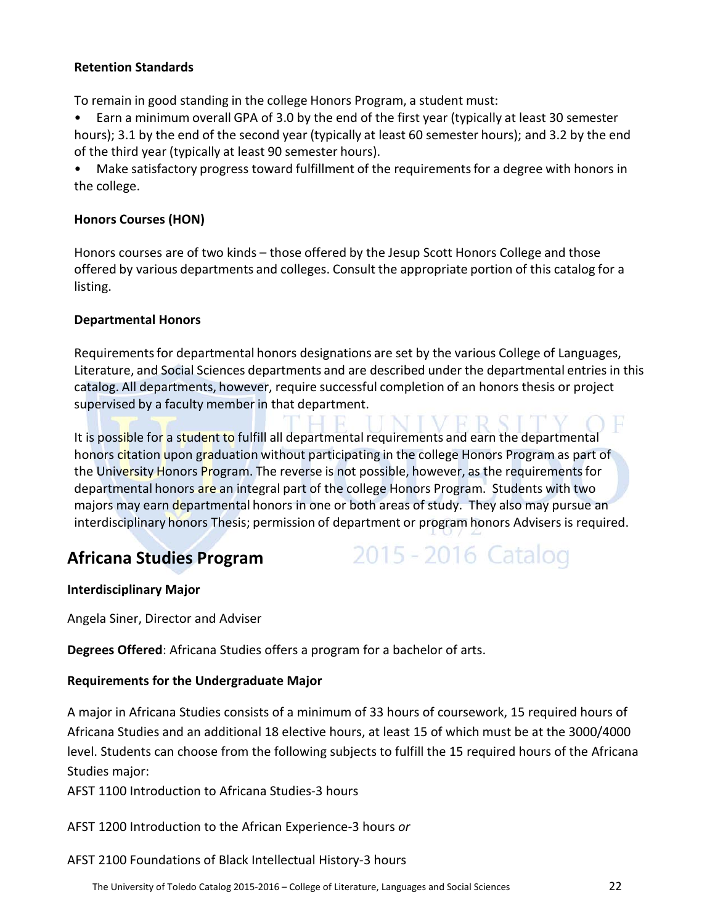#### **Retention Standards**

To remain in good standing in the college Honors Program, a student must:

• Earn a minimum overall GPA of 3.0 by the end of the first year (typically at least 30 semester hours); 3.1 by the end of the second year (typically at least 60 semester hours); and 3.2 by the end of the third year (typically at least 90 semester hours).

Make satisfactory progress toward fulfillment of the requirements for a degree with honors in the college.

#### **Honors Courses (HON)**

Honors courses are of two kinds – those offered by the Jesup Scott Honors College and those offered by various departments and colleges. Consult the appropriate portion of this catalog for a listing.

#### **Departmental Honors**

Requirementsfor departmental honors designations are set by the various College of Languages, Literature, and Social Sciences departments and are described under the departmental entries in this catalog. All departments, however, require successful completion of an honors thesis or project supervised by a faculty member in that department.

It is possible for a student to fulfill all departmental requirements and earn the departmental honors citation upon graduation without participating in the college Honors Program as part of the University Honors Program. The reverse is not possible, however, as the requirements for departmental honors are an integral part of the college Honors Program. Students with two majors may earn departmental honors in one or both areas of study. They also may pursue an interdisciplinary honors Thesis; permission of department or program honors Advisers is required.

#### **Africana Studies Program**

## 2015 - 2016 Catalog

#### **Interdisciplinary Major**

Angela Siner, Director and Adviser

**Degrees Offered**: Africana Studies offers a program for a bachelor of arts.

#### **Requirements for the Undergraduate Major**

A major in Africana Studies consists of a minimum of 33 hours of coursework, 15 required hours of Africana Studies and an additional 18 elective hours, at least 15 of which must be at the 3000/4000 level. Students can choose from the following subjects to fulfill the 15 required hours of the Africana Studies major:

AFST 1100 Introduction to Africana Studies-3 hours

AFST 1200 Introduction to the African Experience-3 hours *or*

AFST 2100 Foundations of Black Intellectual History-3 hours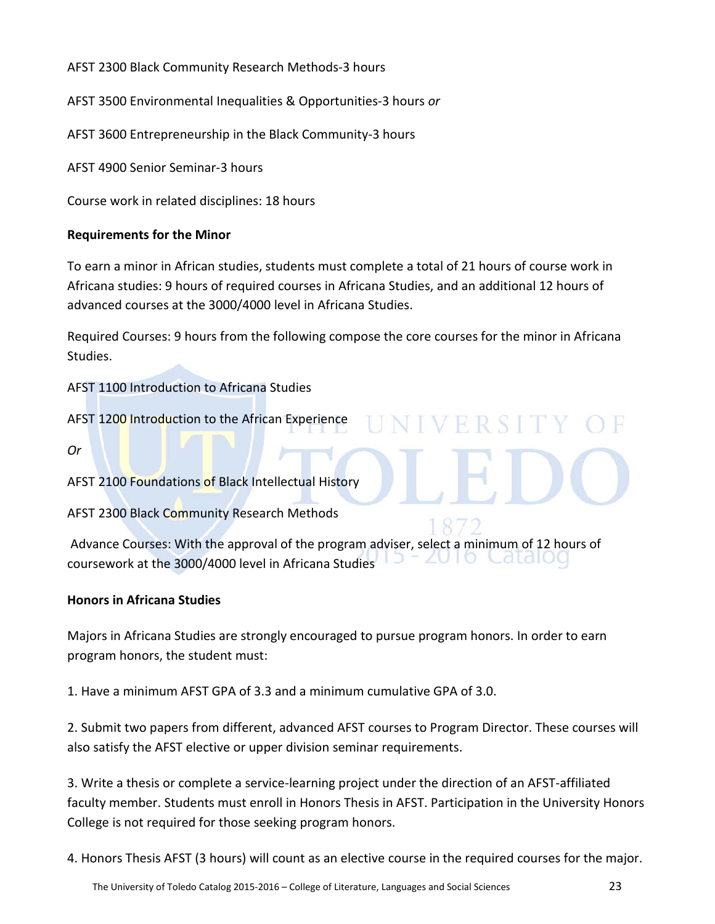AFST 2300 Black Community Research Methods-3 hours

AFST 3500 Environmental Inequalities & Opportunities-3 hours *or* 

AFST 3600 Entrepreneurship in the Black Community-3 hours

AFST 4900 Senior Seminar-3 hours

Course work in related disciplines: 18 hours

#### **Requirements for the Minor**

To earn a minor in African studies, students must complete a total of 21 hours of course work in Africana studies: 9 hours of required courses in Africana Studies, and an additional 12 hours of advanced courses at the 3000/4000 level in Africana Studies.

Required Courses: 9 hours from the following compose the core courses for the minor in Africana Studies.

**NIVERSIT** 

AFST 1100 Introduction to Africana Studies

AFST 1200 Introduction to the African Experience

*Or*

AFST 2100 Foundations of Black Intellectual History

AFST 2300 Black Community Research Methods

Advance Courses: With the approval of the program adviser, select a minimum of 12 hours of ataiou coursework at the 3000/4000 level in Africana Studies

#### **Honors in Africana Studies**

Majors in Africana Studies are strongly encouraged to pursue program honors. In order to earn program honors, the student must:

1. Have a minimum AFST GPA of 3.3 and a minimum cumulative GPA of 3.0.

2. Submit two papers from different, advanced AFST courses to Program Director. These courses will also satisfy the AFST elective or upper division seminar requirements.

3. Write a thesis or complete a service-learning project under the direction of an AFST-affiliated faculty member. Students must enroll in Honors Thesis in AFST. Participation in the University Honors College is not required for those seeking program honors.

4. Honors Thesis AFST (3 hours) will count as an elective course in the required courses for the major.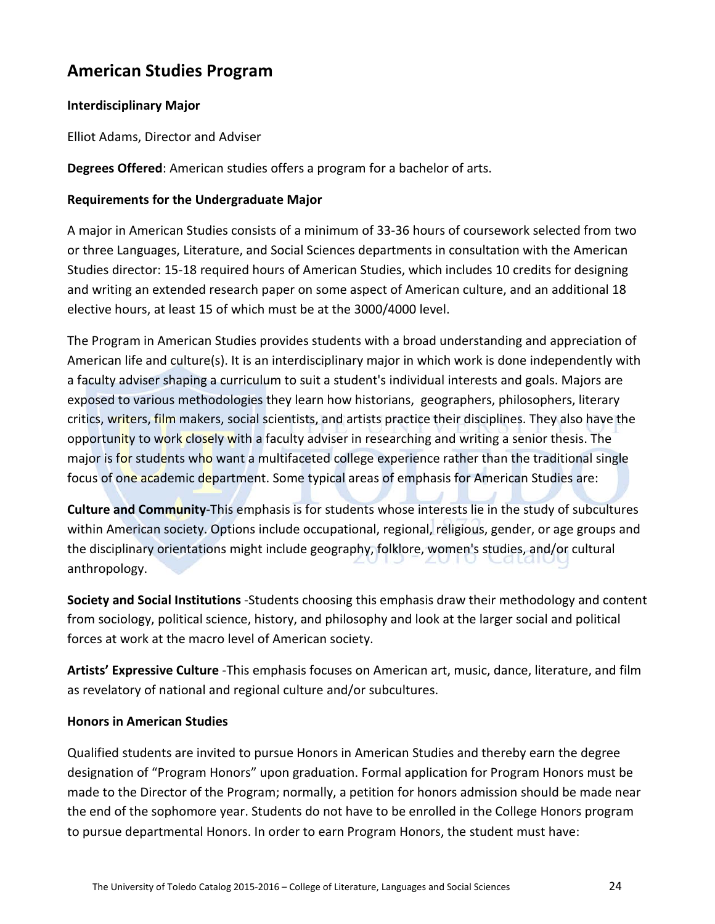#### **American Studies Program**

#### **Interdisciplinary Major**

Elliot Adams, Director and Adviser

**Degrees Offered**: American studies offers a program for a bachelor of arts.

#### **Requirements for the Undergraduate Major**

A major in American Studies consists of a minimum of 33-36 hours of coursework selected from two or three Languages, Literature, and Social Sciences departments in consultation with the American Studies director: 15-18 required hours of American Studies, which includes 10 credits for designing and writing an extended research paper on some aspect of American culture, and an additional 18 elective hours, at least 15 of which must be at the 3000/4000 level.

The Program in American Studies provides students with a broad understanding and appreciation of American life and culture(s). It is an interdisciplinary major in which work is done independently with a faculty adviser shaping a curriculum to suit a student's individual interests and goals. Majors are exposed to various methodologies they learn how historians, geographers, philosophers, literary critics, writers, film makers, social scientists, and artists practice their disciplines. They also have the opportunity to work closely with a faculty adviser in researching and writing a senior thesis. The major is for students who want a multifaceted college experience rather than the traditional single focus of one academic department. Some typical areas of emphasis for American Studies are:

**Culture and Community**-This emphasis is for students whose interests lie in the study of subcultures within American society. Options include occupational, regional, religious, gender, or age groups and the disciplinary orientations might include geography, folklore, women's studies, and/or cultural anthropology.

**Society and Social Institutions** -Students choosing this emphasis draw their methodology and content from sociology, political science, history, and philosophy and look at the larger social and political forces at work at the macro level of American society.

**Artists' Expressive Culture** -This emphasis focuses on American art, music, dance, literature, and film as revelatory of national and regional culture and/or subcultures.

#### **Honors in American Studies**

Qualified students are invited to pursue Honors in American Studies and thereby earn the degree designation of "Program Honors" upon graduation. Formal application for Program Honors must be made to the Director of the Program; normally, a petition for honors admission should be made near the end of the sophomore year. Students do not have to be enrolled in the College Honors program to pursue departmental Honors. In order to earn Program Honors, the student must have: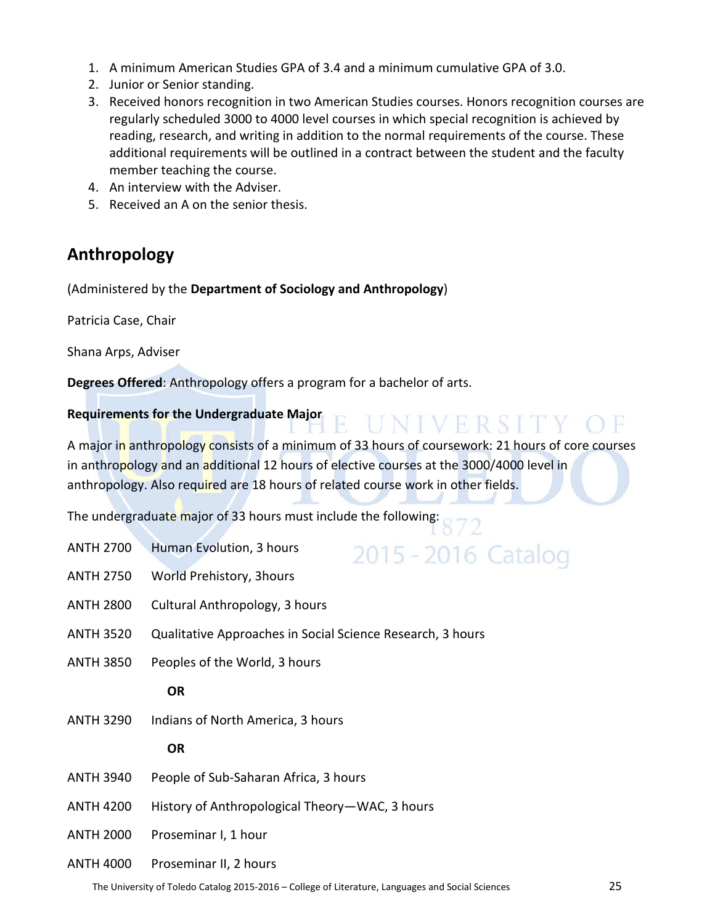- 1. A minimum American Studies GPA of 3.4 and a minimum cumulative GPA of 3.0.
- 2. Junior or Senior standing.
- 3. Received honors recognition in two American Studies courses. Honors recognition courses are regularly scheduled 3000 to 4000 level courses in which special recognition is achieved by reading, research, and writing in addition to the normal requirements of the course. These additional requirements will be outlined in a contract between the student and the faculty member teaching the course.
- 4. An interview with the Adviser.
- 5. Received an A on the senior thesis.

#### **Anthropology**

(Administered by the **Department of Sociology and Anthropology**)

Patricia Case, Chair

Shana Arps, Adviser

**Degrees Offered**: Anthropology offers a program for a bachelor of arts.

#### **Requirements for the Undergraduate Major**

A major in anthropology consists of a minimum of 33 hours of coursework: 21 hours of core courses in anthropology and an additional 12 hours of elective courses at the 3000/4000 level in anthropology. Also required are 18 hours of related course work in other fields.

UNIVERSITY OF

The undergraduate major of 33 hours must include the following:

| <b>ANTH 2700</b> | Human Evolution, 3 hours<br>2015 - 2016 Cataloo            |
|------------------|------------------------------------------------------------|
| <b>ANTH 2750</b> | World Prehistory, 3hours                                   |
| <b>ANTH 2800</b> | Cultural Anthropology, 3 hours                             |
| <b>ANTH 3520</b> | Qualitative Approaches in Social Science Research, 3 hours |
| <b>ANTH 3850</b> | Peoples of the World, 3 hours                              |
|                  | <b>OR</b>                                                  |
| <b>ANTH 3290</b> | Indians of North America, 3 hours                          |
|                  | <b>OR</b>                                                  |
| <b>ANTH 3940</b> | People of Sub-Saharan Africa, 3 hours                      |
| <b>ANTH 4200</b> | History of Anthropological Theory-WAC, 3 hours             |
| <b>ANTH 2000</b> | Proseminar I, 1 hour                                       |
| <b>ANTH 4000</b> | Proseminar II, 2 hours                                     |
|                  |                                                            |

The University of Toledo Catalog 2015-2016 – College of Literature, Languages and Social Sciences 25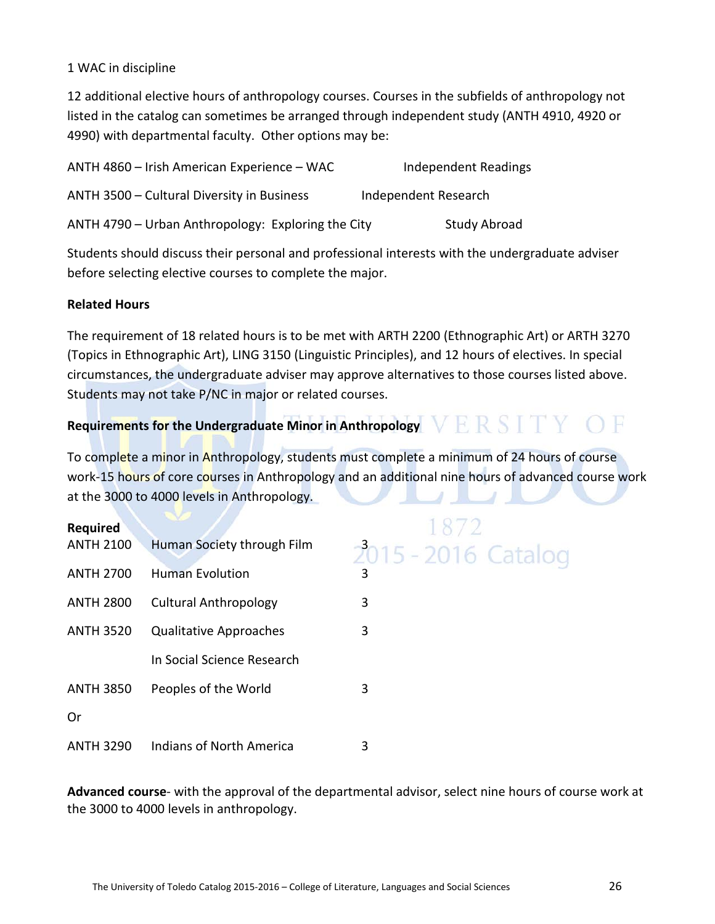#### 1 WAC in discipline

12 additional elective hours of anthropology courses. Courses in the subfields of anthropology not listed in the catalog can sometimes be arranged through independent study (ANTH 4910, 4920 or 4990) with departmental faculty. Other options may be:

| ANTH 4860 - Irish American Experience - WAC        | Independent Readings |
|----------------------------------------------------|----------------------|
| ANTH 3500 - Cultural Diversity in Business         | Independent Research |
| ANTH 4790 - Urban Anthropology: Exploring the City | <b>Study Abroad</b>  |

Students should discuss their personal and professional interests with the undergraduate adviser before selecting elective courses to complete the major.

#### **Related Hours**

The requirement of 18 related hours is to be met with ARTH 2200 (Ethnographic Art) or ARTH 3270 (Topics in Ethnographic Art), LING 3150 (Linguistic Principles), and 12 hours of electives. In special circumstances, the undergraduate adviser may approve alternatives to those courses listed above. Students may not take P/NC in major or related courses.

## Requirements for the Undergraduate Minor in Anthropology  $VERS I Y$  OF

To complete a minor in Anthropology, students must complete a minimum of 24 hours of course work-15 hours of core courses in Anthropology and an additional nine hours of advanced course work at the 3000 to 4000 levels in Anthropology. л

| Required         |                               |                     |
|------------------|-------------------------------|---------------------|
| <b>ANTH 2100</b> | Human Society through Film    | 2015 - 2016 Catalog |
| <b>ANTH 2700</b> | <b>Human Evolution</b>        | 3                   |
| <b>ANTH 2800</b> | <b>Cultural Anthropology</b>  | 3                   |
| <b>ANTH 3520</b> | <b>Qualitative Approaches</b> | 3                   |
|                  | In Social Science Research    |                     |
| <b>ANTH 3850</b> | Peoples of the World          | 3                   |
| Or               |                               |                     |
| <b>ANTH 3290</b> | Indians of North America      | 3                   |

**Advanced course**- with the approval of the departmental advisor, select nine hours of course work at the 3000 to 4000 levels in anthropology.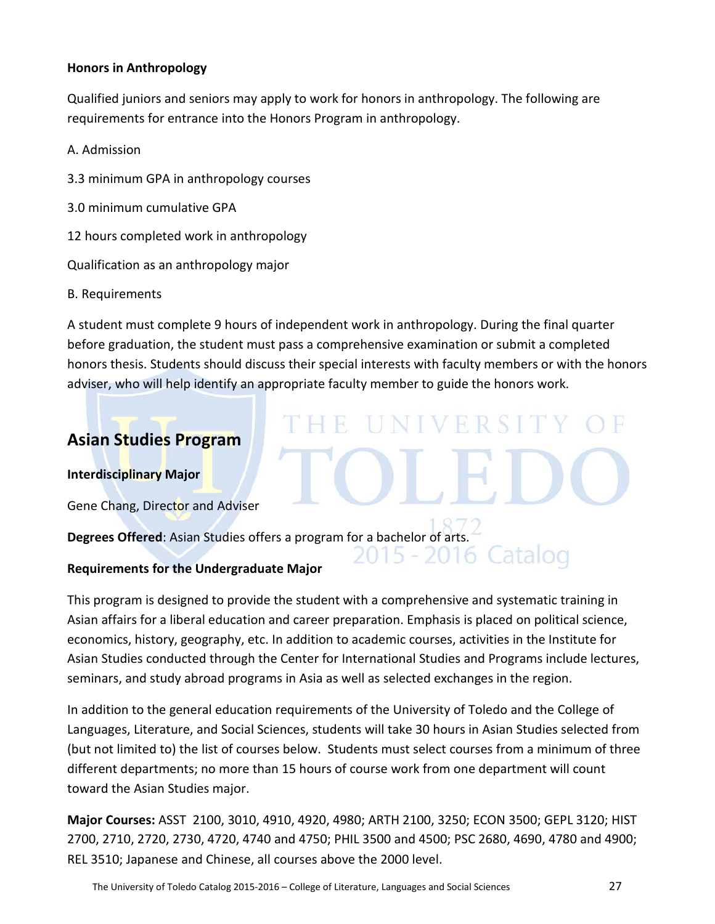#### **Honors in Anthropology**

Qualified juniors and seniors may apply to work for honors in anthropology. The following are requirements for entrance into the Honors Program in anthropology.

- A. Admission
- 3.3 minimum GPA in anthropology courses
- 3.0 minimum cumulative GPA
- 12 hours completed work in anthropology

Qualification as an anthropology major

B. Requirements

A student must complete 9 hours of independent work in anthropology. During the final quarter before graduation, the student must pass a comprehensive examination or submit a completed honors thesis. Students should discuss their special interests with faculty members or with the honors adviser, who will help identify an appropriate faculty member to guide the honors work.

E UNIVERSITY

 $15 - 20$ 

16 Catalog

#### **Asian Studies Program**

**Interdisciplinary Major**

Gene Chang, Director and Adviser

**Degrees Offered**: Asian Studies offers a program for a bachelor of arts.

#### **Requirements for the Undergraduate Major**

This program is designed to provide the student with a comprehensive and systematic training in Asian affairs for a liberal education and career preparation. Emphasis is placed on political science, economics, history, geography, etc. In addition to academic courses, activities in the Institute for Asian Studies conducted through the Center for International Studies and Programs include lectures, seminars, and study abroad programs in Asia as well as selected exchanges in the region.

In addition to the general education requirements of the University of Toledo and the College of Languages, Literature, and Social Sciences, students will take 30 hours in Asian Studies selected from (but not limited to) the list of courses below. Students must select courses from a minimum of three different departments; no more than 15 hours of course work from one department will count toward the Asian Studies major.

**Major Courses:** ASST 2100, 3010, 4910, 4920, 4980; ARTH 2100, 3250; ECON 3500; GEPL 3120; HIST 2700, 2710, 2720, 2730, 4720, 4740 and 4750; PHIL 3500 and 4500; PSC 2680, 4690, 4780 and 4900; REL 3510; Japanese and Chinese, all courses above the 2000 level.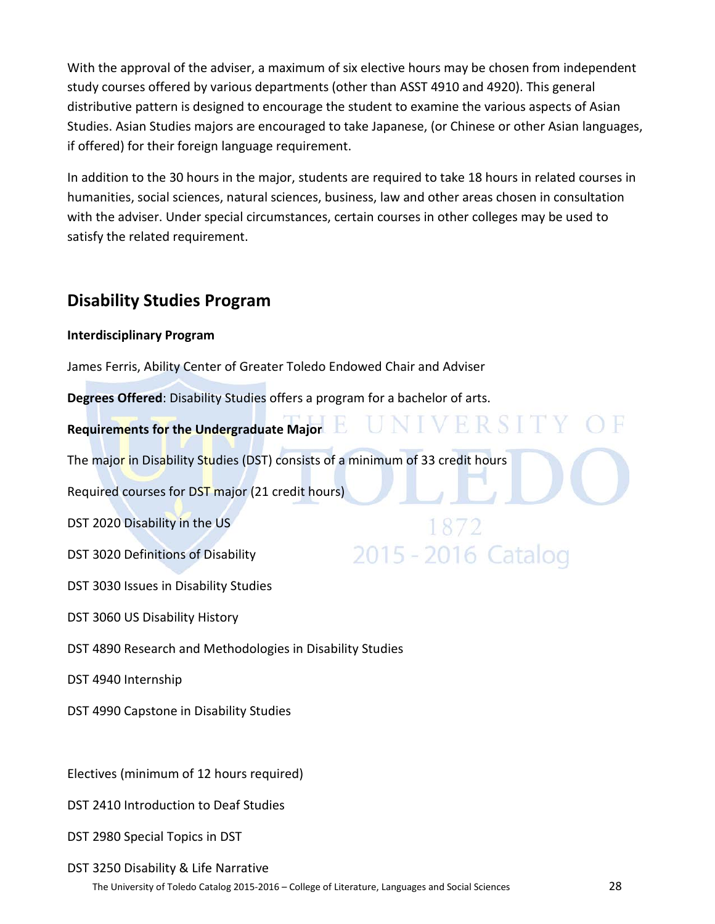With the approval of the adviser, a maximum of six elective hours may be chosen from independent study courses offered by various departments (other than ASST 4910 and 4920). This general distributive pattern is designed to encourage the student to examine the various aspects of Asian Studies. Asian Studies majors are encouraged to take Japanese, (or Chinese or other Asian languages, if offered) for their foreign language requirement.

In addition to the 30 hours in the major, students are required to take 18 hours in related courses in humanities, social sciences, natural sciences, business, law and other areas chosen in consultation with the adviser. Under special circumstances, certain courses in other colleges may be used to satisfy the related requirement.

UNIVERSIT

2015 - 2016 Catalog

#### **Disability Studies Program**

#### **Interdisciplinary Program**

James Ferris, Ability Center of Greater Toledo Endowed Chair and Adviser

**Degrees Offered**: Disability Studies offers a program for a bachelor of arts.

#### **Requirements for the Undergraduate Major**

The major in Disability Studies (DST) consists of a minimum of 33 credit hours

Required courses for DST major (21 credit hours)

DST 2020 Disability in the US

DST 3020 Definitions of Disability

DST 3030 Issues in Disability Studies

DST 3060 US Disability History

DST 4890 Research and Methodologies in Disability Studies

DST 4940 Internship

DST 4990 Capstone in Disability Studies

Electives (minimum of 12 hours required)

- DST 2410 Introduction to Deaf Studies
- DST 2980 Special Topics in DST

#### DST 3250 Disability & Life Narrative

The University of Toledo Catalog 2015-2016 – College of Literature, Languages and Social Sciences 28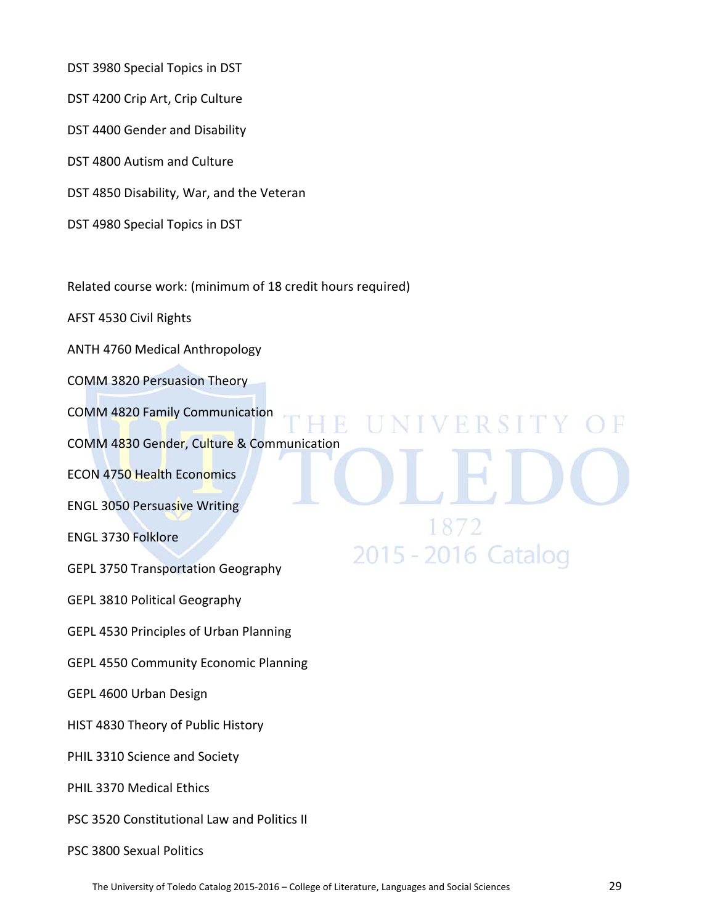DST 3980 Special Topics in DST

- DST 4200 Crip Art, Crip Culture
- DST 4400 Gender and Disability
- DST 4800 Autism and Culture
- DST 4850 Disability, War, and the Veteran
- DST 4980 Special Topics in DST

Related course work: (minimum of 18 credit hours required)

AFST 4530 Civil Rights

ANTH 4760 Medical Anthropology

COMM 3820 Persuasion Theory

COMM 4820 Family Communication

COMM 4830 Gender, Culture & Communication

ECON 4750 Health Economics

ENGL 3050 Persuasive Writing

ENGL 3730 Folklore

GEPL 3750 Transportation Geography

GEPL 3810 Political Geography

GEPL 4530 Principles of Urban Planning

GEPL 4550 Community Economic Planning

GEPL 4600 Urban Design

HIST 4830 Theory of Public History

PHIL 3310 Science and Society

PHIL 3370 Medical Ethics

- PSC 3520 Constitutional Law and Politics II
- PSC 3800 Sexual Politics

**IINIVERSIT** 

2015 - 2016 Catalog

R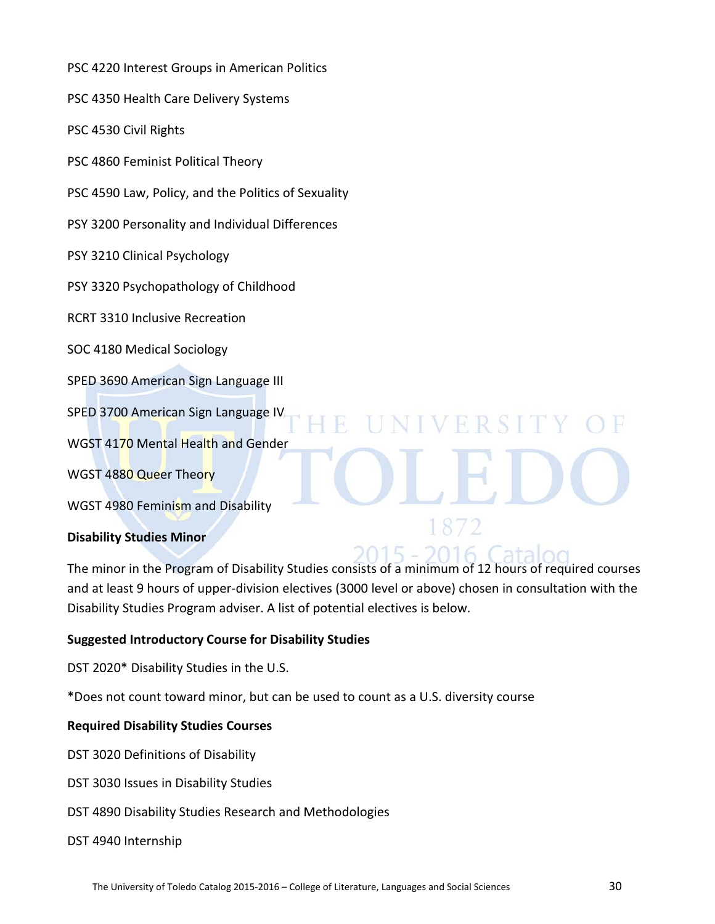PSC 4220 Interest Groups in American Politics

PSC 4350 Health Care Delivery Systems

PSC 4530 Civil Rights

PSC 4860 Feminist Political Theory

PSC 4590 Law, Policy, and the Politics of Sexuality

PSY 3200 Personality and Individual Differences

PSY 3210 Clinical Psychology

PSY 3320 Psychopathology of Childhood

RCRT 3310 Inclusive Recreation

SOC 4180 Medical Sociology

SPED 3690 American Sign Language III

SPED 3700 American Sign Language IV

WGST 4170 Mental Health and Gender

WGST 4880 Queer Theory

WGST 4980 Feminism and Disability

#### **Disability Studies Minor**

The minor in the Program of Disability Studies consists of a minimum of 12 hours of required courses and at least 9 hours of upper-division electives (3000 level or above) chosen in consultation with the Disability Studies Program adviser. A list of potential electives is below.

2015 -

**IINIVERSIT** 

#### **Suggested Introductory Course for Disability Studies**

DST 2020\* Disability Studies in the U.S.

\*Does not count toward minor, but can be used to count as a U.S. diversity course

#### **Required Disability Studies Courses**

DST 3020 Definitions of Disability

- DST 3030 Issues in Disability Studies
- DST 4890 Disability Studies Research and Methodologies

#### DST 4940 Internship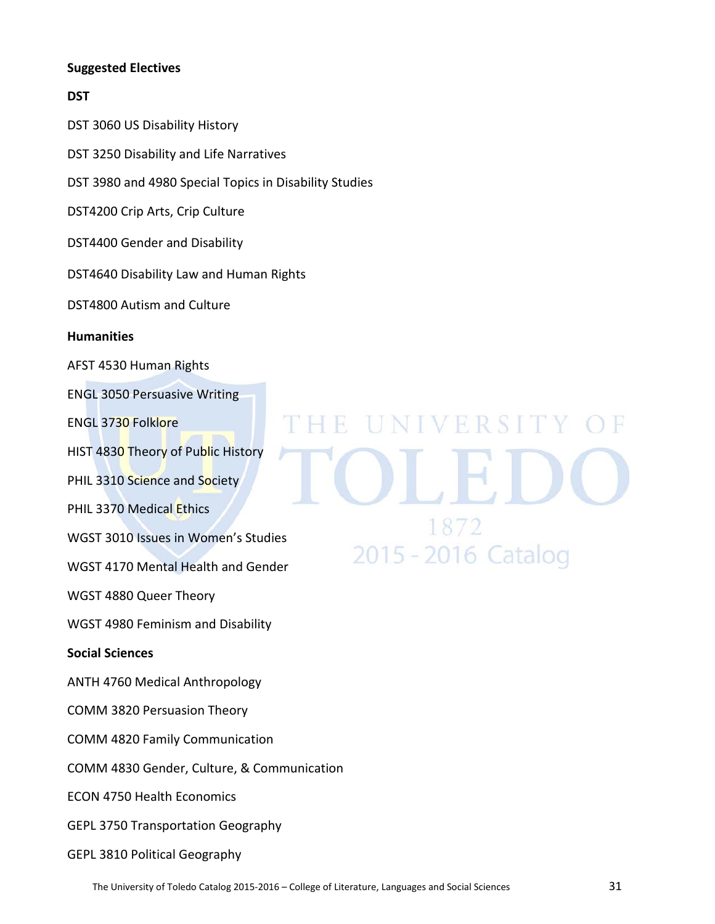#### **Suggested Electives**

#### **DST**

DST 3060 US Disability History

DST 3250 Disability and Life Narratives

DST 3980 and 4980 Special Topics in Disability Studies

DST4200 Crip Arts, Crip Culture

DST4400 Gender and Disability

DST4640 Disability Law and Human Rights

DST4800 Autism and Culture

#### **Humanities**

AFST 4530 Human Rights

ENGL 3050 Persuasive Writing

ENGL 3730 Folklore

HIST 4830 Theory of Public History

PHIL 3310 Science and Society

PHIL 3370 Medical Ethics

WGST 3010 Issues in Women's Studies

WGST 4170 Mental Health and Gender

WGST 4880 Queer Theory

WGST 4980 Feminism and Disability

**Social Sciences**

ANTH 4760 Medical Anthropology

COMM 3820 Persuasion Theory

COMM 4820 Family Communication

COMM 4830 Gender, Culture, & Communication

ECON 4750 Health Economics

GEPL 3750 Transportation Geography

GEPL 3810 Political Geography

# **HE UNIVERSITY** 2015 - 2016 Catalog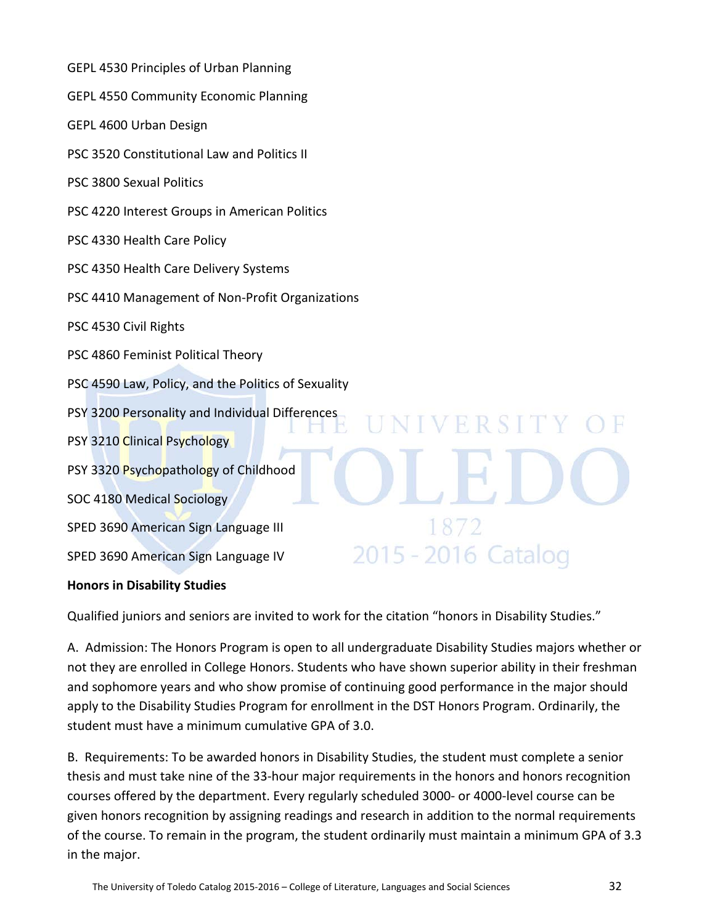| GEPL 4530 Principles of Urban Planning                      |
|-------------------------------------------------------------|
| <b>GEPL 4550 Community Economic Planning</b>                |
| GEPL 4600 Urban Design                                      |
| PSC 3520 Constitutional Law and Politics II                 |
| PSC 3800 Sexual Politics                                    |
| PSC 4220 Interest Groups in American Politics               |
| PSC 4330 Health Care Policy                                 |
| PSC 4350 Health Care Delivery Systems                       |
| PSC 4410 Management of Non-Profit Organizations             |
| PSC 4530 Civil Rights                                       |
| PSC 4860 Feminist Political Theory                          |
| PSC 4590 Law, Policy, and the Politics of Sexuality         |
| PSY 3200 Personality and Individual Differences<br>NIVERSIT |
| PSY 3210 Clinical Psychology                                |
| PSY 3320 Psychopathology of Childhood                       |
| SOC 4180 Medical Sociology                                  |
| 1872<br>SPED 3690 American Sign Language III                |
| 2015 - 2016 Cata<br>SPED 3690 American Sign Language IV     |
| <b>Honors in Disability Studies</b>                         |

Qualified juniors and seniors are invited to work for the citation "honors in Disability Studies."

A. Admission: The Honors Program is open to all undergraduate Disability Studies majors whether or not they are enrolled in College Honors. Students who have shown superior ability in their freshman and sophomore years and who show promise of continuing good performance in the major should apply to the Disability Studies Program for enrollment in the DST Honors Program. Ordinarily, the student must have a minimum cumulative GPA of 3.0.

B. Requirements: To be awarded honors in Disability Studies, the student must complete a senior thesis and must take nine of the 33-hour major requirements in the honors and honors recognition courses offered by the department. Every regularly scheduled 3000- or 4000-level course can be given honors recognition by assigning readings and research in addition to the normal requirements of the course. To remain in the program, the student ordinarily must maintain a minimum GPA of 3.3 in the major.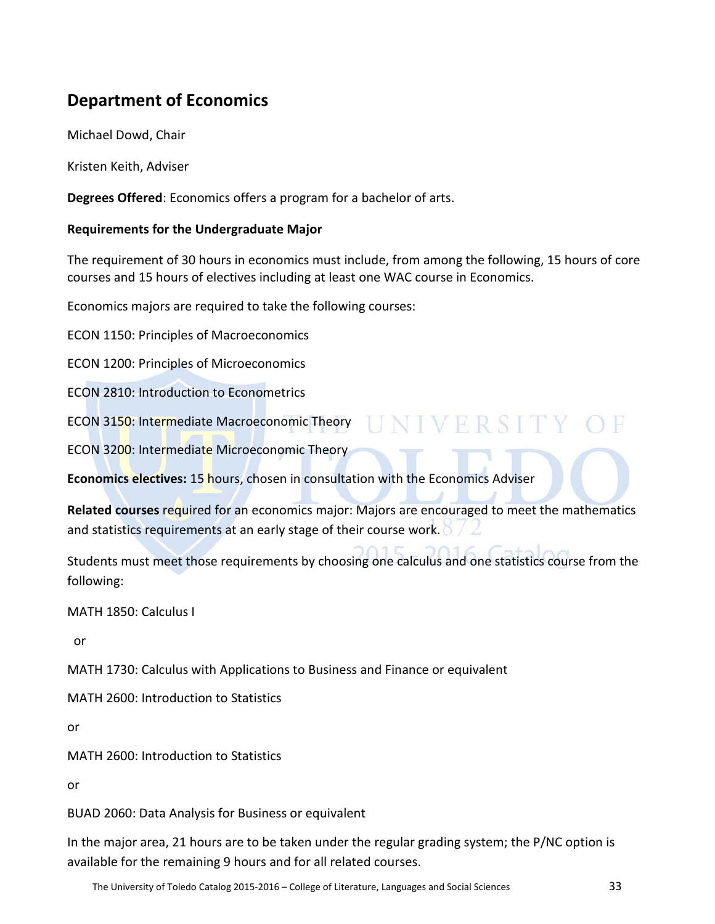### **Department of Economics**

Michael Dowd, Chair

Kristen Keith, Adviser

**Degrees Offered**: Economics offers a program for a bachelor of arts.

#### **Requirements for the Undergraduate Major**

The requirement of 30 hours in economics must include, from among the following, 15 hours of core courses and 15 hours of electives including at least one WAC course in Economics.

Economics majors are required to take the following courses:

ECON 1150: Principles of Macroeconomics

ECON 1200: Principles of Microeconomics

ECON 2810: Introduction to Econometrics

ECON 3150: Intermediate Macroeconomic Theory

ECON 3200: Intermediate Microeconomic Theory

**Economics electives:** 15 hours, chosen in consultation with the Economics Adviser

**Related courses** required for an economics major: Majors are encouraged to meet the mathematics and statistics requirements at an early stage of their course work.

UNIVERSITY OF

Students must meet those requirements by choosing one calculus and one statistics course from the following:

MATH 1850: Calculus I

or

MATH 1730: Calculus with Applications to Business and Finance or equivalent

MATH 2600: Introduction to Statistics

or

MATH 2600: Introduction to Statistics

or

BUAD 2060: Data Analysis for Business or equivalent

In the major area, 21 hours are to be taken under the regular grading system; the P/NC option is available for the remaining 9 hours and for all related courses.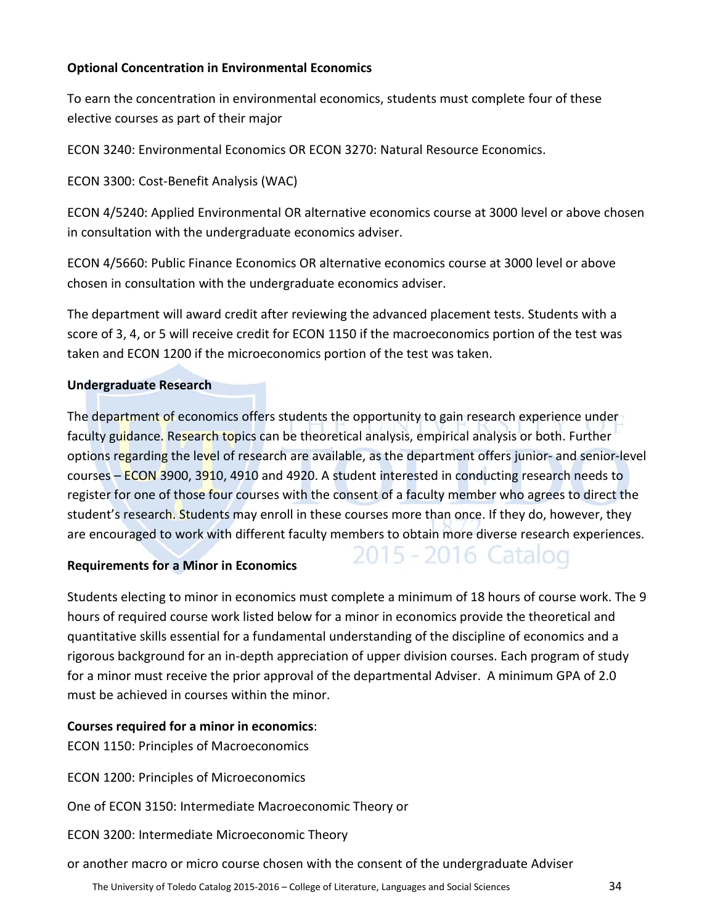#### **Optional Concentration in Environmental Economics**

To earn the concentration in environmental economics, students must complete four of these elective courses as part of their major

ECON 3240: Environmental Economics OR ECON 3270: Natural Resource Economics.

ECON 3300: Cost-Benefit Analysis (WAC)

ECON 4/5240: Applied Environmental OR alternative economics course at 3000 level or above chosen in consultation with the undergraduate economics adviser.

ECON 4/5660: Public Finance Economics OR alternative economics course at 3000 level or above chosen in consultation with the undergraduate economics adviser.

The department will award credit after reviewing the advanced placement tests. Students with a score of 3, 4, or 5 will receive credit for ECON 1150 if the macroeconomics portion of the test was taken and ECON 1200 if the microeconomics portion of the test was taken.

#### **Undergraduate Research**

The department of economics offers students the opportunity to gain research experience under faculty guidance. Research topics can be theoretical analysis, empirical analysis or both. Further options regarding the level of research are available, as the department offers junior- and senior-level courses – ECON 3900, 3910, 4910 and 4920. A student interested in conducting research needs to register for one of those four courses with the consent of a faculty member who agrees to direct the student's research. Students may enroll in these courses more than once. If they do, however, they are encouraged to work with different faculty members to obtain more diverse research experiences.

2015 - 2016 Catalog

#### **Requirements for a Minor in Economics**

Students electing to minor in economics must complete a minimum of 18 hours of course work. The 9 hours of required course work listed below for a minor in economics provide the theoretical and quantitative skills essential for a fundamental understanding of the discipline of economics and a rigorous background for an in-depth appreciation of upper division courses. Each program of study for a minor must receive the prior approval of the departmental Adviser. A minimum GPA of 2.0 must be achieved in courses within the minor.

#### **Courses required for a minor in economics**:

ECON 1150: Principles of Macroeconomics

ECON 1200: Principles of Microeconomics

One of ECON 3150: Intermediate Macroeconomic Theory or

ECON 3200: Intermediate Microeconomic Theory

or another macro or micro course chosen with the consent of the undergraduate Adviser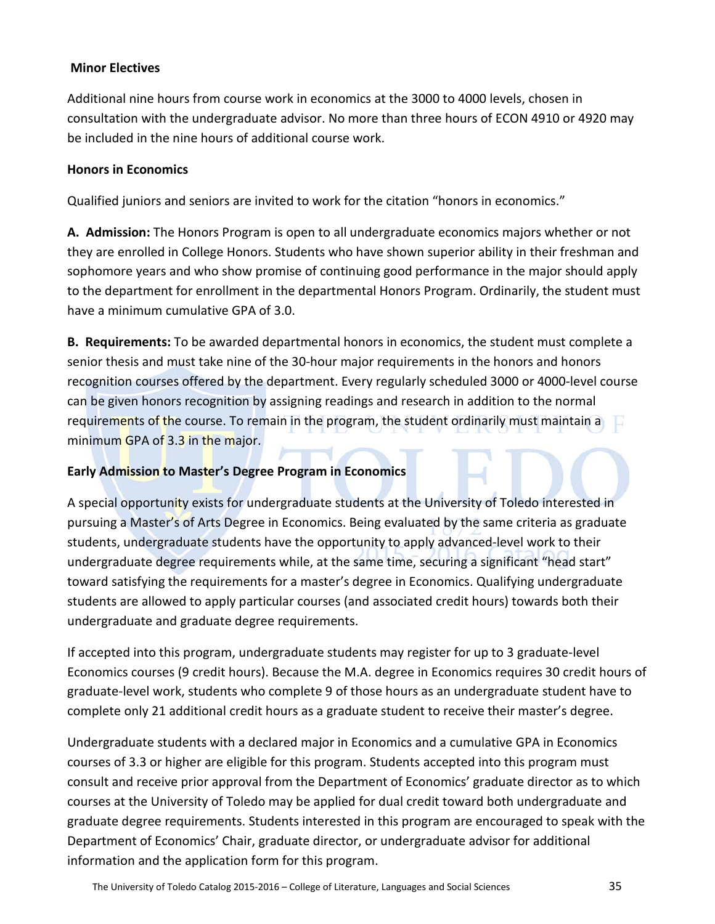#### **Minor Electives**

Additional nine hours from course work in economics at the 3000 to 4000 levels, chosen in consultation with the undergraduate advisor. No more than three hours of ECON 4910 or 4920 may be included in the nine hours of additional course work.

#### **Honors in Economics**

Qualified juniors and seniors are invited to work for the citation "honors in economics."

**A. Admission:** The Honors Program is open to all undergraduate economics majors whether or not they are enrolled in College Honors. Students who have shown superior ability in their freshman and sophomore years and who show promise of continuing good performance in the major should apply to the department for enrollment in the departmental Honors Program. Ordinarily, the student must have a minimum cumulative GPA of 3.0.

**B. Requirements:** To be awarded departmental honors in economics, the student must complete a senior thesis and must take nine of the 30-hour major requirements in the honors and honors recognition courses offered by the department. Every regularly scheduled 3000 or 4000-level course can be given honors recognition by assigning readings and research in addition to the normal requirements of the course. To remain in the program, the student ordinarily must maintain a minimum GPA of 3.3 in the major.

#### **Early Admission to Master's Degree Program in Economics**

A special opportunity exists for undergraduate students at the University of Toledo interested in pursuing a Master's of Arts Degree in Economics. Being evaluated by the same criteria as graduate students, undergraduate students have the opportunity to apply advanced-level work to their undergraduate degree requirements while, at the same time, securing a significant "head start" toward satisfying the requirements for a master's degree in Economics. Qualifying undergraduate students are allowed to apply particular courses (and associated credit hours) towards both their undergraduate and graduate degree requirements.

If accepted into this program, undergraduate students may register for up to 3 graduate-level Economics courses (9 credit hours). Because the M.A. degree in Economics requires 30 credit hours of graduate-level work, students who complete 9 of those hours as an undergraduate student have to complete only 21 additional credit hours as a graduate student to receive their master's degree.

Undergraduate students with a declared major in Economics and a cumulative GPA in Economics courses of 3.3 or higher are eligible for this program. Students accepted into this program must consult and receive prior approval from the Department of Economics' graduate director as to which courses at the University of Toledo may be applied for dual credit toward both undergraduate and graduate degree requirements. Students interested in this program are encouraged to speak with the Department of Economics' Chair, graduate director, or undergraduate advisor for additional information and the application form for this program.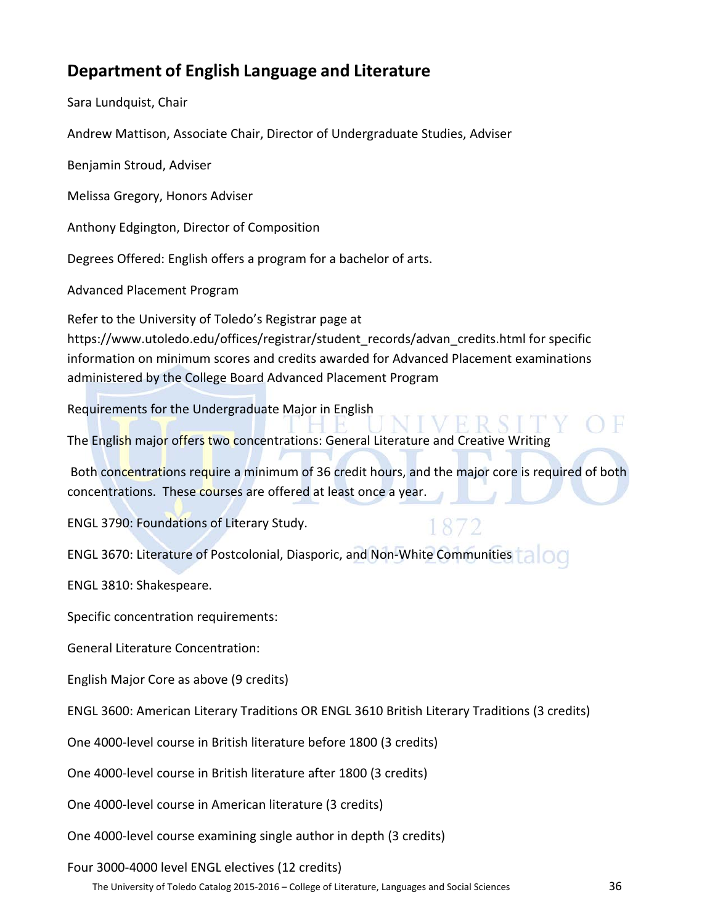#### **Department of English Language and Literature**

Sara Lundquist, Chair

Andrew Mattison, Associate Chair, Director of Undergraduate Studies, Adviser

Benjamin Stroud, Adviser

Melissa Gregory, Honors Adviser

Anthony Edgington, Director of Composition

Degrees Offered: English offers a program for a bachelor of arts.

Advanced Placement Program

Refer to the University of Toledo's Registrar page at https://www.utoledo.edu/offices/registrar/student\_records/advan\_credits.html for specific information on minimum scores and credits awarded for Advanced Placement examinations administered by the College Board Advanced Placement Program

Requirements for the Undergraduate Major in English

The English major offers two concentrations: General Literature and Creative Writing

Both concentrations require a minimum of 36 credit hours, and the major core is required of both concentrations. These courses are offered at least once a year.

ENGL 3790: Foundations of Literary Study.

ENGL 3670: Literature of Postcolonial, Diasporic, and Non-White Communities

ENGL 3810: Shakespeare.

Specific concentration requirements:

General Literature Concentration:

English Major Core as above (9 credits)

ENGL 3600: American Literary Traditions OR ENGL 3610 British Literary Traditions (3 credits)

One 4000-level course in British literature before 1800 (3 credits)

One 4000-level course in British literature after 1800 (3 credits)

One 4000-level course in American literature (3 credits)

One 4000-level course examining single author in depth (3 credits)

Four 3000-4000 level ENGL electives (12 credits)

The University of Toledo Catalog 2015-2016 – College of Literature, Languages and Social Sciences 36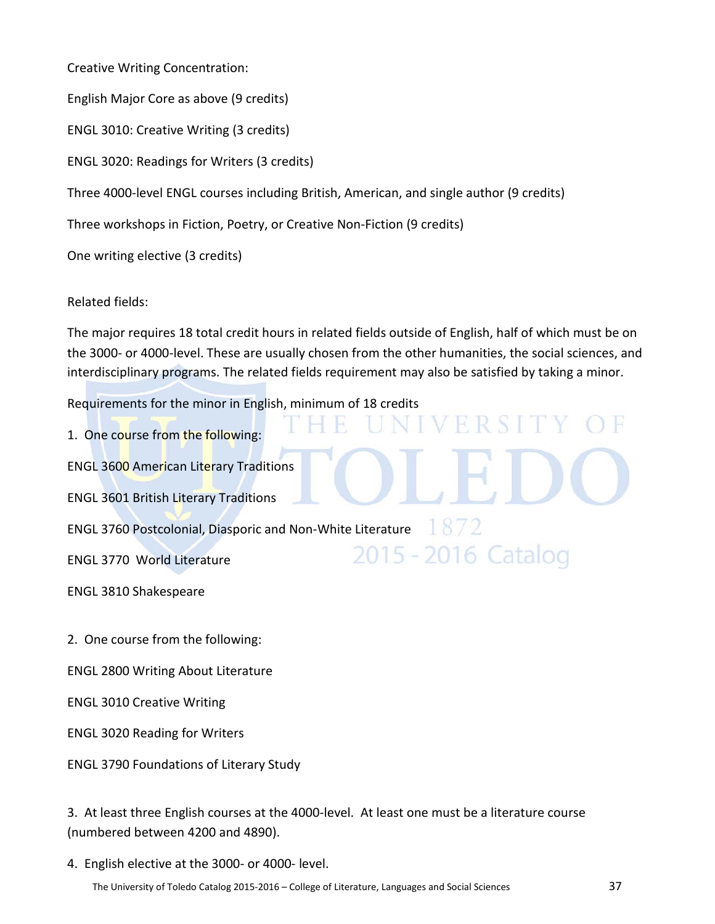Creative Writing Concentration:

English Major Core as above (9 credits)

ENGL 3010: Creative Writing (3 credits)

ENGL 3020: Readings for Writers (3 credits)

Three 4000-level ENGL courses including British, American, and single author (9 credits)

Three workshops in Fiction, Poetry, or Creative Non-Fiction (9 credits)

One writing elective (3 credits)

Related fields:

The major requires 18 total credit hours in related fields outside of English, half of which must be on the 3000- or 4000-level. These are usually chosen from the other humanities, the social sciences, and interdisciplinary programs. The related fields requirement may also be satisfied by taking a minor.

VERSIT

2015 - 2016 Catalog

Requirements for the minor in English, minimum of 18 credits

1. One course from the following:

ENGL 3600 American Literary Traditions

ENGL 3601 British Literary Traditions

ENGL 3760 Postcolonial, Diasporic and Non-White Literature

ENGL 3770 World Literature

ENGL 3810 Shakespeare

2. One course from the following:

ENGL 2800 Writing About Literature

ENGL 3010 Creative Writing

ENGL 3020 Reading for Writers

ENGL 3790 Foundations of Literary Study

3. At least three English courses at the 4000-level. At least one must be a literature course (numbered between 4200 and 4890).

4. English elective at the 3000- or 4000- level.

The University of Toledo Catalog 2015-2016 – College of Literature, Languages and Social Sciences 37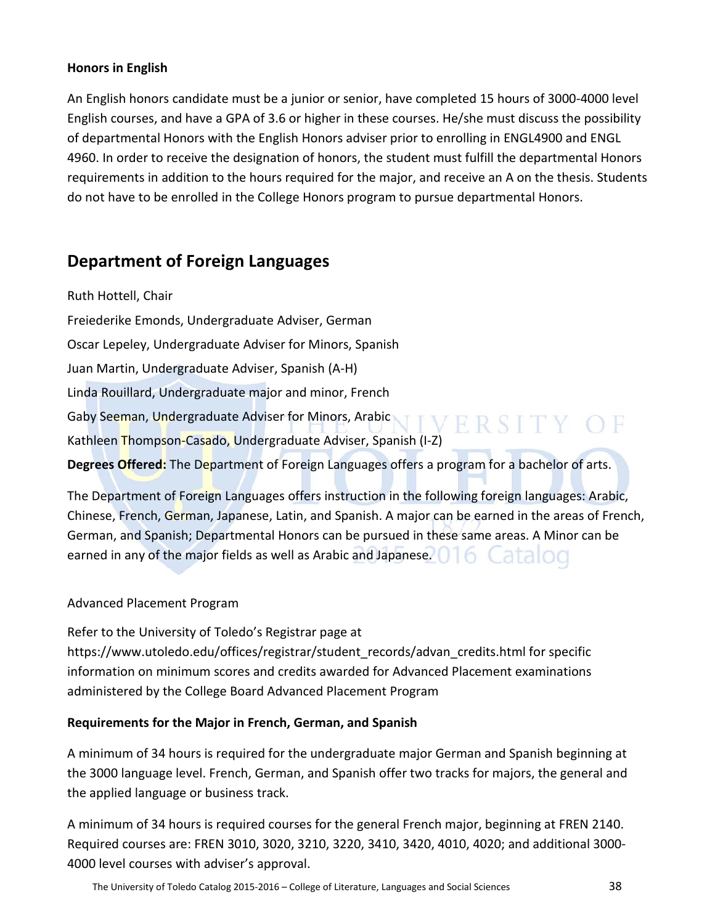# **Honors in English**

An English honors candidate must be a junior or senior, have completed 15 hours of 3000-4000 level English courses, and have a GPA of 3.6 or higher in these courses. He/she must discuss the possibility of departmental Honors with the English Honors adviser prior to enrolling in ENGL4900 and ENGL 4960. In order to receive the designation of honors, the student must fulfill the departmental Honors requirements in addition to the hours required for the major, and receive an A on the thesis. Students do not have to be enrolled in the College Honors program to pursue departmental Honors.

# **Department of Foreign Languages**

Ruth Hottell, Chair Freiederike Emonds, Undergraduate Adviser, German Oscar Lepeley, Undergraduate Adviser for Minors, Spanish Juan Martin, Undergraduate Adviser, Spanish (A-H) Linda Rouillard, Undergraduate major and minor, French Gaby Seeman, Undergraduate Adviser for Minors, Arabic VERSITY OF Kathleen Thompson-Casado, Undergraduate Adviser, Spanish (I-Z) **Degrees Offered:** The Department of Foreign Languages offers a program for a bachelor of arts.

The Department of Foreign Languages offers instruction in the following foreign languages: Arabic, Chinese, French, German, Japanese, Latin, and Spanish. A major can be earned in the areas of French, German, and Spanish; Departmental Honors can be pursued in these same areas. A Minor can be earned in any of the major fields as well as Arabic and Japanese. **The Catalog** 

# Advanced Placement Program

Refer to the University of Toledo's Registrar page at https://www.utoledo.edu/offices/registrar/student\_records/advan\_credits.html for specific information on minimum scores and credits awarded for Advanced Placement examinations administered by the College Board Advanced Placement Program

# **Requirements for the Major in French, German, and Spanish**

A minimum of 34 hours is required for the undergraduate major German and Spanish beginning at the 3000 language level. French, German, and Spanish offer two tracks for majors, the general and the applied language or business track.

A minimum of 34 hours is required courses for the general French major, beginning at FREN 2140. Required courses are: FREN 3010, 3020, 3210, 3220, 3410, 3420, 4010, 4020; and additional 3000- 4000 level courses with adviser's approval.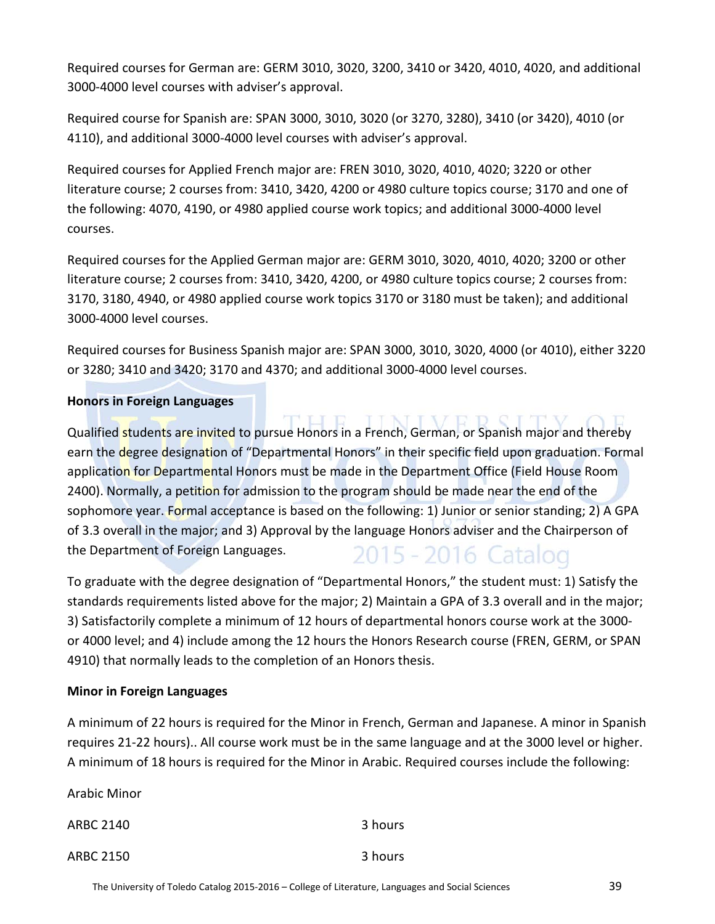Required courses for German are: GERM 3010, 3020, 3200, 3410 or 3420, 4010, 4020, and additional 3000-4000 level courses with adviser's approval.

Required course for Spanish are: SPAN 3000, 3010, 3020 (or 3270, 3280), 3410 (or 3420), 4010 (or 4110), and additional 3000-4000 level courses with adviser's approval.

Required courses for Applied French major are: FREN 3010, 3020, 4010, 4020; 3220 or other literature course; 2 courses from: 3410, 3420, 4200 or 4980 culture topics course; 3170 and one of the following: 4070, 4190, or 4980 applied course work topics; and additional 3000-4000 level courses.

Required courses for the Applied German major are: GERM 3010, 3020, 4010, 4020; 3200 or other literature course; 2 courses from: 3410, 3420, 4200, or 4980 culture topics course; 2 courses from: 3170, 3180, 4940, or 4980 applied course work topics 3170 or 3180 must be taken); and additional 3000-4000 level courses.

Required courses for Business Spanish major are: SPAN 3000, 3010, 3020, 4000 (or 4010), either 3220 or 3280; 3410 and 3420; 3170 and 4370; and additional 3000-4000 level courses.

# **Honors in Foreign Languages**

Qualified students are invited to pursue Honors in a French, German, or Spanish major and thereby earn the degree designation of "Departmental Honors" in their specific field upon graduation. Formal application for Departmental Honors must be made in the Department Office (Field House Room 2400). Normally, a petition for admission to the program should be made near the end of the sophomore year. Formal acceptance is based on the following: 1) Junior or senior standing; 2) A GPA of 3.3 overall in the major; and 3) Approval by the language Honors adviser and the Chairperson of the Department of Foreign Languages. 2015 - 2016 Catalog

To graduate with the degree designation of "Departmental Honors," the student must: 1) Satisfy the standards requirements listed above for the major; 2) Maintain a GPA of 3.3 overall and in the major; 3) Satisfactorily complete a minimum of 12 hours of departmental honors course work at the 3000 or 4000 level; and 4) include among the 12 hours the Honors Research course (FREN, GERM, or SPAN 4910) that normally leads to the completion of an Honors thesis.

# **Minor in Foreign Languages**

A minimum of 22 hours is required for the Minor in French, German and Japanese. A minor in Spanish requires 21-22 hours).. All course work must be in the same language and at the 3000 level or higher. A minimum of 18 hours is required for the Minor in Arabic. Required courses include the following:

Arabic Minor

ARBC 2140 3 hours ARBC 2150 3 hours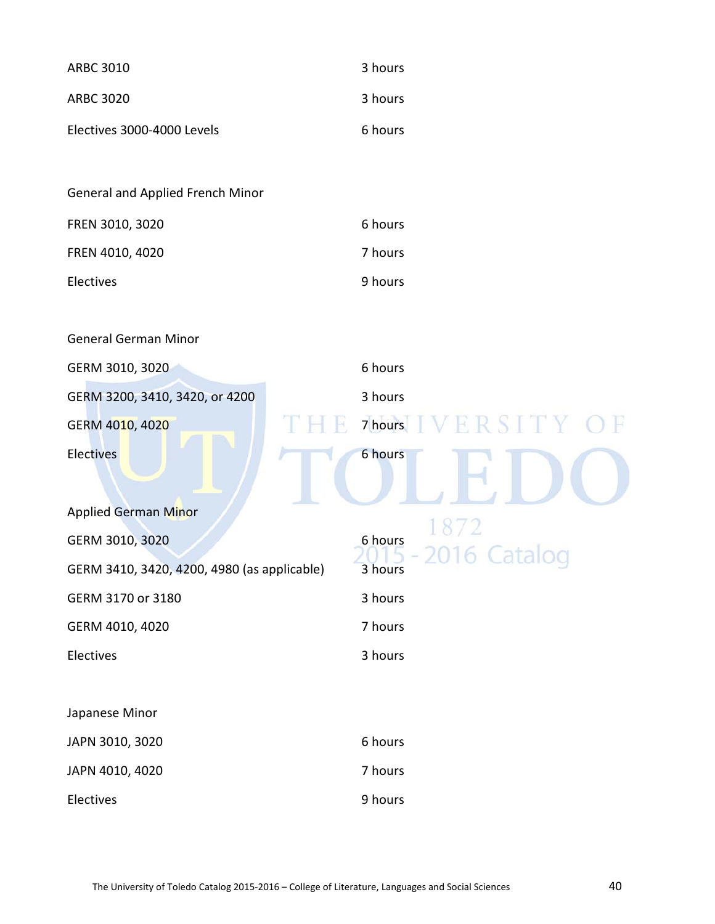| <b>ARBC 3010</b>                            | 3 hours                           |
|---------------------------------------------|-----------------------------------|
| <b>ARBC 3020</b>                            | 3 hours                           |
| Electives 3000-4000 Levels                  | 6 hours                           |
|                                             |                                   |
| General and Applied French Minor            |                                   |
| FREN 3010, 3020                             | 6 hours                           |
| FREN 4010, 4020                             | 7 hours                           |
| Electives                                   | 9 hours                           |
|                                             |                                   |
| <b>General German Minor</b>                 |                                   |
| GERM 3010, 3020                             | 6 hours                           |
| GERM 3200, 3410, 3420, or 4200              | 3 hours                           |
| GERM 4010, 4020                             | 7 hours IVERSITY<br>$\rightarrow$ |
| <b>Electives</b>                            | 6 hours                           |
| <b>Applied German Minor</b>                 |                                   |
| GERM 3010, 3020                             | 1872<br>6 hours                   |
| GERM 3410, 3420, 4200, 4980 (as applicable) | 2016 Catalog<br>3 hours           |
| GERM 3170 or 3180                           | 3 hours                           |
| GERM 4010, 4020                             | 7 hours                           |
| Electives                                   | 3 hours                           |
|                                             |                                   |
| Japanese Minor                              |                                   |
| JAPN 3010, 3020                             | 6 hours                           |
| JAPN 4010, 4020                             | 7 hours                           |
| Electives                                   | 9 hours                           |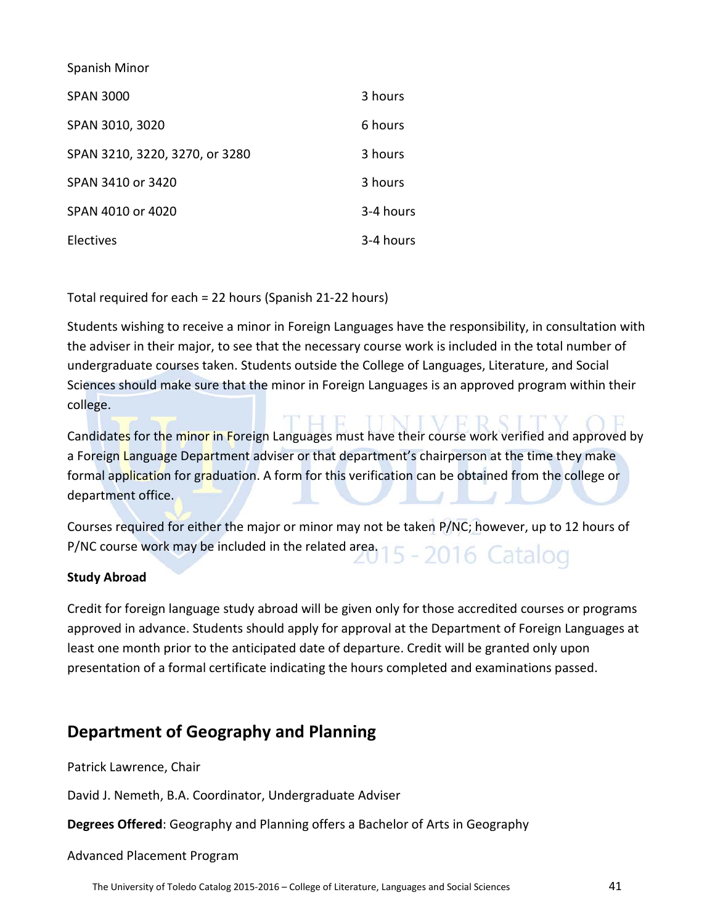Spanish Minor

| <b>SPAN 3000</b>               | 3 hours   |
|--------------------------------|-----------|
| SPAN 3010, 3020                | 6 hours   |
| SPAN 3210, 3220, 3270, or 3280 | 3 hours   |
| SPAN 3410 or 3420              | 3 hours   |
| SPAN 4010 or 4020              | 3-4 hours |
| Electives                      | 3-4 hours |

Total required for each = 22 hours (Spanish 21-22 hours)

Students wishing to receive a minor in Foreign Languages have the responsibility, in consultation with the adviser in their major, to see that the necessary course work is included in the total number of undergraduate courses taken. Students outside the College of Languages, Literature, and Social Sciences should make sure that the minor in Foreign Languages is an approved program within their college.

Candidates for the minor in Foreign Languages must have their course work verified and approved by a Foreign Language Department adviser or that department's chairperson at the time they make formal application for graduation. A form for this verification can be obtained from the college or department office.

Courses required for either the major or minor may not be taken P/NC; however, up to 12 hours of P/NC course work may be included in the related area. 15 - 2016 Catalog

# **Study Abroad**

Credit for foreign language study abroad will be given only for those accredited courses or programs approved in advance. Students should apply for approval at the Department of Foreign Languages at least one month prior to the anticipated date of departure. Credit will be granted only upon presentation of a formal certificate indicating the hours completed and examinations passed.

# **Department of Geography and Planning**

Patrick Lawrence, Chair

David J. Nemeth, B.A. Coordinator, Undergraduate Adviser

**Degrees Offered**: Geography and Planning offers a Bachelor of Arts in Geography

# Advanced Placement Program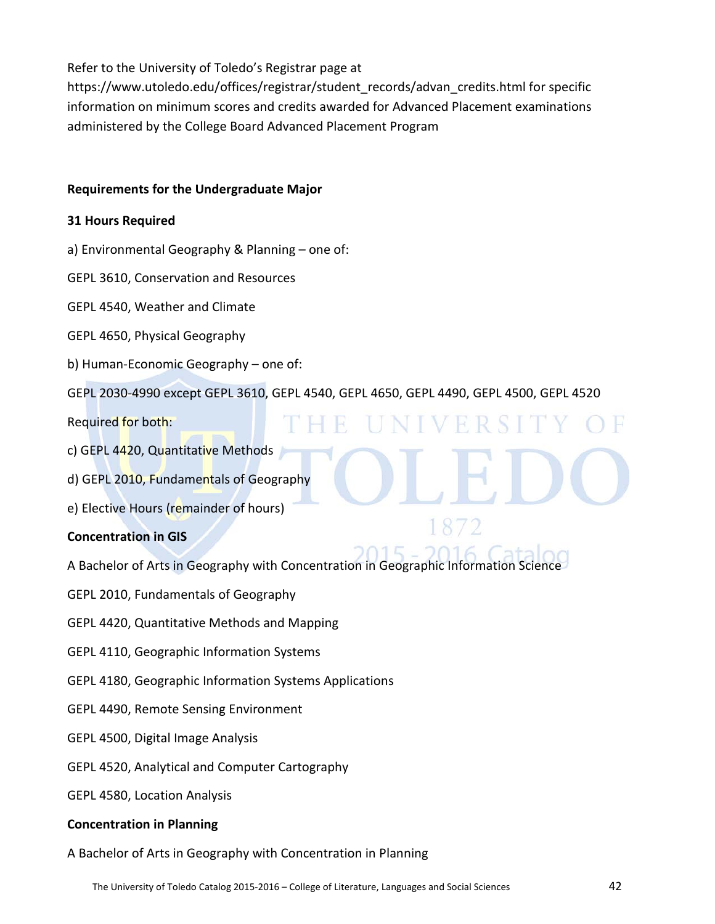Refer to the University of Toledo's Registrar page at

https://www.utoledo.edu/offices/registrar/student\_records/advan\_credits.html for specific information on minimum scores and credits awarded for Advanced Placement examinations administered by the College Board Advanced Placement Program

# **Requirements for the Undergraduate Major**

# **31 Hours Required**

- a) Environmental Geography & Planning one of:
- GEPL 3610, Conservation and Resources
- GEPL 4540, Weather and Climate
- GEPL 4650, Physical Geography
- b) Human-Economic Geography one of:
- GEPL 2030-4990 except GEPL 3610, GEPL 4540, GEPL 4650, GEPL 4490, GEPL 4500, GEPL 4520

H.

ER S

- Required for both:
- c) GEPL 4420, Quantitative Methods
- d) GEPL 2010, Fundamentals of Geography
- e) Elective Hours (remainder of hours)

# **Concentration in GIS**

- A Bachelor of Arts in Geography with Concentration in Geographic Information Science
- GEPL 2010, Fundamentals of Geography
- GEPL 4420, Quantitative Methods and Mapping
- GEPL 4110, Geographic Information Systems
- GEPL 4180, Geographic Information Systems Applications
- GEPL 4490, Remote Sensing Environment
- GEPL 4500, Digital Image Analysis
- GEPL 4520, Analytical and Computer Cartography
- GEPL 4580, Location Analysis

# **Concentration in Planning**

A Bachelor of Arts in Geography with Concentration in Planning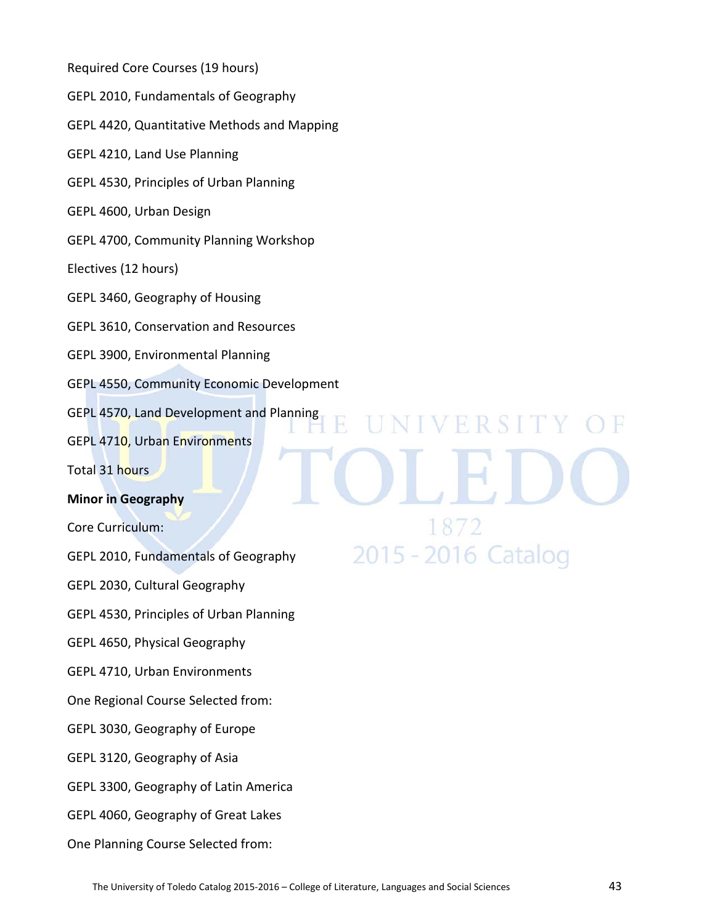Required Core Courses (19 hours) GEPL 2010, Fundamentals of Geography GEPL 4420, Quantitative Methods and Mapping GEPL 4210, Land Use Planning GEPL 4530, Principles of Urban Planning GEPL 4600, Urban Design GEPL 4700, Community Planning Workshop Electives (12 hours) GEPL 3460, Geography of Housing GEPL 3610, Conservation and Resources GEPL 3900, Environmental Planning GEPL 4550, Community Economic Development GEPL 4570, Land Development and Planning **NIVERSITY** GEPL 4710, Urban Environments Total 31 hours **Minor in Geography** Core Curriculum: 2015 - 2016 Catalog GEPL 2010, Fundamentals of Geography GEPL 2030, Cultural Geography GEPL 4530, Principles of Urban Planning GEPL 4650, Physical Geography GEPL 4710, Urban Environments One Regional Course Selected from: GEPL 3030, Geography of Europe GEPL 3120, Geography of Asia GEPL 3300, Geography of Latin America GEPL 4060, Geography of Great Lakes One Planning Course Selected from: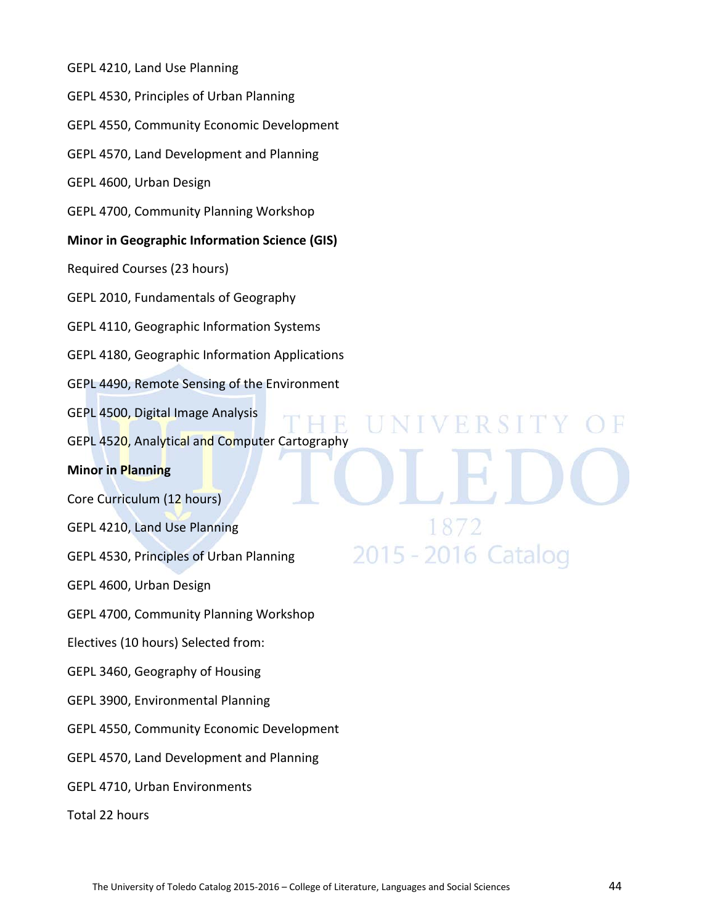GEPL 4210, Land Use Planning GEPL 4530, Principles of Urban Planning GEPL 4550, Community Economic Development GEPL 4570, Land Development and Planning GEPL 4600, Urban Design GEPL 4700, Community Planning Workshop **Minor in Geographic Information Science (GIS)** Required Courses (23 hours) GEPL 2010, Fundamentals of Geography GEPL 4110, Geographic Information Systems GEPL 4180, Geographic Information Applications GEPL 4490, Remote Sensing of the Environment GEPL 4500, Digital Image Analysis **NIVERSITY** GEPL 4520, Analytical and Computer Cartography **Minor in Planning** Core Curriculum (12 hours) GEPL 4210, Land Use Planning 2015 - 2016 Catalog GEPL 4530, Principles of Urban Planning GEPL 4600, Urban Design GEPL 4700, Community Planning Workshop Electives (10 hours) Selected from: GEPL 3460, Geography of Housing GEPL 3900, Environmental Planning GEPL 4550, Community Economic Development GEPL 4570, Land Development and Planning GEPL 4710, Urban Environments Total 22 hours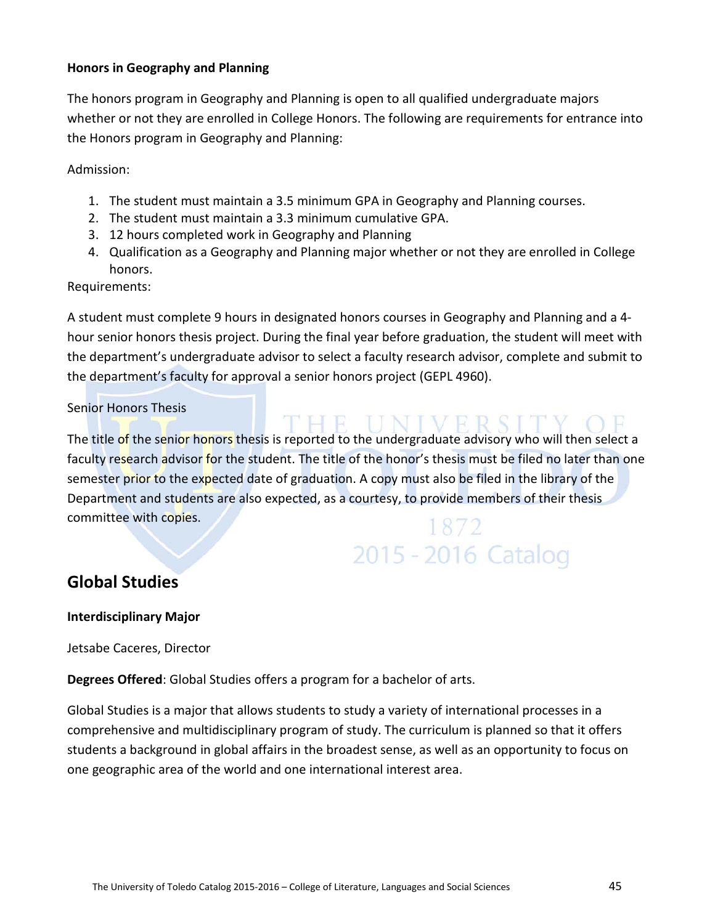# **Honors in Geography and Planning**

The honors program in Geography and Planning is open to all qualified undergraduate majors whether or not they are enrolled in College Honors. The following are requirements for entrance into the Honors program in Geography and Planning:

Admission:

- 1. The student must maintain a 3.5 minimum GPA in Geography and Planning courses.
- 2. The student must maintain a 3.3 minimum cumulative GPA.
- 3. 12 hours completed work in Geography and Planning
- 4. Qualification as a Geography and Planning major whether or not they are enrolled in College honors.

# Requirements:

A student must complete 9 hours in designated honors courses in Geography and Planning and a 4 hour senior honors thesis project. During the final year before graduation, the student will meet with the department's undergraduate advisor to select a faculty research advisor, complete and submit to the department's faculty for approval a senior honors project (GEPL 4960).

# Senior Honors Thesis

HE UNIVERSITY! The title of the senior honors thesis is reported to the undergraduate advisory who will then select a faculty research advisor for the student. The title of the honor's thesis must be filed no later than one semester prior to the expected date of graduation. A copy must also be filed in the library of the Department and students are also expected, as a courtesy, to provide members of their thesis committee with copies.

# 2015 - 2016 Catalog

# **Global Studies**

# **Interdisciplinary Major**

Jetsabe Caceres, Director

**Degrees Offered**: Global Studies offers a program for a bachelor of arts.

Global Studies is a major that allows students to study a variety of international processes in a comprehensive and multidisciplinary program of study. The curriculum is planned so that it offers students a background in global affairs in the broadest sense, as well as an opportunity to focus on one geographic area of the world and one international interest area.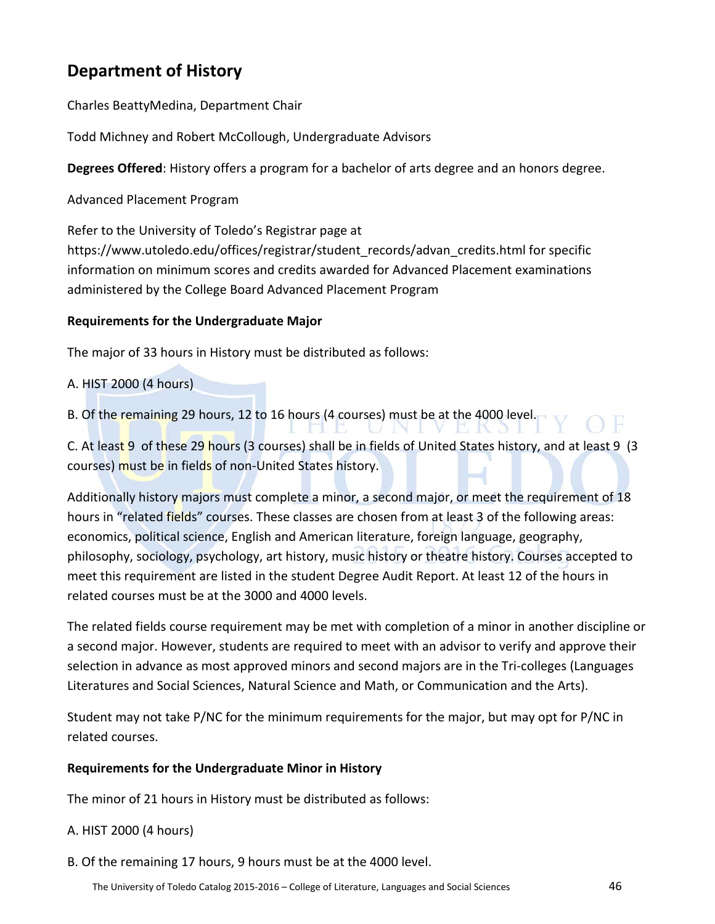# **Department of History**

Charles BeattyMedina, Department Chair

Todd Michney and Robert McCollough, Undergraduate Advisors

**Degrees Offered**: History offers a program for a bachelor of arts degree and an honors degree.

Advanced Placement Program

Refer to the University of Toledo's Registrar page at https://www.utoledo.edu/offices/registrar/student\_records/advan\_credits.html for specific information on minimum scores and credits awarded for Advanced Placement examinations administered by the College Board Advanced Placement Program

# **Requirements for the Undergraduate Major**

The major of 33 hours in History must be distributed as follows:

A. HIST 2000 (4 hours)

B. Of the remaining 29 hours, 12 to 16 hours (4 courses) must be at the 4000 level.

C. At least 9 of these 29 hours (3 courses) shall be in fields of United States history, and at least 9 (3 courses) must be in fields of non-United States history.

Additionally history majors must complete a minor, a second major, or meet the requirement of 18 hours in "related fields" courses. These classes are chosen from at least 3 of the following areas: economics, political science, English and American literature, foreign language, geography, philosophy, sociology, psychology, art history, music history or theatre history. Courses accepted to meet this requirement are listed in the student Degree Audit Report. At least 12 of the hours in related courses must be at the 3000 and 4000 levels.

The related fields course requirement may be met with completion of a minor in another discipline or a second major. However, students are required to meet with an advisor to verify and approve their selection in advance as most approved minors and second majors are in the Tri-colleges (Languages Literatures and Social Sciences, Natural Science and Math, or Communication and the Arts).

Student may not take P/NC for the minimum requirements for the major, but may opt for P/NC in related courses.

# **Requirements for the Undergraduate Minor in History**

The minor of 21 hours in History must be distributed as follows:

# A. HIST 2000 (4 hours)

B. Of the remaining 17 hours, 9 hours must be at the 4000 level.

Y OF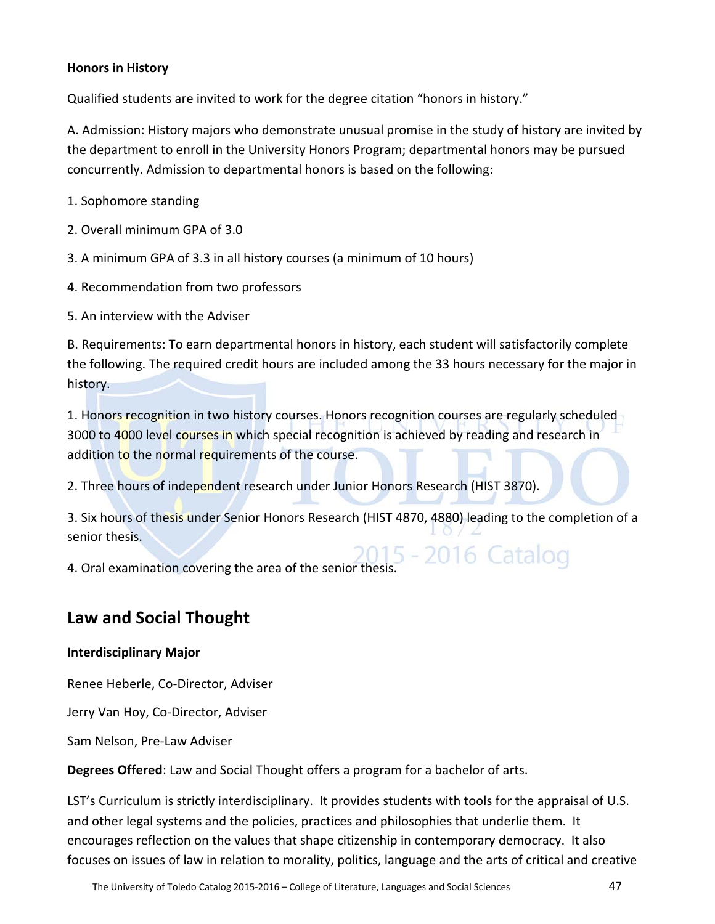# **Honors in History**

Qualified students are invited to work for the degree citation "honors in history."

A. Admission: History majors who demonstrate unusual promise in the study of history are invited by the department to enroll in the University Honors Program; departmental honors may be pursued concurrently. Admission to departmental honors is based on the following:

1. Sophomore standing

2. Overall minimum GPA of 3.0

3. A minimum GPA of 3.3 in all history courses (a minimum of 10 hours)

4. Recommendation from two professors

5. An interview with the Adviser

B. Requirements: To earn departmental honors in history, each student will satisfactorily complete the following. The required credit hours are included among the 33 hours necessary for the major in history.

1. Honors recognition in two history courses. Honors recognition courses are regularly scheduled 3000 to 4000 level courses in which special recognition is achieved by reading and research in addition to the normal requirements of the course.

2. Three hours of independent research under Junior Honors Research (HIST 3870).

3. Six hours of thesis under Senior Honors Research (HIST 4870, 4880) leading to the completion of a senior thesis.

4. Oral examination covering the area of the senior thesis.

# **Law and Social Thought**

# **Interdisciplinary Major**

Renee Heberle, Co-Director, Adviser

Jerry Van Hoy, Co-Director, Adviser

Sam Nelson, Pre-Law Adviser

**Degrees Offered**: Law and Social Thought offers a program for a bachelor of arts.

LST's Curriculum is strictly interdisciplinary. It provides students with tools for the appraisal of U.S. and other legal systems and the policies, practices and philosophies that underlie them. It encourages reflection on the values that shape citizenship in contemporary democracy. It also focuses on issues of law in relation to morality, politics, language and the arts of critical and creative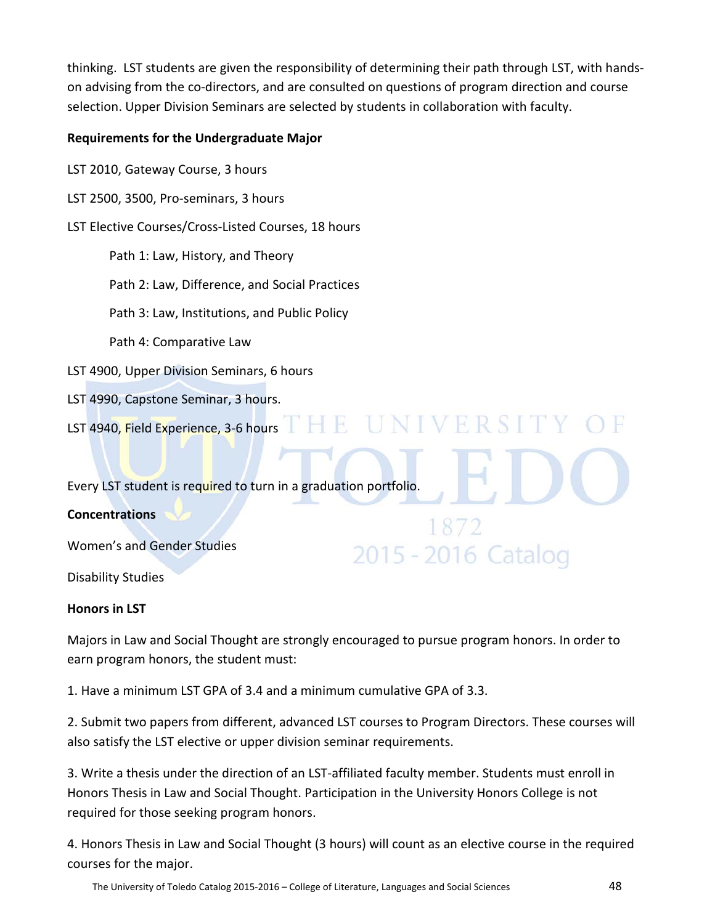thinking. LST students are given the responsibility of determining their path through LST, with handson advising from the co-directors, and are consulted on questions of program direction and course selection. Upper Division Seminars are selected by students in collaboration with faculty.

# **Requirements for the Undergraduate Major**

LST 2010, Gateway Course, 3 hours

LST 2500, 3500, Pro-seminars, 3 hours

LST Elective Courses/Cross-Listed Courses, 18 hours

Path 1: Law, History, and Theory

Path 2: Law, Difference, and Social Practices

Path 3: Law, Institutions, and Public Policy

Path 4: Comparative Law

LST 4900, Upper Division Seminars, 6 hours

LST 4990, Capstone Seminar, 3 hours.

LST 4940, Field Experience, 3-6 hours THE UNIVERSIT

Every LST student is required to turn in a graduation portfolio.

# **Concentrations**

Women's and Gender Studies

Disability Studies

# **Honors in LST**

Majors in Law and Social Thought are strongly encouraged to pursue program honors. In order to earn program honors, the student must:

2015 - 2016 Catalog

1. Have a minimum LST GPA of 3.4 and a minimum cumulative GPA of 3.3.

2. Submit two papers from different, advanced LST courses to Program Directors. These courses will also satisfy the LST elective or upper division seminar requirements.

3. Write a thesis under the direction of an LST-affiliated faculty member. Students must enroll in Honors Thesis in Law and Social Thought. Participation in the University Honors College is not required for those seeking program honors.

4. Honors Thesis in Law and Social Thought (3 hours) will count as an elective course in the required courses for the major.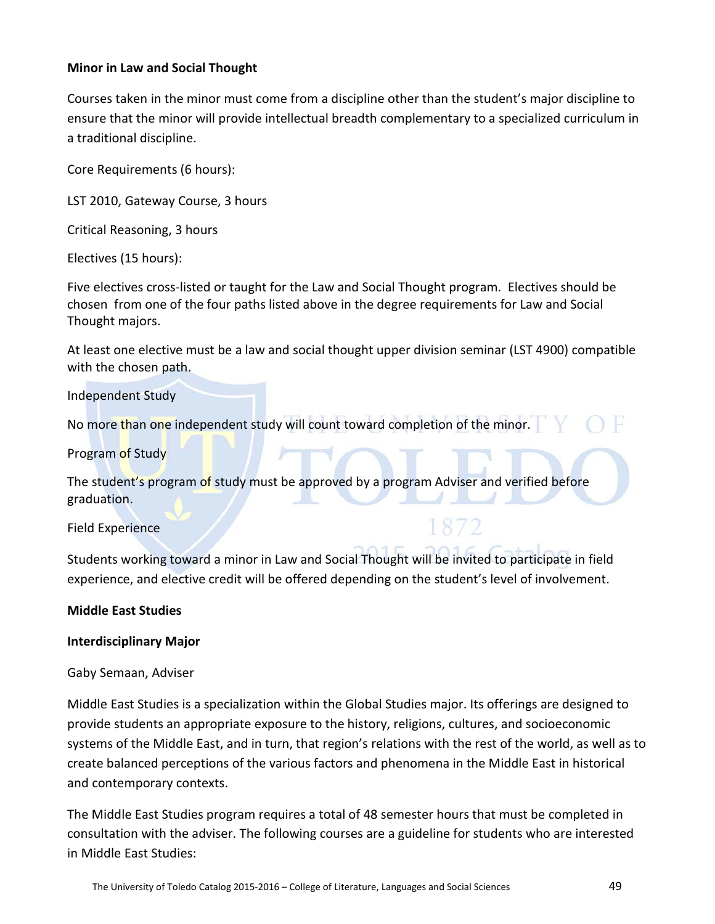# **Minor in Law and Social Thought**

Courses taken in the minor must come from a discipline other than the student's major discipline to ensure that the minor will provide intellectual breadth complementary to a specialized curriculum in a traditional discipline.

Core Requirements (6 hours):

LST 2010, Gateway Course, 3 hours

Critical Reasoning, 3 hours

Electives (15 hours):

Five electives cross-listed or taught for the Law and Social Thought program. Electives should be chosen from one of the four paths listed above in the degree requirements for Law and Social Thought majors.

At least one elective must be a law and social thought upper division seminar (LST 4900) compatible with the chosen path.

Independent Study

No more than one independent study will count toward completion of the minor.

Program of Study

The student's program of study must be approved by a program Adviser and verified before graduation.

Field Experience

Students working toward a minor in Law and Social Thought will be invited to participate in field experience, and elective credit will be offered depending on the student's level of involvement.

# **Middle East Studies**

# **Interdisciplinary Major**

# Gaby Semaan, Adviser

Middle East Studies is a specialization within the Global Studies major. Its offerings are designed to provide students an appropriate exposure to the history, religions, cultures, and socioeconomic systems of the Middle East, and in turn, that region's relations with the rest of the world, as well as to create balanced perceptions of the various factors and phenomena in the Middle East in historical and contemporary contexts.

The Middle East Studies program requires a total of 48 semester hours that must be completed in consultation with the adviser. The following courses are a guideline for students who are interested in Middle East Studies: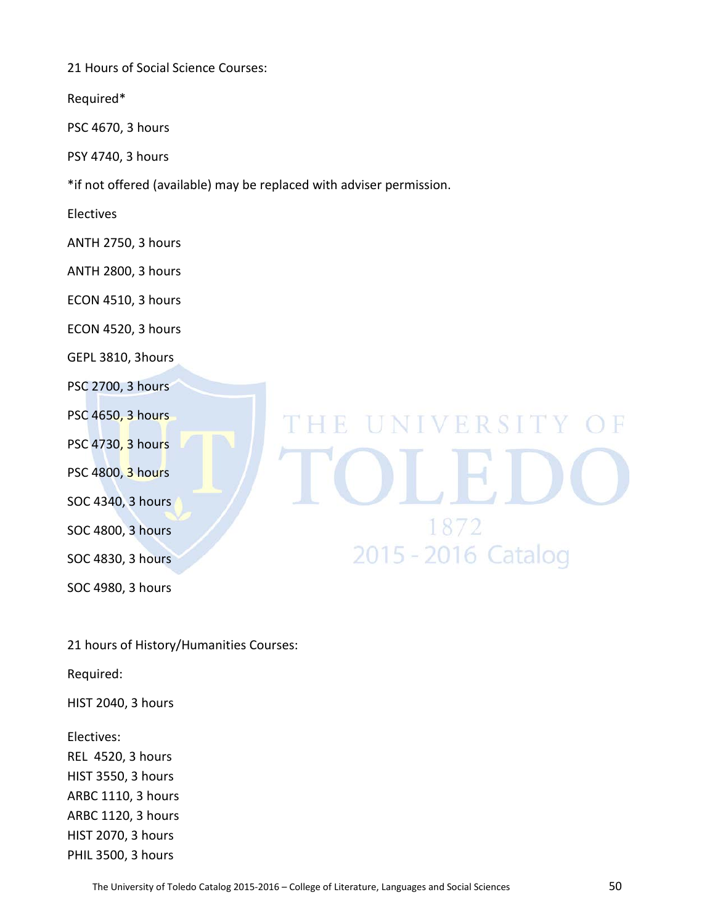21 Hours of Social Science Courses:

Required\*

PSC 4670, 3 hours

PSY 4740, 3 hours

\*if not offered (available) may be replaced with adviser permission.

Electives

ANTH 2750, 3 hours

ANTH 2800, 3 hours

ECON 4510, 3 hours

ECON 4520, 3 hours

GEPL 3810, 3hours

PSC 2700, 3 hours

PSC 4650, 3 hours

PSC 4730, 3 hours

PSC 4800, 3 hours

SOC 4340, 3 hours

SOC 4800, 3 hours

SOC 4830, 3 hours

SOC 4980, 3 hours

21 hours of History/Humanities Courses:

Required:

HIST 2040, 3 hours

Electives:

REL 4520, 3 hours HIST 3550, 3 hours ARBC 1110, 3 hours ARBC 1120, 3 hours HIST 2070, 3 hours PHIL 3500, 3 hours

# E UNIVERSITY OF 1872 2015 - 2016 Catalog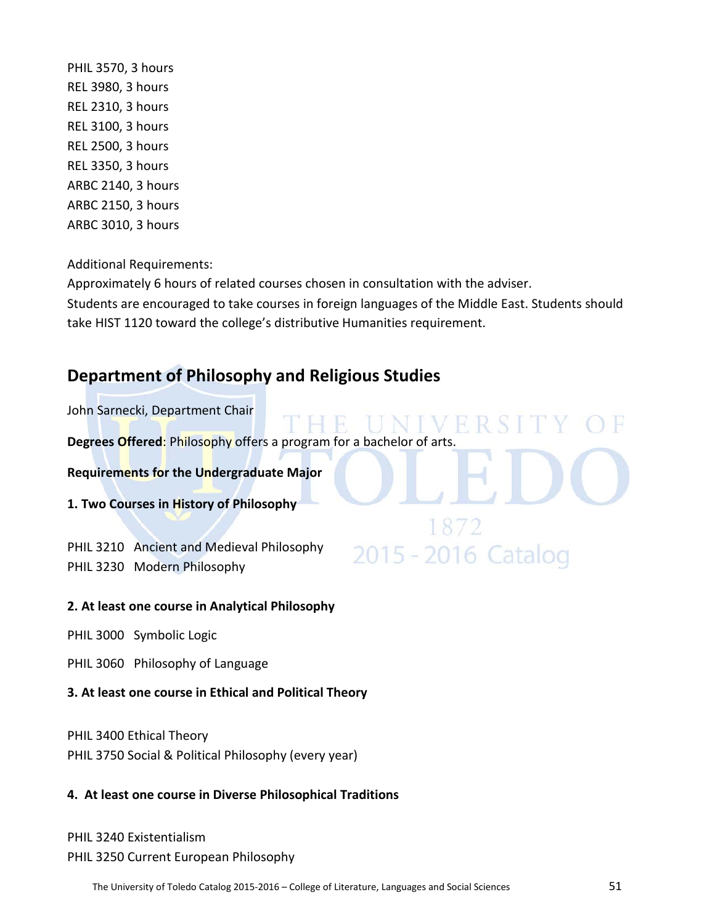PHIL 3570, 3 hours REL 3980, 3 hours REL 2310, 3 hours REL 3100, 3 hours REL 2500, 3 hours REL 3350, 3 hours ARBC 2140, 3 hours ARBC 2150, 3 hours ARBC 3010, 3 hours

Additional Requirements:

Approximately 6 hours of related courses chosen in consultation with the adviser.

Students are encouraged to take courses in foreign languages of the Middle East. Students should take HIST 1120 toward the college's distributive Humanities requirement.

2015 - 2016 Catalog

# **Department of Philosophy and Religious Studies**

John Sarnecki, Department Chair

**Degrees Offered**: Philosophy offers a program for a bachelor of arts.

**Requirements for the Undergraduate Major**

**1. Two Courses in History of Philosophy**

PHIL 3210 Ancient and Medieval Philosophy PHIL 3230 Modern Philosophy

# **2. At least one course in Analytical Philosophy**

PHIL 3000 Symbolic Logic

PHIL 3060 Philosophy of Language

# **3. At least one course in Ethical and Political Theory**

PHIL 3400 Ethical Theory PHIL 3750 Social & Political Philosophy (every year)

# **4. At least one course in Diverse Philosophical Traditions**

PHIL 3240 Existentialism PHIL 3250 Current European Philosophy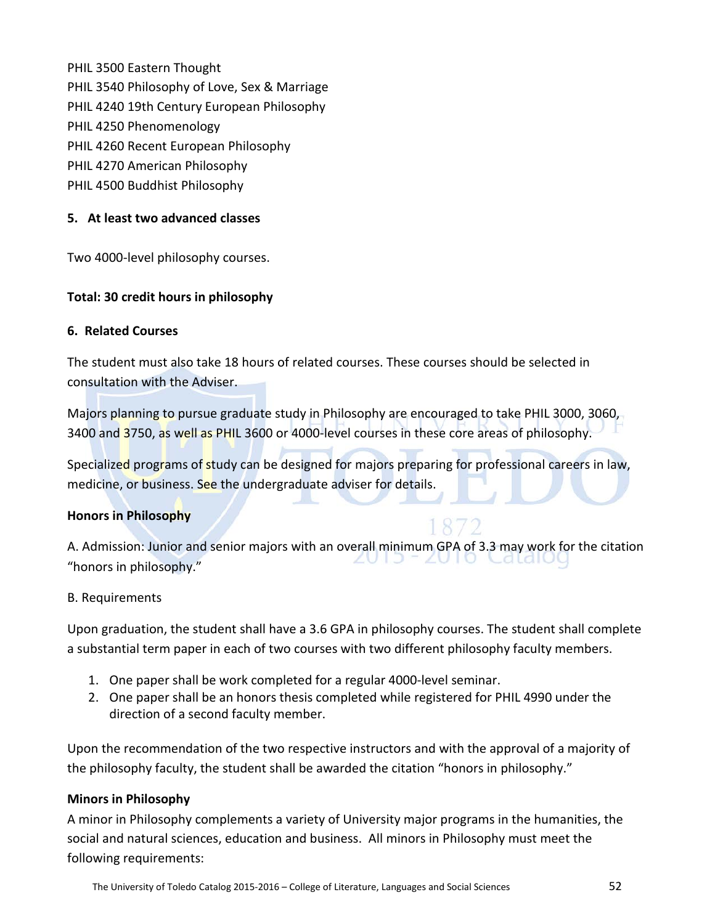PHIL 3500 Eastern Thought PHIL 3540 Philosophy of Love, Sex & Marriage PHIL 4240 19th Century European Philosophy PHIL 4250 Phenomenology PHIL 4260 Recent European Philosophy PHIL 4270 American Philosophy PHIL 4500 Buddhist Philosophy

# **5. At least two advanced classes**

Two 4000-level philosophy courses.

#### **Total: 30 credit hours in philosophy**

#### **6. Related Courses**

The student must also take 18 hours of related courses. These courses should be selected in consultation with the Adviser.

Majors planning to pursue graduate study in Philosophy are encouraged to take PHIL 3000, 3060, 3400 and 3750, as well as PHIL 3600 or 4000-level courses in these core areas of philosophy.

Specialized programs of study can be designed for majors preparing for professional careers in law, medicine, or business. See the undergraduate adviser for details.

# **Honors in Philosophy**

A. Admission: Junior and senior majors with an overall minimum GPA of 3.3 may work for the citation  $2010$ Catalou "honors in philosophy."

#### B. Requirements

Upon graduation, the student shall have a 3.6 GPA in philosophy courses. The student shall complete a substantial term paper in each of two courses with two different philosophy faculty members.

- 1. One paper shall be work completed for a regular 4000-level seminar.
- 2. One paper shall be an honors thesis completed while registered for PHIL 4990 under the direction of a second faculty member.

Upon the recommendation of the two respective instructors and with the approval of a majority of the philosophy faculty, the student shall be awarded the citation "honors in philosophy."

# **Minors in Philosophy**

A minor in Philosophy complements a variety of University major programs in the humanities, the social and natural sciences, education and business. All minors in Philosophy must meet the following requirements: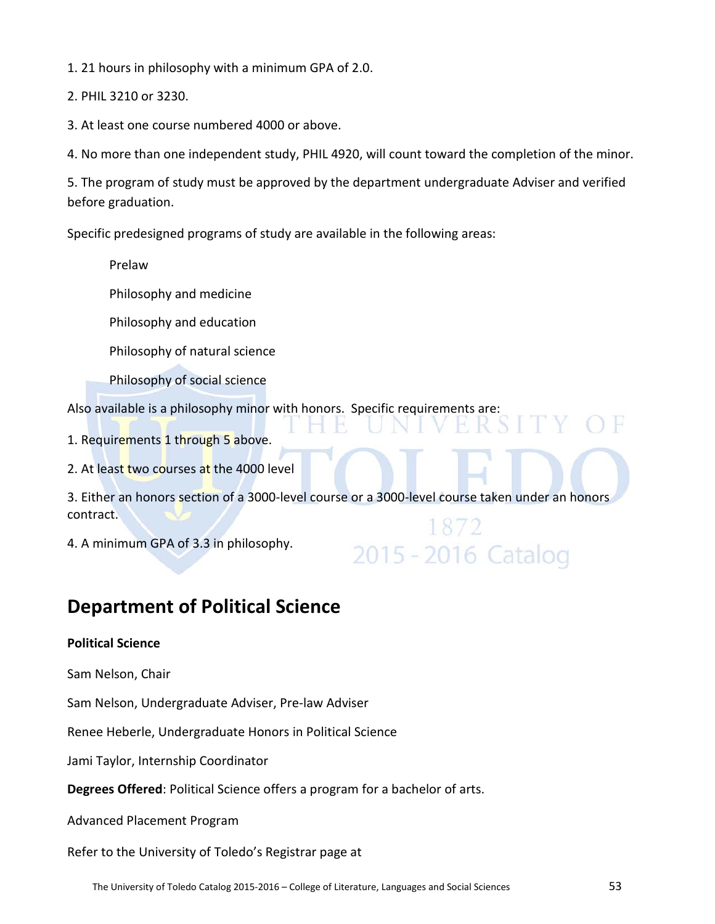1. 21 hours in philosophy with a minimum GPA of 2.0.

2. PHIL 3210 or 3230.

3. At least one course numbered 4000 or above.

4. No more than one independent study, PHIL 4920, will count toward the completion of the minor.

5. The program of study must be approved by the department undergraduate Adviser and verified before graduation.

Specific predesigned programs of study are available in the following areas:

Prelaw

Philosophy and medicine

Philosophy and education

Philosophy of natural science

Philosophy of social science

Also available is a philosophy minor with honors. Specific requirements are:

1. Requirements 1 through 5 above.

2. At least two courses at the 4000 level

3. Either an honors section of a 3000-level course or a 3000-level course taken under an honors contract.

2015 - 2016 Catalog

4. A minimum GPA of 3.3 in philosophy.

# **Department of Political Science**

# **Political Science**

Sam Nelson, Chair

Sam Nelson, Undergraduate Adviser, Pre-law Adviser

Renee Heberle, Undergraduate Honors in Political Science

Jami Taylor, Internship Coordinator

**Degrees Offered**: Political Science offers a program for a bachelor of arts.

Advanced Placement Program

Refer to the University of Toledo's Registrar page at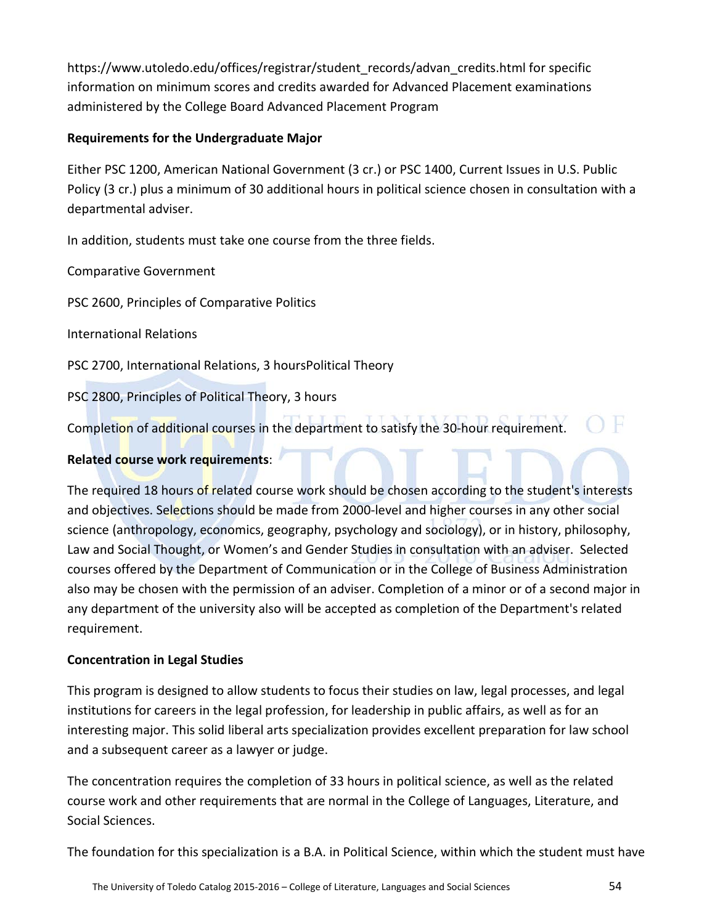https://www.utoledo.edu/offices/registrar/student\_records/advan\_credits.html for specific information on minimum scores and credits awarded for Advanced Placement examinations administered by the College Board Advanced Placement Program

# **Requirements for the Undergraduate Major**

Either PSC 1200, American National Government (3 cr.) or PSC 1400, Current Issues in U.S. Public Policy (3 cr.) plus a minimum of 30 additional hours in political science chosen in consultation with a departmental adviser.

In addition, students must take one course from the three fields.

Comparative Government

PSC 2600, Principles of Comparative Politics

International Relations

PSC 2700, International Relations, 3 hoursPolitical Theory

PSC 2800, Principles of Political Theory, 3 hours

Completion of additional courses in the department to satisfy the 30-hour requirement.

# **Related course work requirements**:

The required 18 hours of related course work should be chosen according to the student's interests and objectives. Selections should be made from 2000-level and higher courses in any other social science (anthropology, economics, geography, psychology and sociology), or in history, philosophy, Law and Social Thought, or Women's and Gender Studies in consultation with an adviser. Selected courses offered by the Department of Communication or in the College of Business Administration also may be chosen with the permission of an adviser. Completion of a minor or of a second major in any department of the university also will be accepted as completion of the Department's related requirement.

# **Concentration in Legal Studies**

This program is designed to allow students to focus their studies on law, legal processes, and legal institutions for careers in the legal profession, for leadership in public affairs, as well as for an interesting major. This solid liberal arts specialization provides excellent preparation for law school and a subsequent career as a lawyer or judge.

The concentration requires the completion of 33 hours in political science, as well as the related course work and other requirements that are normal in the College of Languages, Literature, and Social Sciences.

The foundation for this specialization is a B.A. in Political Science, within which the student must have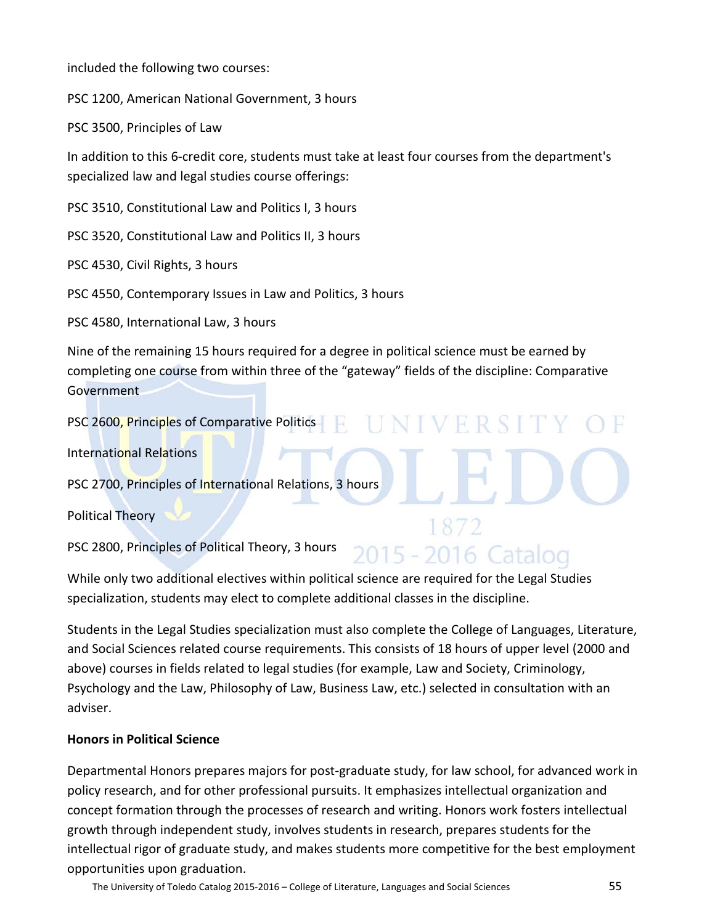included the following two courses:

PSC 1200, American National Government, 3 hours

PSC 3500, Principles of Law

In addition to this 6-credit core, students must take at least four courses from the department's specialized law and legal studies course offerings:

PSC 3510, Constitutional Law and Politics I, 3 hours

PSC 3520, Constitutional Law and Politics II, 3 hours

PSC 4530, Civil Rights, 3 hours

PSC 4550, Contemporary Issues in Law and Politics, 3 hours

PSC 4580, International Law, 3 hours

Nine of the remaining 15 hours required for a degree in political science must be earned by completing one course from within three of the "gateway" fields of the discipline: Comparative **Government** 

NIVERSIT

2015 - 2016 Catalog

PSC 2600, Principles of Comparative Politics

International Relations

PSC 2700, Principles of International Relations, 3 hours

Political Theory

PSC 2800, Principles of Political Theory, 3 hours

While only two additional electives within political science are required for the Legal Studies specialization, students may elect to complete additional classes in the discipline.

Students in the Legal Studies specialization must also complete the College of Languages, Literature, and Social Sciences related course requirements. This consists of 18 hours of upper level (2000 and above) courses in fields related to legal studies (for example, Law and Society, Criminology, Psychology and the Law, Philosophy of Law, Business Law, etc.) selected in consultation with an adviser.

# **Honors in Political Science**

Departmental Honors prepares majors for post-graduate study, for law school, for advanced work in policy research, and for other professional pursuits. It emphasizes intellectual organization and concept formation through the processes of research and writing. Honors work fosters intellectual growth through independent study, involves students in research, prepares students for the intellectual rigor of graduate study, and makes students more competitive for the best employment opportunities upon graduation.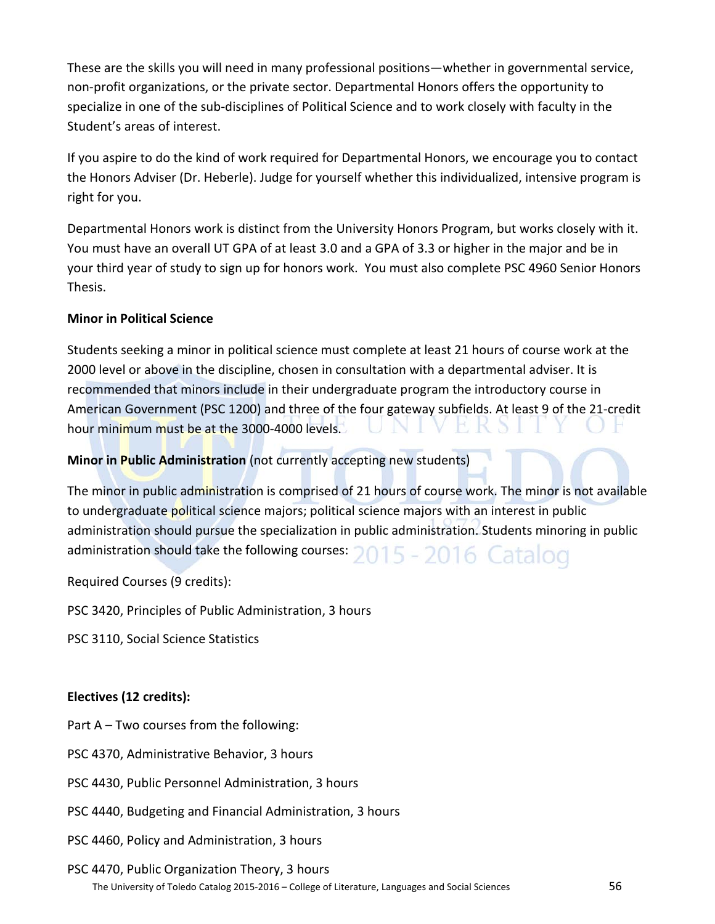These are the skills you will need in many professional positions—whether in governmental service, non-profit organizations, or the private sector. Departmental Honors offers the opportunity to specialize in one of the sub-disciplines of Political Science and to work closely with faculty in the Student's areas of interest.

If you aspire to do the kind of work required for Departmental Honors, we encourage you to contact the Honors Adviser (Dr. Heberle). Judge for yourself whether this individualized, intensive program is right for you.

Departmental Honors work is distinct from the University Honors Program, but works closely with it. You must have an overall UT GPA of at least 3.0 and a GPA of 3.3 or higher in the major and be in your third year of study to sign up for honors work. You must also complete PSC 4960 Senior Honors Thesis.

# **Minor in Political Science**

Students seeking a minor in political science must complete at least 21 hours of course work at the 2000 level or above in the discipline, chosen in consultation with a departmental adviser. It is recommended that minors include in their undergraduate program the introductory course in American Government (PSC 1200) and three of the four gateway subfields. At least 9 of the 21-credit hour minimum must be at the 3000-4000 levels. EKS

# **Minor in Public Administration** (not currently accepting new students)

The minor in public administration is comprised of 21 hours of course work. The minor is not available to undergraduate political science majors; political science majors with an interest in public administration should pursue the specialization in public administration. Students minoring in public administration should take the following courses:  $2015 - 2016$  Catalog

Required Courses (9 credits):

PSC 3420, Principles of Public Administration, 3 hours

PSC 3110, Social Science Statistics

# **Electives (12 credits):**

Part A – Two courses from the following:

- PSC 4370, Administrative Behavior, 3 hours
- PSC 4430, Public Personnel Administration, 3 hours
- PSC 4440, Budgeting and Financial Administration, 3 hours
- PSC 4460, Policy and Administration, 3 hours
- The University of Toledo Catalog 2015-2016 College of Literature, Languages and Social Sciences 56 PSC 4470, Public Organization Theory, 3 hours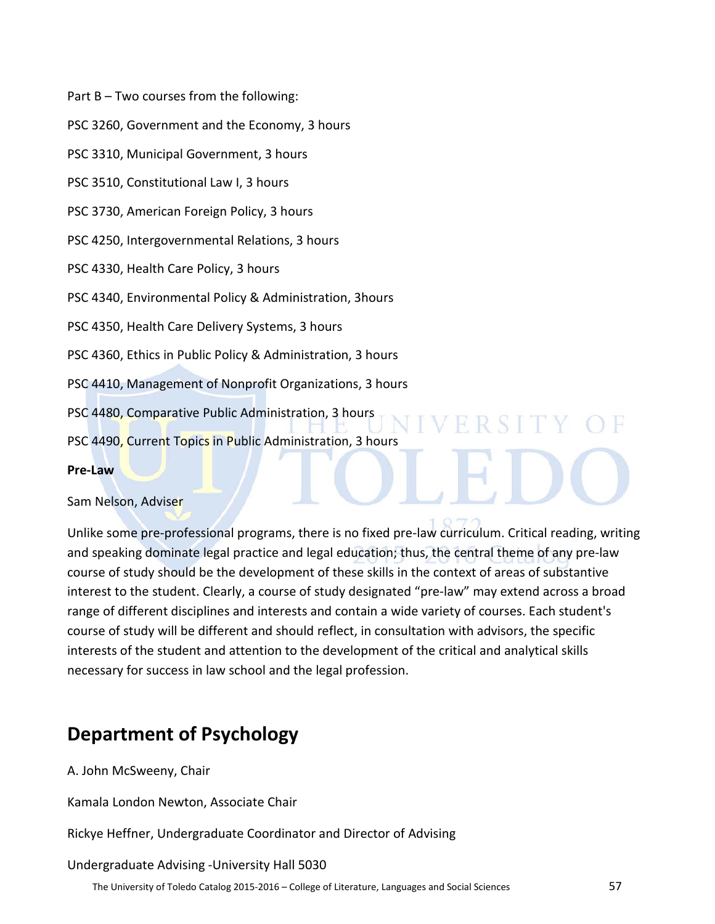Part B – Two courses from the following:

PSC 3260, Government and the Economy, 3 hours

PSC 3310, Municipal Government, 3 hours

PSC 3510, Constitutional Law I, 3 hours

PSC 3730, American Foreign Policy, 3 hours

PSC 4250, Intergovernmental Relations, 3 hours

PSC 4330, Health Care Policy, 3 hours

PSC 4340, Environmental Policy & Administration, 3hours

PSC 4350, Health Care Delivery Systems, 3 hours

PSC 4360, Ethics in Public Policy & Administration, 3 hours

PSC 4410, Management of Nonprofit Organizations, 3 hours

PSC 4480, Comparative Public Administration, 3 hours

PSC 4490, Current Topics in Public Administration, 3 hours

#### **Pre-Law**

Sam Nelson, Adviser

Unlike some pre-professional programs, there is no fixed pre-law curriculum. Critical reading, writing and speaking dominate legal practice and legal education; thus, the central theme of any pre-law course of study should be the development of these skills in the context of areas of substantive interest to the student. Clearly, a course of study designated "pre-law" may extend across a broad range of different disciplines and interests and contain a wide variety of courses. Each student's course of study will be different and should reflect, in consultation with advisors, the specific interests of the student and attention to the development of the critical and analytical skills necessary for success in law school and the legal profession.

R S LTE

# **Department of Psychology**

A. John McSweeny, Chair

Kamala London Newton, Associate Chair

Rickye Heffner, Undergraduate Coordinator and Director of Advising

#### Undergraduate Advising -University Hall 5030

The University of Toledo Catalog 2015-2016 – College of Literature, Languages and Social Sciences 57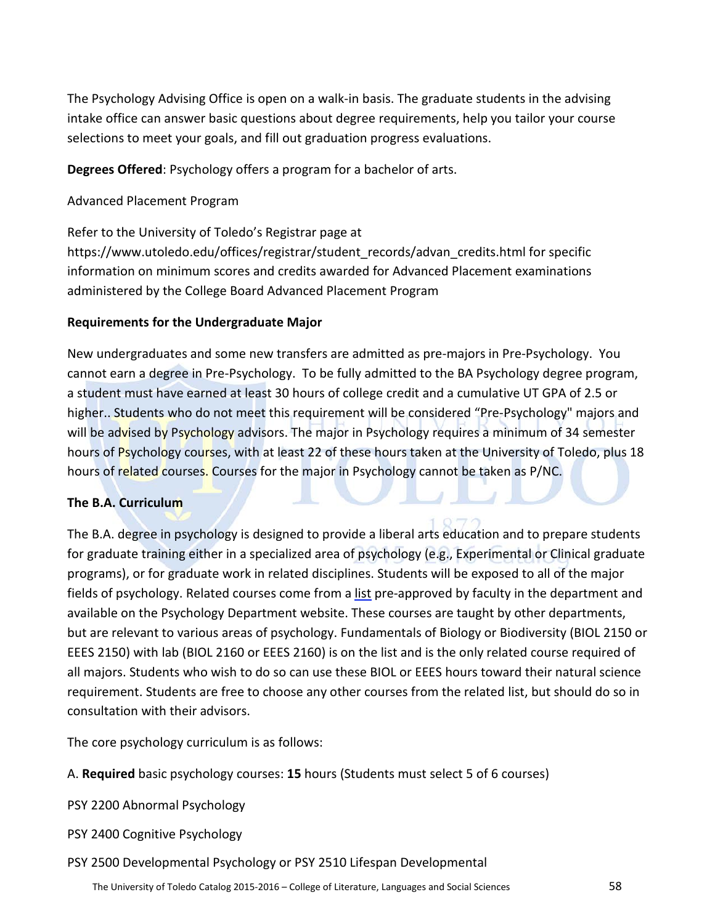The Psychology Advising Office is open on a walk-in basis. The graduate students in the advising intake office can answer basic questions about degree requirements, help you tailor your course selections to meet your goals, and fill out graduation progress evaluations.

**Degrees Offered**: Psychology offers a program for a bachelor of arts.

Advanced Placement Program

Refer to the University of Toledo's Registrar page at https://www.utoledo.edu/offices/registrar/student\_records/advan\_credits.html for specific information on minimum scores and credits awarded for Advanced Placement examinations administered by the College Board Advanced Placement Program

# **Requirements for the Undergraduate Major**

New undergraduates and some new transfers are admitted as pre-majors in Pre-Psychology. You cannot earn a degree in Pre-Psychology. To be fully admitted to the BA Psychology degree program, a student must have earned at least 30 hours of college credit and a cumulative UT GPA of 2.5 or higher.. Students who do not meet this requirement will be considered "Pre-Psychology" majors and will be advised by Psychology advisors. The major in Psychology requires a minimum of 34 semester hours of Psychology courses, with at least 22 of these hours taken at the University of Toledo, plus 18 hours of related courses. Courses for the major in Psychology cannot be taken as P/NC.

# **The B.A. Curriculum**

The B.A. degree in psychology is designed to provide a liberal arts education and to prepare students for graduate training either in a specialized area of psychology (e.g., Experimental or Clinical graduate programs), or for graduate work in related disciplines. Students will be exposed to all of the major fields of psychology. Related courses come from a list pre-approved by faculty in the department and available on the Psychology Department website. These courses are taught by other departments, but are relevant to various areas of psychology. Fundamentals of Biology or Biodiversity (BIOL 2150 or EEES 2150) with lab (BIOL 2160 or EEES 2160) is on the list and is the only related course required of all majors. Students who wish to do so can use these BIOL or EEES hours toward their natural science requirement. Students are free to choose any other courses from the related list, but should do so in consultation with their advisors.

The core psychology curriculum is as follows:

A. **Required** basic psychology courses: **15** hours (Students must select 5 of 6 courses)

PSY 2200 Abnormal Psychology

PSY 2400 Cognitive Psychology

PSY 2500 Developmental Psychology or PSY 2510 Lifespan Developmental

The University of Toledo Catalog 2015-2016 – College of Literature, Languages and Social Sciences 58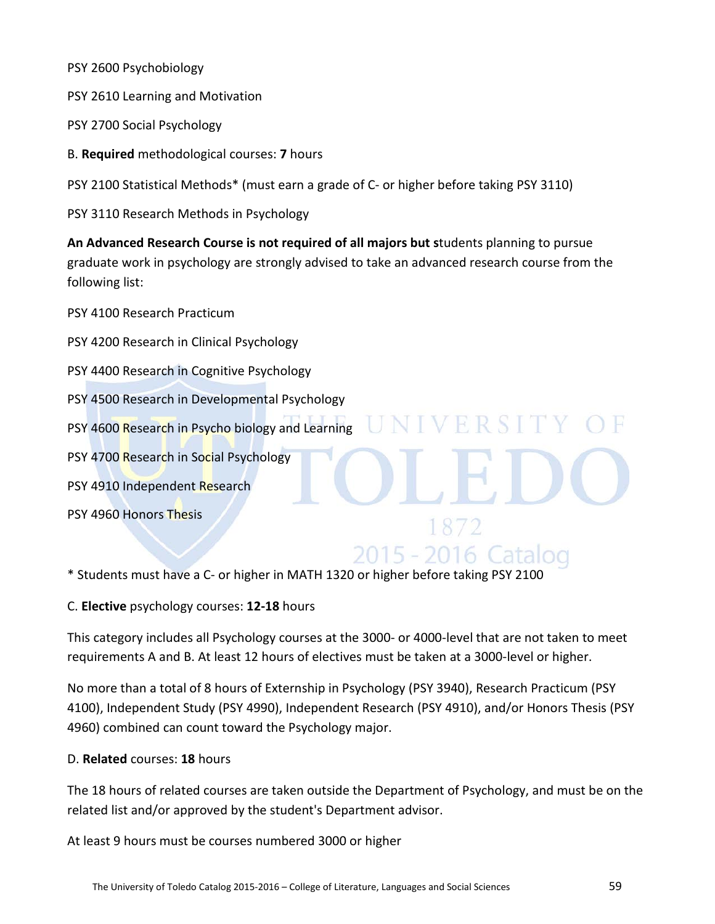PSY 2600 Psychobiology

PSY 2610 Learning and Motivation

PSY 2700 Social Psychology

B. **Required** methodological courses: **7** hours

PSY 2100 Statistical Methods\* (must earn a grade of C- or higher before taking PSY 3110)

PSY 3110 Research Methods in Psychology

**An Advanced Research Course is not required of all majors but s**tudents planning to pursue graduate work in psychology are strongly advised to take an advanced research course from the following list:

**IINIVERSIT** 

2015 - 2016 Cata

PSY 4100 Research Practicum

PSY 4200 Research in Clinical Psychology PSY 4400 Research in Cognitive Psychology PSY 4500 Research in Developmental Psychology PSY 4600 Research in Psycho biology and Learning PSY 4700 Research in Social Psychology PSY 4910 Independent Research PSY 4960 Honors Thesis

\* Students must have a C- or higher in MATH 1320 or higher before taking PSY 2100

C. **Elective** psychology courses: **12-18** hours

This category includes all Psychology courses at the 3000- or 4000-level that are not taken to meet requirements A and B. At least 12 hours of electives must be taken at a 3000-level or higher.

No more than a total of 8 hours of Externship in Psychology (PSY 3940), Research Practicum (PSY 4100), Independent Study (PSY 4990), Independent Research (PSY 4910), and/or Honors Thesis (PSY 4960) combined can count toward the Psychology major.

# D. **Related** courses: **18** hours

The 18 hours of related courses are taken outside the Department of Psychology, and must be on the related list and/or approved by the student's Department advisor.

At least 9 hours must be courses numbered 3000 or higher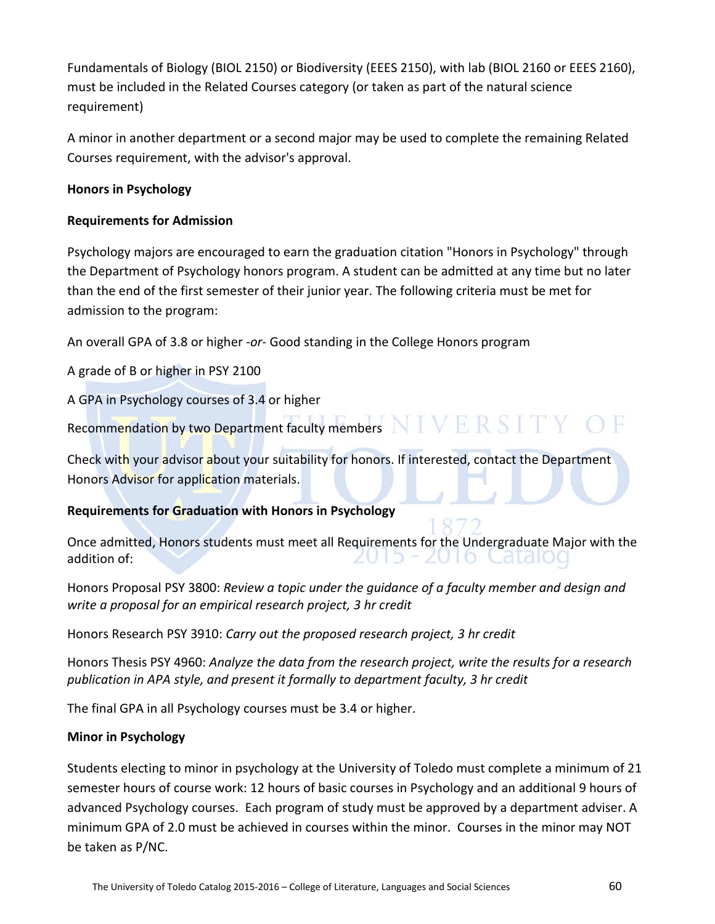Fundamentals of Biology (BIOL 2150) or Biodiversity (EEES 2150), with lab (BIOL 2160 or EEES 2160), must be included in the Related Courses category (or taken as part of the natural science requirement)

A minor in another department or a second major may be used to complete the remaining Related Courses requirement, with the advisor's approval.

# **Honors in Psychology**

# **Requirements for Admission**

Psychology majors are encouraged to earn the graduation citation "Honors in Psychology" through the Department of Psychology honors program. A student can be admitted at any time but no later than the end of the first semester of their junior year. The following criteria must be met for admission to the program:

An overall GPA of 3.8 or higher -*or*- Good standing in the College Honors program

A grade of B or higher in PSY 2100

A GPA in Psychology courses of 3.4 or higher

Recommendation by two Department faculty members  $\bf NIVERSITY \bf O F$ 

Check with your advisor about your suitability for honors. If interested, contact the Department Honors Advisor for application materials.

# **Requirements for Graduation with Honors in Psychology**

Once admitted, Honors students must meet all Requirements for the Undergraduate Major with the 15 - 2016 Cataloo addition of:

Honors Proposal PSY 3800: *Review a topic under the guidance of a faculty member and design and write a proposal for an empirical research project, 3 hr credit*

Honors Research PSY 3910: *Carry out the proposed research project, 3 hr credit*

Honors Thesis PSY 4960: *Analyze the data from the research project, write the results for a research publication in APA style, and present it formally to department faculty, 3 hr credit*

The final GPA in all Psychology courses must be 3.4 or higher.

# **Minor in Psychology**

Students electing to minor in psychology at the University of Toledo must complete a minimum of 21 semester hours of course work: 12 hours of basic courses in Psychology and an additional 9 hours of advanced Psychology courses. Each program of study must be approved by a department adviser. A minimum GPA of 2.0 must be achieved in courses within the minor. Courses in the minor may NOT be taken as P/NC.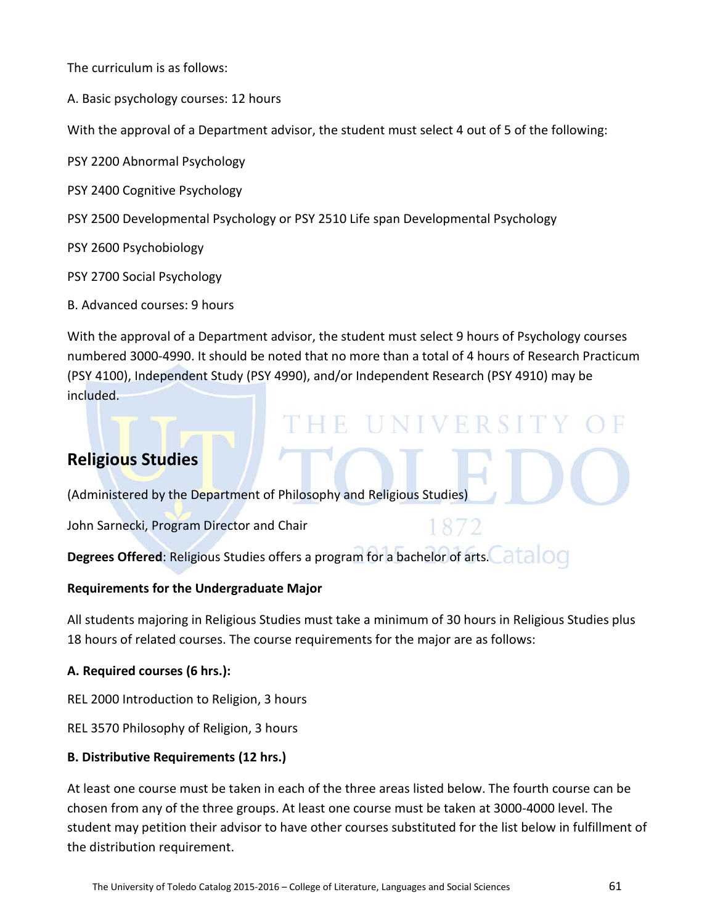The curriculum is as follows:

A. Basic psychology courses: 12 hours

With the approval of a Department advisor, the student must select 4 out of 5 of the following:

PSY 2200 Abnormal Psychology

- PSY 2400 Cognitive Psychology
- PSY 2500 Developmental Psychology or PSY 2510 Life span Developmental Psychology

PSY 2600 Psychobiology

PSY 2700 Social Psychology

B. Advanced courses: 9 hours

With the approval of a Department advisor, the student must select 9 hours of Psychology courses numbered 3000-4990. It should be noted that no more than a total of 4 hours of Research Practicum (PSY 4100), Independent Study (PSY 4990), and/or Independent Research (PSY 4910) may be included.

# **Religious Studies**

(Administered by the Department of Philosophy and Religious Studies)

John Sarnecki, Program Director and Chair

'HE UNIVERSIT

**Degrees Offered**: Religious Studies offers a program for a bachelor of arts. at alloc

#### **Requirements for the Undergraduate Major**

All students majoring in Religious Studies must take a minimum of 30 hours in Religious Studies plus 18 hours of related courses. The course requirements for the major are as follows:

# **A. Required courses (6 hrs.):**

REL 2000 Introduction to Religion, 3 hours

REL 3570 Philosophy of Religion, 3 hours

# **B. Distributive Requirements (12 hrs.)**

At least one course must be taken in each of the three areas listed below. The fourth course can be chosen from any of the three groups. At least one course must be taken at 3000-4000 level. The student may petition their advisor to have other courses substituted for the list below in fulfillment of the distribution requirement.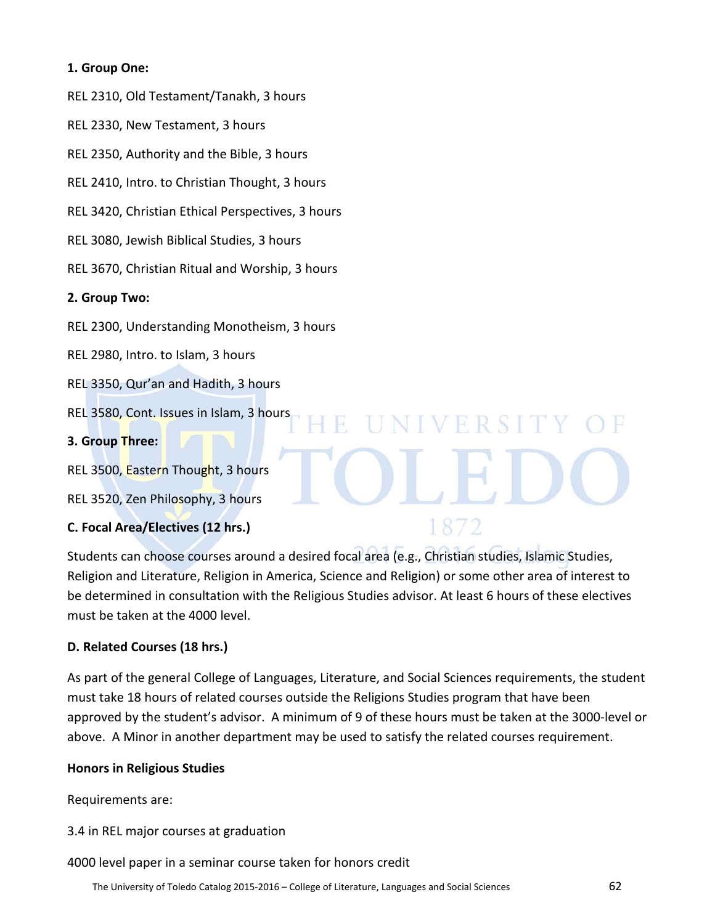# **1. Group One:**

REL 2310, Old Testament/Tanakh, 3 hours

REL 2330, New Testament, 3 hours

REL 2350, Authority and the Bible, 3 hours

REL 2410, Intro. to Christian Thought, 3 hours

REL 3420, Christian Ethical Perspectives, 3 hours

REL 3080, Jewish Biblical Studies, 3 hours

REL 3670, Christian Ritual and Worship, 3 hours

#### **2. Group Two:**

REL 2300, Understanding Monotheism, 3 hours

REL 2980, Intro. to Islam, 3 hours

REL 3350, Qur'an and Hadith, 3 hours

REL 3580, Cont. Issues in Islam, 3 hours

**3. Group Three:**

REL 3500, Eastern Thought, 3 hours

REL 3520, Zen Philosophy, 3 hours

# **C. Focal Area/Electives (12 hrs.)**

Students can choose courses around a desired focal area (e.g., Christian studies, Islamic Studies, Religion and Literature, Religion in America, Science and Religion) or some other area of interest to be determined in consultation with the Religious Studies advisor. At least 6 hours of these electives must be taken at the 4000 level.

R

**IINIVERSIT** 

1872

# **D. Related Courses (18 hrs.)**

As part of the general College of Languages, Literature, and Social Sciences requirements, the student must take 18 hours of related courses outside the Religions Studies program that have been approved by the student's advisor. A minimum of 9 of these hours must be taken at the 3000-level or above. A Minor in another department may be used to satisfy the related courses requirement.

#### **Honors in Religious Studies**

Requirements are:

3.4 in REL major courses at graduation

4000 level paper in a seminar course taken for honors credit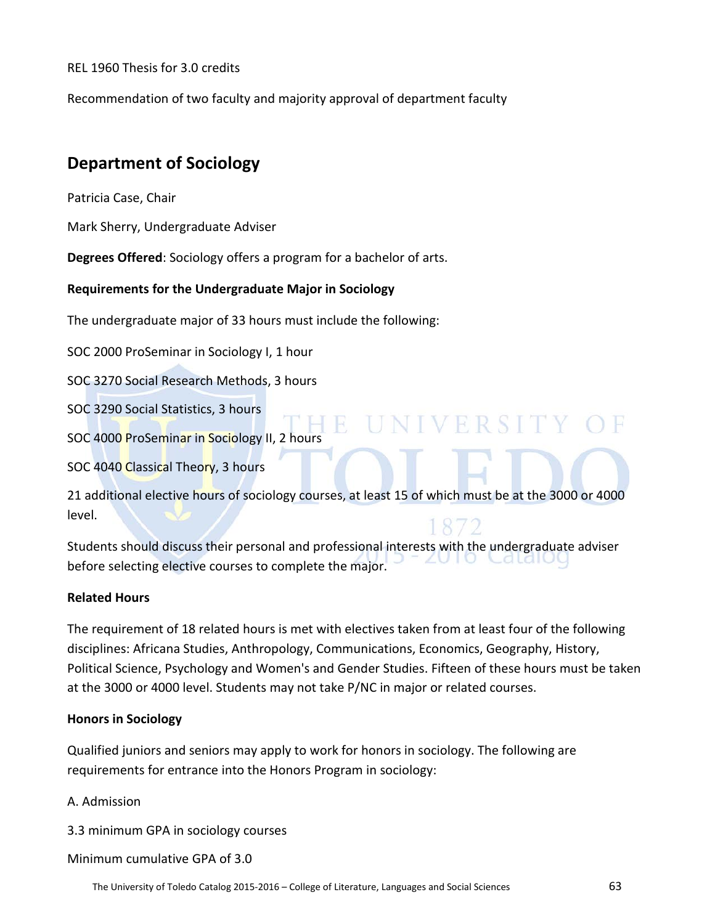REL 1960 Thesis for 3.0 credits

Recommendation of two faculty and majority approval of department faculty

# **Department of Sociology**

Patricia Case, Chair

Mark Sherry, Undergraduate Adviser

**Degrees Offered**: Sociology offers a program for a bachelor of arts.

# **Requirements for the Undergraduate Major in Sociology**

The undergraduate major of 33 hours must include the following:

SOC 2000 ProSeminar in Sociology I, 1 hour

SOC 3270 Social Research Methods, 3 hours

SOC 3290 Social Statistics, 3 hours

IE UNIVERSITY O SOC 4000 ProSeminar in Sociology II, 2 hours

SOC 4040 Classical Theory, 3 hours

21 additional elective hours of sociology courses, at least 15 of which must be at the 3000 or 4000 level.

Students should discuss their personal and professional interests with the undergraduate adviser before selecting elective courses to complete the major.

# **Related Hours**

The requirement of 18 related hours is met with electives taken from at least four of the following disciplines: Africana Studies, Anthropology, Communications, Economics, Geography, History, Political Science, Psychology and Women's and Gender Studies. Fifteen of these hours must be taken at the 3000 or 4000 level. Students may not take P/NC in major or related courses.

# **Honors in Sociology**

Qualified juniors and seniors may apply to work for honors in sociology. The following are requirements for entrance into the Honors Program in sociology:

# A. Admission

3.3 minimum GPA in sociology courses

Minimum cumulative GPA of 3.0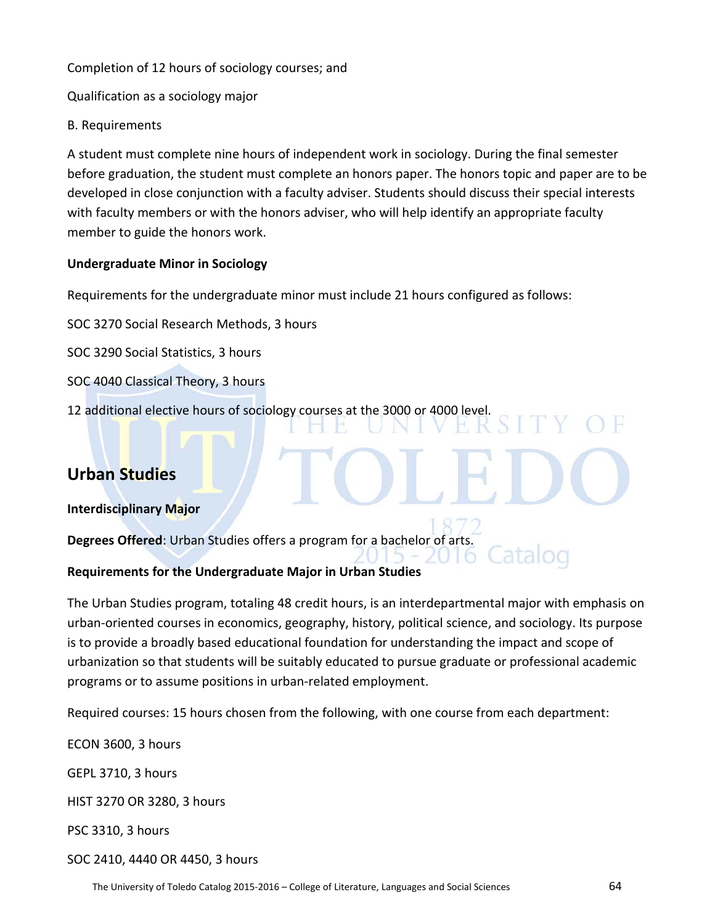Completion of 12 hours of sociology courses; and

Qualification as a sociology major

# B. Requirements

A student must complete nine hours of independent work in sociology. During the final semester before graduation, the student must complete an honors paper. The honors topic and paper are to be developed in close conjunction with a faculty adviser. Students should discuss their special interests with faculty members or with the honors adviser, who will help identify an appropriate faculty member to guide the honors work.

# **Undergraduate Minor in Sociology**

Requirements for the undergraduate minor must include 21 hours configured as follows:

SOC 3270 Social Research Methods, 3 hours

SOC 3290 Social Statistics, 3 hours

- SOC 4040 Classical Theory, 3 hours
- 12 additional elective hours of sociology courses at the 3000 or 4000 level.

# **Urban Studies**

**Interdisciplinary Major**

**Degrees Offered**: Urban Studies offers a program for a bachelor of arts.

# **Requirements for the Undergraduate Major in Urban Studies**

The Urban Studies program, totaling 48 credit hours, is an interdepartmental major with emphasis on urban-oriented courses in economics, geography, history, political science, and sociology. Its purpose is to provide a broadly based educational foundation for understanding the impact and scope of urbanization so that students will be suitably educated to pursue graduate or professional academic programs or to assume positions in urban-related employment.

Required courses: 15 hours chosen from the following, with one course from each department:

ECON 3600, 3 hours GEPL 3710, 3 hours HIST 3270 OR 3280, 3 hours PSC 3310, 3 hours SOC 2410, 4440 OR 4450, 3 hours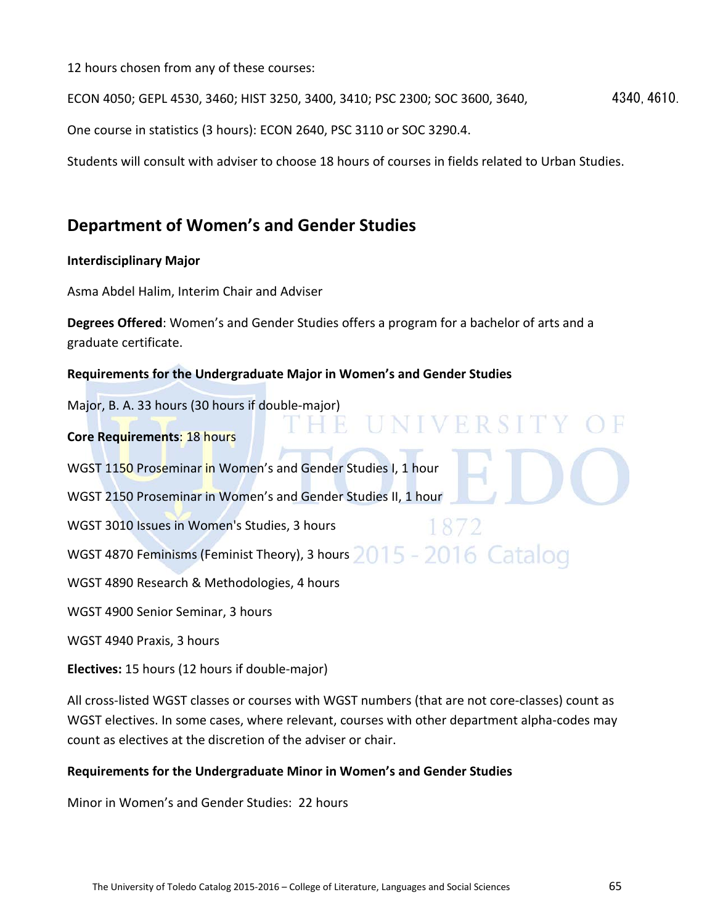12 hours chosen from any of these courses:

ECON 4050; GEPL 4530, 3460; HIST 3250, 3400, 3410; PSC 2300; SOC 3600, 3640, 4340, 4610.

One course in statistics (3 hours): ECON 2640, PSC 3110 or SOC 3290.4.

Students will consult with adviser to choose 18 hours of courses in fields related to Urban Studies.

# **Department of Women's and Gender Studies**

# **Interdisciplinary Major**

Asma Abdel Halim, Interim Chair and Adviser

**Degrees Offered**: Women's and Gender Studies offers a program for a bachelor of arts and a graduate certificate.

# **Requirements for the Undergraduate Major in Women's and Gender Studies**

Major, B. A. 33 hours (30 hours if double-major) E IINIVERSITY **Core Requirements**: 18 hours WGST 1150 Proseminar in Women's and Gender Studies I, 1 hour WGST 2150 Proseminar in Women's and Gender Studies II, 1 hour WGST 3010 Issues in Women's Studies, 3 hours 1872 WGST 4870 Feminisms (Feminist Theory), 3 hours  $2015$  -  $2016$  Catalog WGST 4890 Research & Methodologies, 4 hours WGST 4900 Senior Seminar, 3 hours WGST 4940 Praxis, 3 hours

**Electives:** 15 hours (12 hours if double-major)

All cross-listed WGST classes or courses with WGST numbers (that are not core-classes) count as WGST electives. In some cases, where relevant, courses with other department alpha-codes may count as electives at the discretion of the adviser or chair.

# **Requirements for the Undergraduate Minor in Women's and Gender Studies**

Minor in Women's and Gender Studies: 22 hours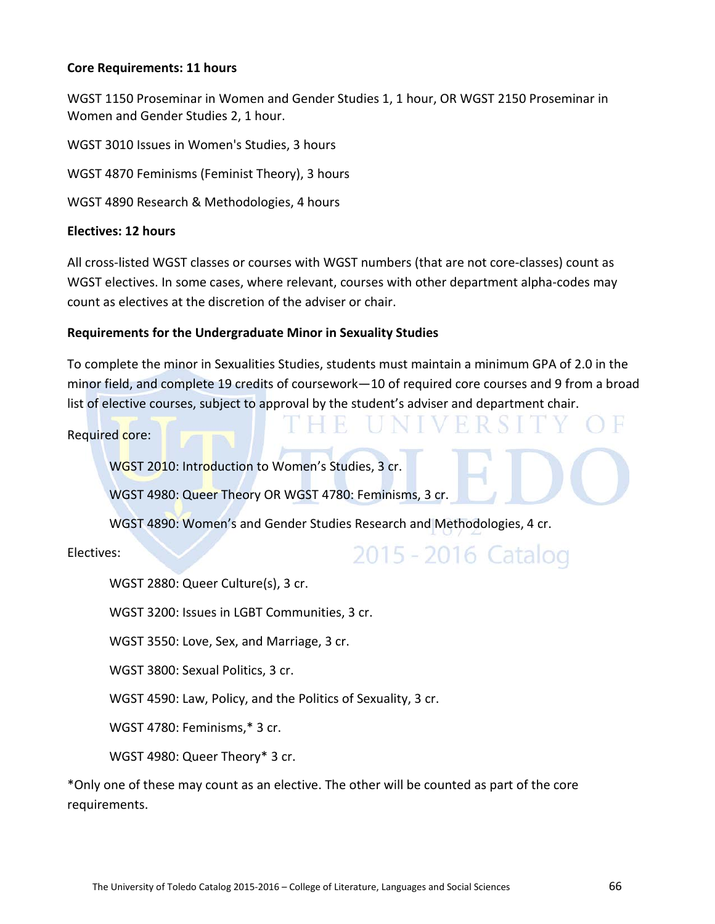#### **Core Requirements: 11 hours**

WGST 1150 Proseminar in Women and Gender Studies 1, 1 hour, OR WGST 2150 Proseminar in Women and Gender Studies 2, 1 hour.

WGST 3010 Issues in Women's Studies, 3 hours

WGST 4870 Feminisms (Feminist Theory), 3 hours

WGST 4890 Research & Methodologies, 4 hours

#### **Electives: 12 hours**

All cross-listed WGST classes or courses with WGST numbers (that are not core-classes) count as WGST electives. In some cases, where relevant, courses with other department alpha-codes may count as electives at the discretion of the adviser or chair.

#### **Requirements for the Undergraduate Minor in Sexuality Studies**

To complete the minor in Sexualities Studies, students must maintain a minimum GPA of 2.0 in the minor field, and complete 19 credits of coursework—10 of required core courses and 9 from a broad list of elective courses, subject to approval by the student's adviser and department chair.

H.

Required core:

WGST 2010: Introduction to Women's Studies, 3 cr.

WGST 4980: Queer Theory OR WGST 4780: Feminisms, 3 cr.

WGST 4890: Women's and Gender Studies Research and Methodologies, 4 cr.

Electives:

# 2015 - 2016 Catalog

H

WGST 2880: Queer Culture(s), 3 cr.

WGST 3200: Issues in LGBT Communities, 3 cr.

WGST 3550: Love, Sex, and Marriage, 3 cr.

WGST 3800: Sexual Politics, 3 cr.

WGST 4590: Law, Policy, and the Politics of Sexuality, 3 cr.

WGST 4780: Feminisms,\* 3 cr.

WGST 4980: Queer Theory\* 3 cr.

\*Only one of these may count as an elective. The other will be counted as part of the core requirements.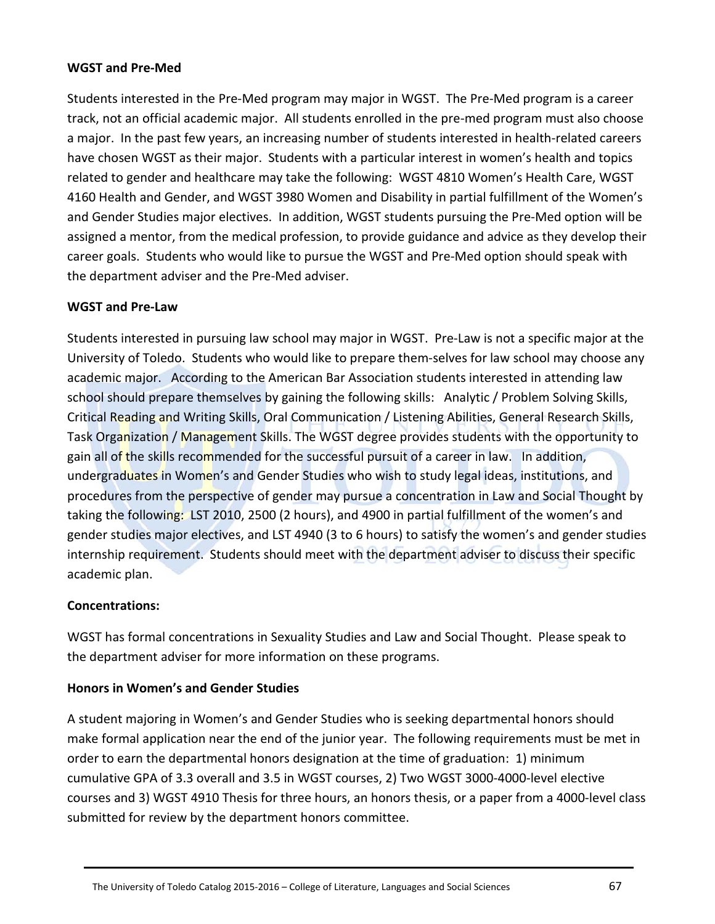# **WGST and Pre-Med**

Students interested in the Pre-Med program may major in WGST. The Pre-Med program is a career track, not an official academic major. All students enrolled in the pre-med program must also choose a major. In the past few years, an increasing number of students interested in health-related careers have chosen WGST as their major. Students with a particular interest in women's health and topics related to gender and healthcare may take the following: WGST 4810 Women's Health Care, WGST 4160 Health and Gender, and WGST 3980 Women and Disability in partial fulfillment of the Women's and Gender Studies major electives. In addition, WGST students pursuing the Pre-Med option will be assigned a mentor, from the medical profession, to provide guidance and advice as they develop their career goals. Students who would like to pursue the WGST and Pre-Med option should speak with the department adviser and the Pre-Med adviser.

# **WGST and Pre-Law**

Students interested in pursuing law school may major in WGST. Pre-Law is not a specific major at the University of Toledo. Students who would like to prepare them-selves for law school may choose any academic major. According to the American Bar Association students interested in attending law school should prepare themselves by gaining the following skills: Analytic / Problem Solving Skills, Critical Reading and Writing Skills, Oral Communication / Listening Abilities, General Research Skills, Task Organization / Management Skills. The WGST degree provides students with the opportunity to gain all of the skills recommended for the successful pursuit of a career in law. In addition, undergraduates in Women's and Gender Studies who wish to study legal ideas, institutions, and procedures from the perspective of gender may pursue a concentration in Law and Social Thought by taking the following: LST 2010, 2500 (2 hours), and 4900 in partial fulfillment of the women's and gender studies major electives, and LST 4940 (3 to 6 hours) to satisfy the women's and gender studies internship requirement. Students should meet with the department adviser to discuss their specific academic plan.

# **Concentrations:**

WGST has formal concentrations in Sexuality Studies and Law and Social Thought. Please speak to the department adviser for more information on these programs.

# **Honors in Women's and Gender Studies**

A student majoring in Women's and Gender Studies who is seeking departmental honors should make formal application near the end of the junior year. The following requirements must be met in order to earn the departmental honors designation at the time of graduation: 1) minimum cumulative GPA of 3.3 overall and 3.5 in WGST courses, 2) Two WGST 3000-4000-level elective courses and 3) WGST 4910 Thesis for three hours, an honors thesis, or a paper from a 4000-level class submitted for review by the department honors committee.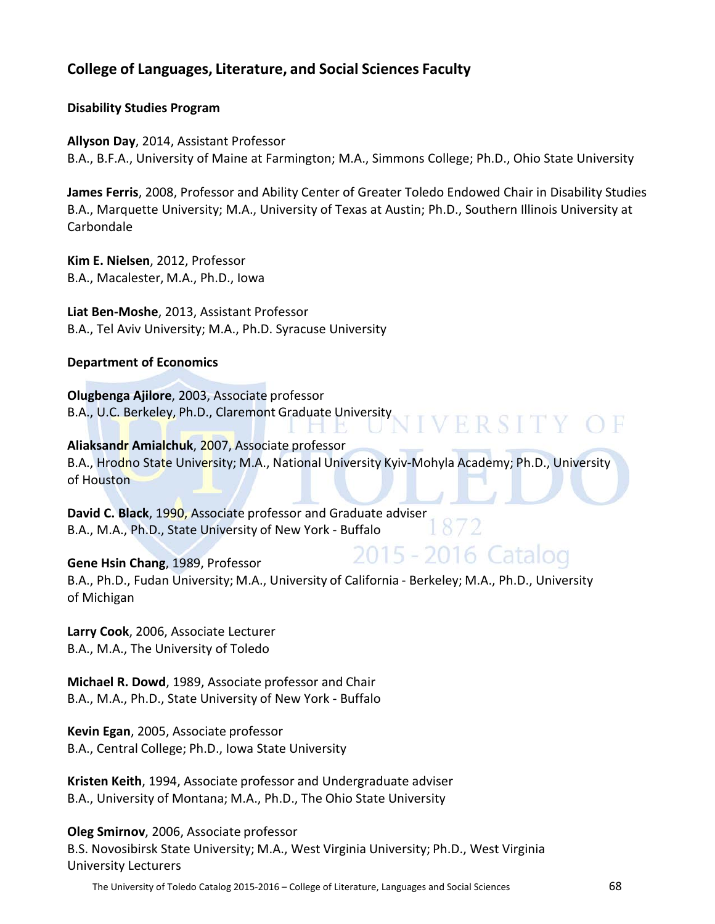# **College of Languages, Literature, and Social Sciences Faculty**

# **Disability Studies Program**

**Allyson Day**, 2014, Assistant Professor B.A., B.F.A., University of Maine at Farmington; M.A., Simmons College; Ph.D., Ohio State University

**James Ferris**, 2008, Professor and Ability Center of Greater Toledo Endowed Chair in Disability Studies B.A., Marquette University; M.A., University of Texas at Austin; Ph.D., Southern Illinois University at Carbondale

**Kim E. Nielsen**, 2012, Professor B.A., Macalester, M.A., Ph.D., Iowa

**Liat Ben-Moshe**, 2013, Assistant Professor B.A., Tel Aviv University; M.A., Ph.D. Syracuse University

# **Department of Economics**

**Olugbenga Ajilore**, 2003, Associate professor B.A., U.C. Berkeley, Ph.D., Claremont Graduate University

**Aliaksandr Amialchuk**, 2007, Associate professor B.A., Hrodno State University; M.A., National University Kyiv-Mohyla Academy; Ph.D., University of Houston

. FM

**IVERSITY OF** 

2015 - 2016 Catalog

**David C. Black**, 1990, Associate professor and Graduate adviser B.A., M.A., Ph.D., State University of New York - Buffalo

#### **Gene Hsin Chang**, 1989, Professor

B.A., Ph.D., Fudan University; M.A., University of California - Berkeley; M.A., Ph.D., University of Michigan

**Larry Cook**, 2006, Associate Lecturer B.A., M.A., The University of Toledo

**Michael R. Dowd**, 1989, Associate professor and Chair B.A., M.A., Ph.D., State University of New York - Buffalo

**Kevin Egan**, 2005, Associate professor B.A., Central College; Ph.D., Iowa State University

**Kristen Keith**, 1994, Associate professor and Undergraduate adviser B.A., University of Montana; M.A., Ph.D., The Ohio State University

**Oleg Smirnov**, 2006, Associate professor B.S. Novosibirsk State University; M.A., West Virginia University; Ph.D., West Virginia University Lecturers

The University of Toledo Catalog 2015-2016 – College of Literature, Languages and Social Sciences 68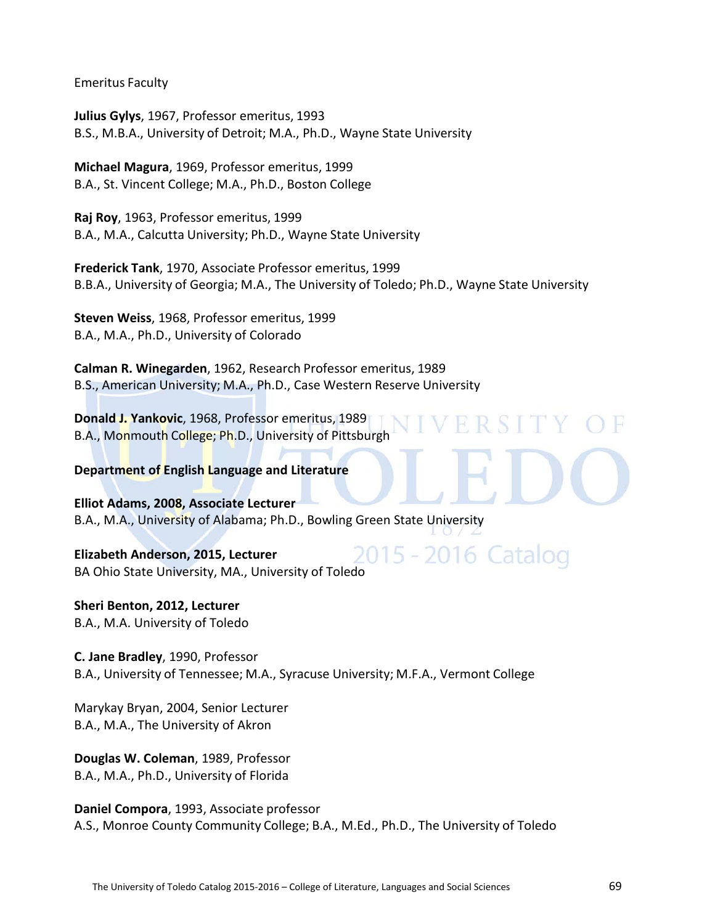Emeritus Faculty

**Julius Gylys**, 1967, Professor emeritus, 1993 B.S., M.B.A., University of Detroit; M.A., Ph.D., Wayne State University

**Michael Magura**, 1969, Professor emeritus, 1999 B.A., St. Vincent College; M.A., Ph.D., Boston College

**Raj Roy**, 1963, Professor emeritus, 1999 B.A., M.A., Calcutta University; Ph.D., Wayne State University

**Frederick Tank**, 1970, Associate Professor emeritus, 1999 B.B.A., University of Georgia; M.A., The University of Toledo; Ph.D., Wayne State University

**Steven Weiss**, 1968, Professor emeritus, 1999 B.A., M.A., Ph.D., University of Colorado

**Calman R. Winegarden**, 1962, Research Professor emeritus, 1989 B.S., American University; M.A., Ph.D., Case Western Reserve University

**Donald J. Yankovic**, 1968, Professor emeritus, 1989 B.A., Monmouth College; Ph.D., University of Pittsburgh

**Department of English Language and Literature**

**Elliot Adams, 2008, Associate Lecturer** B.A., M.A., University of Alabama; Ph.D., Bowling Green State University

2015 - 2016 Catalog **Elizabeth Anderson, 2015, Lecturer** BA Ohio State University, MA., University of Toledo

**Sheri Benton, 2012, Lecturer** B.A., M.A. University of Toledo

**C. Jane Bradley**, 1990, Professor B.A., University of Tennessee; M.A., Syracuse University; M.F.A., Vermont College

Marykay Bryan, 2004, Senior Lecturer B.A., M.A., The University of Akron

**Douglas W. Coleman**, 1989, Professor B.A., M.A., Ph.D., University of Florida

**Daniel Compora**, 1993, Associate professor A.S., Monroe County Community College; B.A., M.Ed., Ph.D., The University of Toledo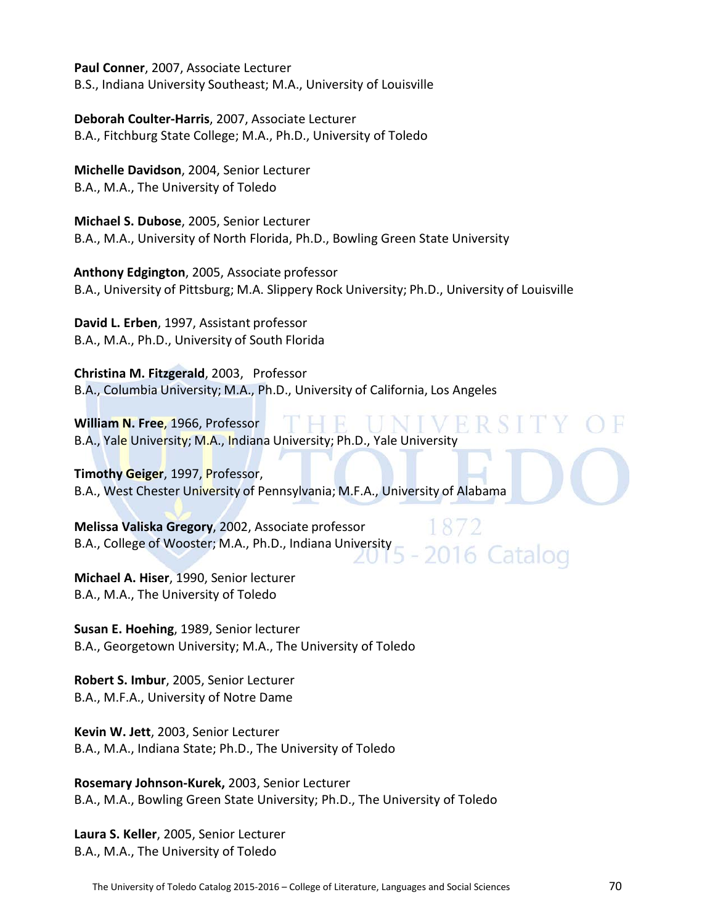**Paul Conner**, 2007, Associate Lecturer B.S., Indiana University Southeast; M.A., University of Louisville

**Deborah Coulter-Harris**, 2007, Associate Lecturer B.A., Fitchburg State College; M.A., Ph.D., University of Toledo

**Michelle Davidson**, 2004, Senior Lecturer B.A., M.A., The University of Toledo

**Michael S. Dubose**, 2005, Senior Lecturer B.A., M.A., University of North Florida, Ph.D., Bowling Green State University

 **Anthony Edgington**, 2005, Associate professor B.A., University of Pittsburg; M.A. Slippery Rock University; Ph.D., University of Louisville

**David L. Erben**, 1997, Assistant professor B.A., M.A., Ph.D., University of South Florida

**Christina M. Fitzgerald**, 2003, Professor B.A., Columbia University; M.A., Ph.D., University of California, Los Angeles

**William N. Free**, 1966, Professor B.A., Yale University; M.A., Indiana University; Ph.D., Yale University

**Timothy Geiger**, 1997, Professor, B.A., West Chester University of Pennsylvania; M.F.A., University of Alabama

**Melissa Valiska Gregory**, 2002, Associate professor B.A., College of Wooster; M.A., Ph.D., Indiana University

**Michael A. Hiser**, 1990, Senior lecturer B.A., M.A., The University of Toledo

**Susan E. Hoehing**, 1989, Senior lecturer B.A., Georgetown University; M.A., The University of Toledo

**Robert S. Imbur**, 2005, Senior Lecturer B.A., M.F.A., University of Notre Dame

**Kevin W. Jett**, 2003, Senior Lecturer B.A., M.A., Indiana State; Ph.D., The University of Toledo

**Rosemary Johnson-Kurek,** 2003, Senior Lecturer B.A., M.A., Bowling Green State University; Ph.D., The University of Toledo

**Laura S. Keller**, 2005, Senior Lecturer B.A., M.A., The University of Toledo

2016 Catalog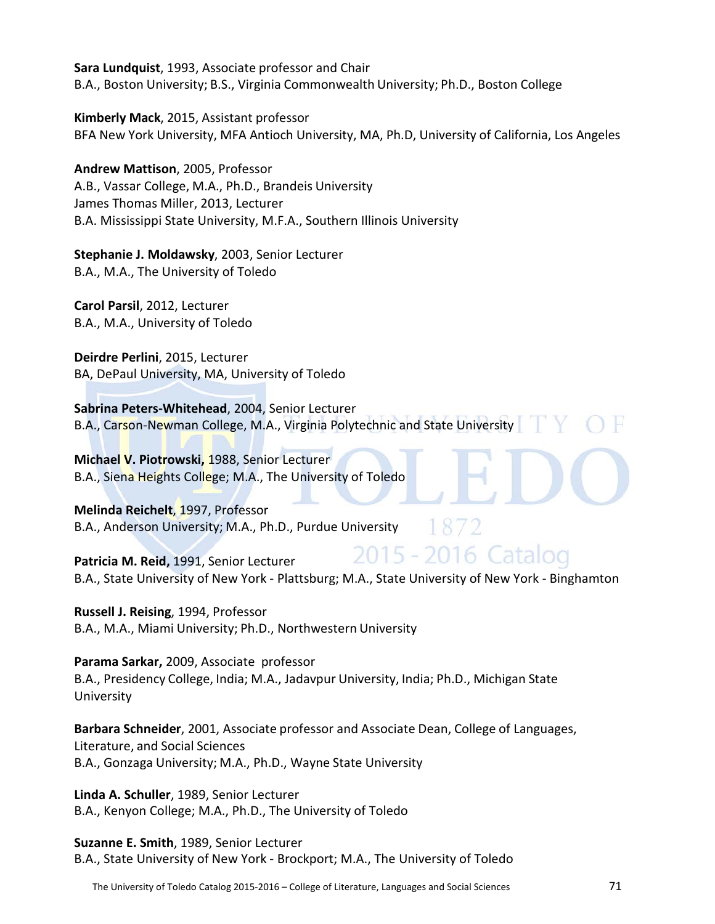**Sara Lundquist**, 1993, Associate professor and Chair B.A., Boston University; B.S., Virginia Commonwealth University; Ph.D., Boston College

**Kimberly Mack**, 2015, Assistant professor BFA New York University, MFA Antioch University, MA, Ph.D, University of California, Los Angeles

**Andrew Mattison**, 2005, Professor A.B., Vassar College, M.A., Ph.D., Brandeis University James Thomas Miller, 2013, Lecturer B.A. Mississippi State University, M.F.A., Southern Illinois University

**Stephanie J. Moldawsky**, 2003, Senior Lecturer B.A., M.A., The University of Toledo

**Carol Parsil**, 2012, Lecturer B.A., M.A., University of Toledo

**Deirdre Perlini**, 2015, Lecturer BA, DePaul University, MA, University of Toledo

**Sabrina Peters-Whitehead**, 2004, Senior Lecturer B.A., Carson-Newman College, M.A., Virginia Polytechnic and State University

**Michael V. Piotrowski,** 1988, Senior Lecturer B.A., Siena Heights College; M.A., The University of Toledo

**Melinda Reichelt**, 1997, Professor B.A., Anderson University; M.A., Ph.D., Purdue University

2015 - 2016 Catalog **Patricia M. Reid,** 1991, Senior Lecturer B.A., State University of New York - Plattsburg; M.A., State University of New York - Binghamton

**Russell J. Reising**, 1994, Professor B.A., M.A., Miami University; Ph.D., Northwestern University

**Parama Sarkar,** 2009, Associate professor B.A., Presidency College, India; M.A., Jadavpur University, India; Ph.D., Michigan State University

**Barbara Schneider**, 2001, Associate professor and Associate Dean, College of Languages, Literature, and Social Sciences B.A., Gonzaga University; M.A., Ph.D., Wayne State University

**Linda A. Schuller**, 1989, Senior Lecturer B.A., Kenyon College; M.A., Ph.D., The University of Toledo

**Suzanne E. Smith**, 1989, Senior Lecturer B.A., State University of New York - Brockport; M.A., The University of Toledo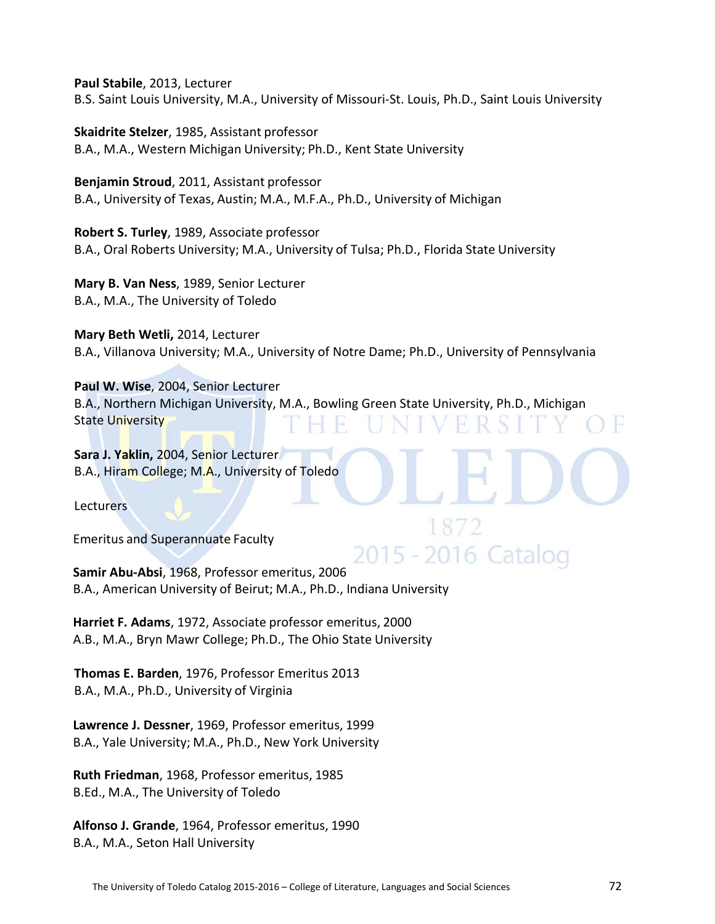**Paul Stabile**, 2013, Lecturer B.S. Saint Louis University, M.A., University of Missouri-St. Louis, Ph.D., Saint Louis University

**Skaidrite Stelzer**, 1985, Assistant professor B.A., M.A., Western Michigan University; Ph.D., Kent State University

**Benjamin Stroud**, 2011, Assistant professor B.A., University of Texas, Austin; M.A., M.F.A., Ph.D., University of Michigan

**Robert S. Turley**, 1989, Associate professor B.A., Oral Roberts University; M.A., University of Tulsa; Ph.D., Florida State University

**Mary B. Van Ness**, 1989, Senior Lecturer B.A., M.A., The University of Toledo

**Mary Beth Wetli,** 2014, Lecturer B.A., Villanova University; M.A., University of Notre Dame; Ph.D., University of Pennsylvania

**Paul W. Wise**, 2004, Senior Lecturer B.A., Northern Michigan University, M.A., Bowling Green State University, Ph.D., Michigan State University

**Sara J. Yaklin,** 2004, Senior Lecturer B.A., Hiram College; M.A., University of Toledo

**Lecturers** 

Emeritus and Superannuate Faculty

2015 - 2016 Catalog **Samir Abu-Absi**, 1968, Professor emeritus, 2006 B.A., American University of Beirut; M.A., Ph.D., Indiana University

**Harriet F. Adams**, 1972, Associate professor emeritus, 2000 A.B., M.A., Bryn Mawr College; Ph.D., The Ohio State University

**Thomas E. Barden**, 1976, Professor Emeritus 2013 B.A., M.A., Ph.D., University of Virginia

**Lawrence J. Dessner**, 1969, Professor emeritus, 1999 B.A., Yale University; M.A., Ph.D., New York University

**Ruth Friedman**, 1968, Professor emeritus, 1985 B.Ed., M.A., The University of Toledo

**Alfonso J. Grande**, 1964, Professor emeritus, 1990 B.A., M.A., Seton Hall University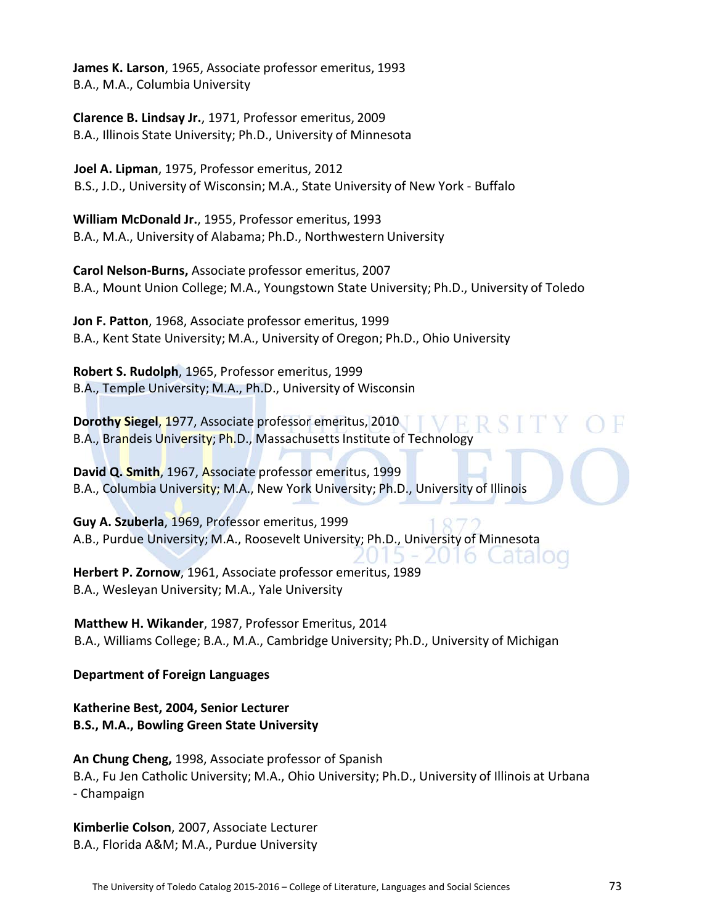**James K. Larson**, 1965, Associate professor emeritus, 1993 B.A., M.A., Columbia University

**Clarence B. Lindsay Jr.**, 1971, Professor emeritus, 2009 B.A., Illinois State University; Ph.D., University of Minnesota

**Joel A. Lipman**, 1975, Professor emeritus, 2012 B.S., J.D., University of Wisconsin; M.A., State University of New York - Buffalo

**William McDonald Jr.**, 1955, Professor emeritus, 1993 B.A., M.A., University of Alabama; Ph.D., Northwestern University

**Carol Nelson-Burns,** Associate professor emeritus, 2007 B.A., Mount Union College; M.A., Youngstown State University; Ph.D., University of Toledo

**Jon F. Patton**, 1968, Associate professor emeritus, 1999 B.A., Kent State University; M.A., University of Oregon; Ph.D., Ohio University

**Robert S. Rudolph**, 1965, Professor emeritus, 1999 B.A., Temple University; M.A., Ph.D., University of Wisconsin

**Dorothy Siegel**, 1977, Associate professor emeritus, 2010 B.A., Brandeis University; Ph.D., Massachusetts Institute of Technology

**David Q. Smith**, 1967, Associate professor emeritus, 1999 B.A., Columbia University; M.A., New York University; Ph.D., University of Illinois

**Guy A. Szuberla**, 1969, Professor emeritus, 1999 A.B., Purdue University; M.A., Roosevelt University; Ph.D., University of Minnesota **Herbert P. Zornow**, 1961, Associate professor emeritus, 1989 B.A., Wesleyan University; M.A., Yale University

**Matthew H. Wikander**, 1987, Professor Emeritus, 2014 B.A., Williams College; B.A., M.A., Cambridge University; Ph.D., University of Michigan

**Department of Foreign Languages**

**Katherine Best, 2004, Senior Lecturer B.S., M.A., Bowling Green State University**

**An Chung Cheng,** 1998, Associate professor of Spanish B.A., Fu Jen Catholic University; M.A., Ohio University; Ph.D., University of Illinois at Urbana - Champaign

**Kimberlie Colson**, 2007, Associate Lecturer B.A., Florida A&M; M.A., Purdue University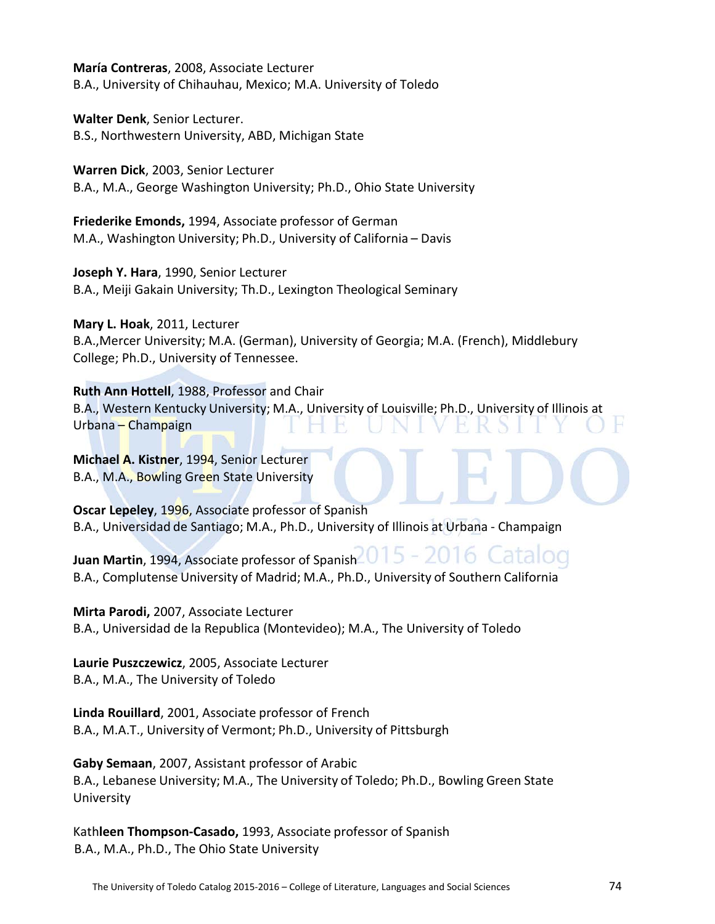**María Contreras**, 2008, Associate Lecturer B.A., University of Chihauhau, Mexico; M.A. University of Toledo

**Walter Denk**, Senior Lecturer. B.S., Northwestern University, ABD, Michigan State

**Warren Dick**, 2003, Senior Lecturer B.A., M.A., George Washington University; Ph.D., Ohio State University

**Friederike Emonds,** 1994, Associate professor of German M.A., Washington University; Ph.D., University of California – Davis

**Joseph Y. Hara**, 1990, Senior Lecturer B.A., Meiji Gakain University; Th.D., Lexington Theological Seminary

**Mary L. Hoak**, 2011, Lecturer

B.A.,Mercer University; M.A. (German), University of Georgia; M.A. (French), Middlebury College; Ph.D., University of Tennessee.

**Ruth Ann Hottell**, 1988, Professor and Chair B.A., Western Kentucky University; M.A., University of Louisville; Ph.D., University of Illinois at Urbana – Champaign

**Michael A. Kistner**, 1994, Senior Lecturer B.A., M.A., Bowling Green State University

**Oscar Lepeley**, 1996, Associate professor of Spanish B.A., Universidad de Santiago; M.A., Ph.D., University of Illinois at Urbana - Champaign

**Juan Martin**, 1994, Associate professor of Spanish 015 - 2016 Catalog B.A., Complutense University of Madrid; M.A., Ph.D., University of Southern California

**Mirta Parodi,** 2007, Associate Lecturer B.A., Universidad de la Republica (Montevideo); M.A., The University of Toledo

**Laurie Puszczewicz**, 2005, Associate Lecturer B.A., M.A., The University of Toledo

**Linda Rouillard**, 2001, Associate professor of French B.A., M.A.T., University of Vermont; Ph.D., University of Pittsburgh

**Gaby Semaan**, 2007, Assistant professor of Arabic B.A., Lebanese University; M.A., The University of Toledo; Ph.D., Bowling Green State University

Kath**leen Thompson-Casado,** 1993, Associate professor of Spanish B.A., M.A., Ph.D., The Ohio State University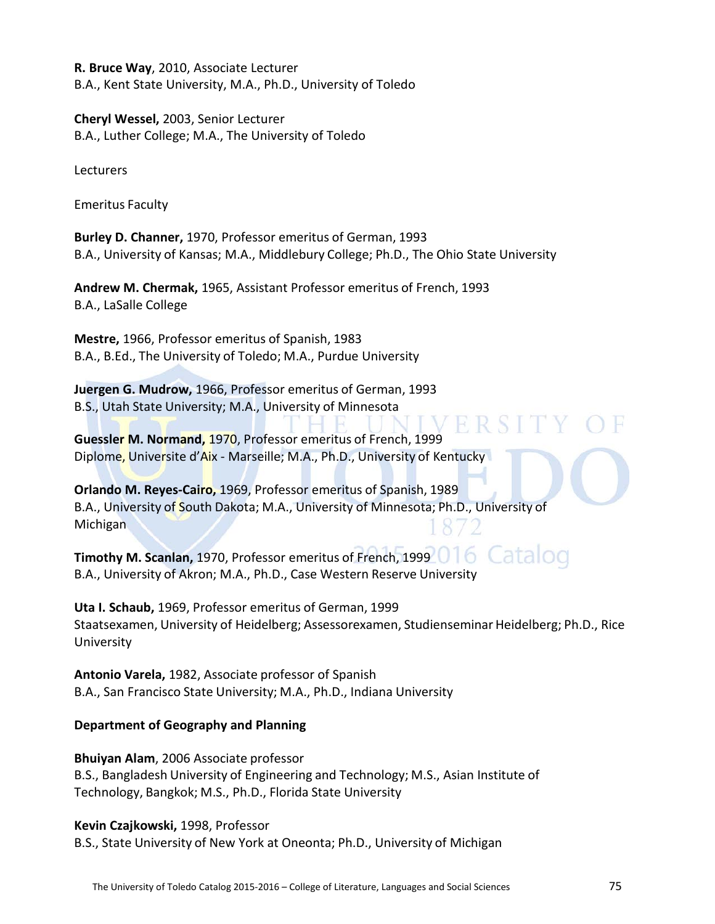**R. Bruce Way**, 2010, Associate Lecturer B.A., Kent State University, M.A., Ph.D., University of Toledo

**Cheryl Wessel,** 2003, Senior Lecturer B.A., Luther College; M.A., The University of Toledo

Lecturers

Emeritus Faculty

**Burley D. Channer,** 1970, Professor emeritus of German, 1993 B.A., University of Kansas; M.A., Middlebury College; Ph.D., The Ohio State University

**Andrew M. Chermak,** 1965, Assistant Professor emeritus of French, 1993 B.A., LaSalle College

**Mestre,** 1966, Professor emeritus of Spanish, 1983 B.A., B.Ed., The University of Toledo; M.A., Purdue University

**Juergen G. Mudrow,** 1966, Professor emeritus of German, 1993 B.S., Utah State University; M.A., University of Minnesota

**Guessler M. Normand,** 1970, Professor emeritus of French, 1999 Diplome, Universite d'Aix - Marseille; M.A., Ph.D., University of Kentucky

**Orlando M. Reyes-Cairo,** 1969, Professor emeritus of Spanish, 1989 B.A., University of South Dakota; M.A., University of Minnesota; Ph.D., University of Michigan

**Timothy M. Scanlan, 1970, Professor emeritus of French, 1999 016 Catalog** B.A., University of Akron; M.A., Ph.D., Case Western Reserve University

**Uta I. Schaub,** 1969, Professor emeritus of German, 1999 Staatsexamen, University of Heidelberg; Assessorexamen, Studienseminar Heidelberg; Ph.D., Rice University

H.

**Antonio Varela,** 1982, Associate professor of Spanish B.A., San Francisco State University; M.A., Ph.D., Indiana University

# **Department of Geography and Planning**

**Bhuiyan Alam**, 2006 Associate professor B.S., Bangladesh University of Engineering and Technology; M.S., Asian Institute of Technology, Bangkok; M.S., Ph.D., Florida State University

## **Kevin Czajkowski,** 1998, Professor

B.S., State University of New York at Oneonta; Ph.D., University of Michigan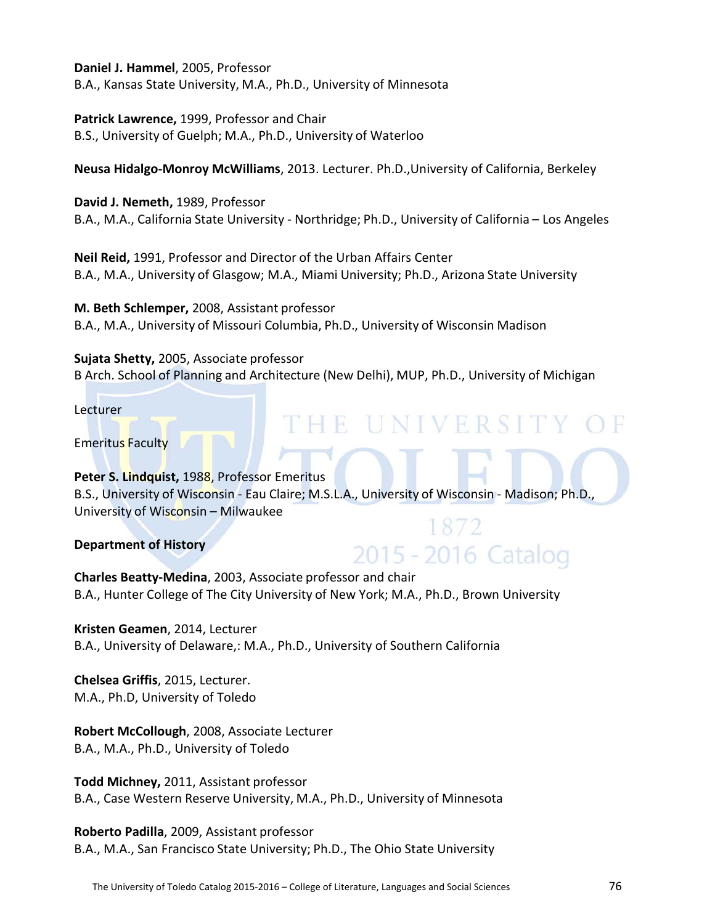**Daniel J. Hammel**, 2005, Professor

B.A., Kansas State University, M.A., Ph.D., University of Minnesota

**Patrick Lawrence,** 1999, Professor and Chair B.S., University of Guelph; M.A., Ph.D., University of Waterloo

**Neusa Hidalgo-Monroy McWilliams**, 2013. Lecturer. Ph.D.,University of California, Berkeley

**David J. Nemeth,** 1989, Professor B.A., M.A., California State University - Northridge; Ph.D., University of California – Los Angeles

**Neil Reid,** 1991, Professor and Director of the Urban Affairs Center B.A., M.A., University of Glasgow; M.A., Miami University; Ph.D., Arizona State University

**M. Beth Schlemper,** 2008, Assistant professor B.A., M.A., University of Missouri Columbia, Ph.D., University of Wisconsin Madison

**Sujata Shetty,** 2005, Associate professor B Arch. School of Planning and Architecture (New Delhi), MUP, Ph.D., University of Michigan

THE UNIVERSITY O

1872

2015 - 2016 Catalog

Lecturer

Emeritus Faculty

**Peter S. Lindquist,** 1988, Professor Emeritus

B.S., University of Wisconsin - Eau Claire; M.S.L.A., University of Wisconsin - Madison; Ph.D., University of Wisconsin – Milwaukee

**Department of History**

**Charles Beatty-Medina**, 2003, Associate professor and chair B.A., Hunter College of The City University of New York; M.A., Ph.D., Brown University

**Kristen Geamen**, 2014, Lecturer B.A., University of Delaware,: M.A., Ph.D., University of Southern California

**Chelsea Griffis**, 2015, Lecturer. M.A., Ph.D, University of Toledo

**Robert McCollough**, 2008, Associate Lecturer B.A., M.A., Ph.D., University of Toledo

**Todd Michney,** 2011, Assistant professor B.A., Case Western Reserve University, M.A., Ph.D., University of Minnesota

**Roberto Padilla**, 2009, Assistant professor B.A., M.A., San Francisco State University; Ph.D., The Ohio State University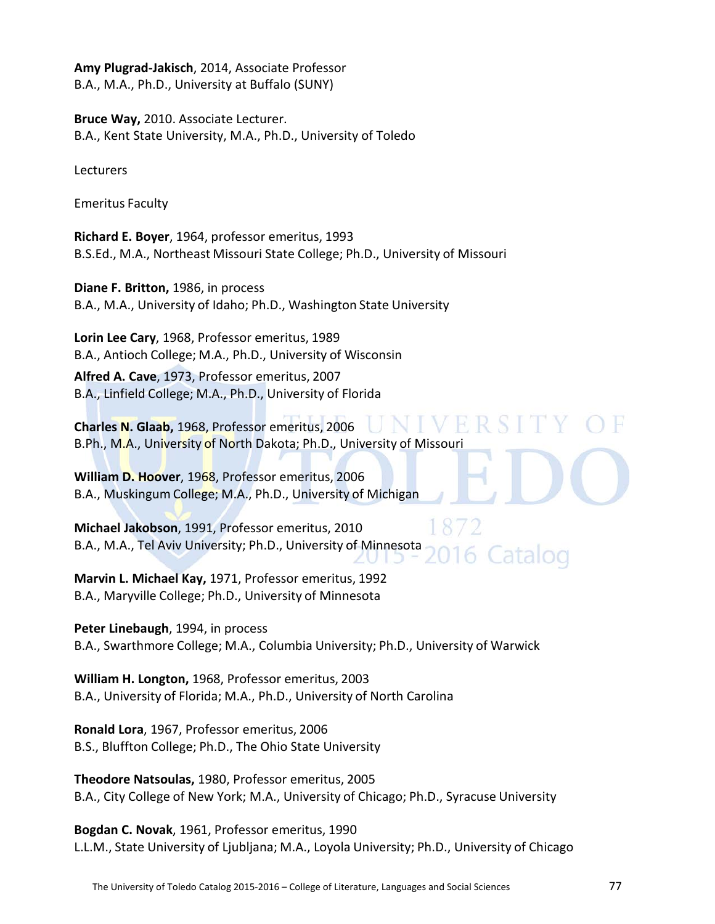**Amy Plugrad-Jakisch**, 2014, Associate Professor B.A., M.A., Ph.D., University at Buffalo (SUNY)

**Bruce Way,** 2010. Associate Lecturer. B.A., Kent State University, M.A., Ph.D., University of Toledo

Lecturers

Emeritus Faculty

**Richard E. Boyer**, 1964, professor emeritus, 1993 B.S.Ed., M.A., Northeast Missouri State College; Ph.D., University of Missouri

**Diane F. Britton,** 1986, in process B.A., M.A., University of Idaho; Ph.D., Washington State University

**Lorin Lee Cary**, 1968, Professor emeritus, 1989 B.A., Antioch College; M.A., Ph.D., University of Wisconsin **Alfred A. Cave**, 1973, Professor emeritus, 2007

B.A., Linfield College; M.A., Ph.D., University of Florida

**Charles N. Glaab,** 1968, Professor emeritus, 2006 B.Ph., M.A., University of North Dakota; Ph.D., University of Missouri

**William D. Hoover**, 1968, Professor emeritus, 2006 B.A., Muskingum College; M.A., Ph.D., University of Michigan

**Michael Jakobson**, 1991, Professor emeritus, 2010 B.A., M.A., Tel Aviv University; Ph.D., University of Minnesota Catalog

**Marvin L. Michael Kay,** 1971, Professor emeritus, 1992 B.A., Maryville College; Ph.D., University of Minnesota

**Peter Linebaugh**, 1994, in process B.A., Swarthmore College; M.A., Columbia University; Ph.D., University of Warwick

**William H. Longton,** 1968, Professor emeritus, 2003 B.A., University of Florida; M.A., Ph.D., University of North Carolina

**Ronald Lora**, 1967, Professor emeritus, 2006 B.S., Bluffton College; Ph.D., The Ohio State University

**Theodore Natsoulas,** 1980, Professor emeritus, 2005 B.A., City College of New York; M.A., University of Chicago; Ph.D., Syracuse University

**Bogdan C. Novak**, 1961, Professor emeritus, 1990 L.L.M., State University of Ljubljana; M.A., Loyola University; Ph.D., University of Chicago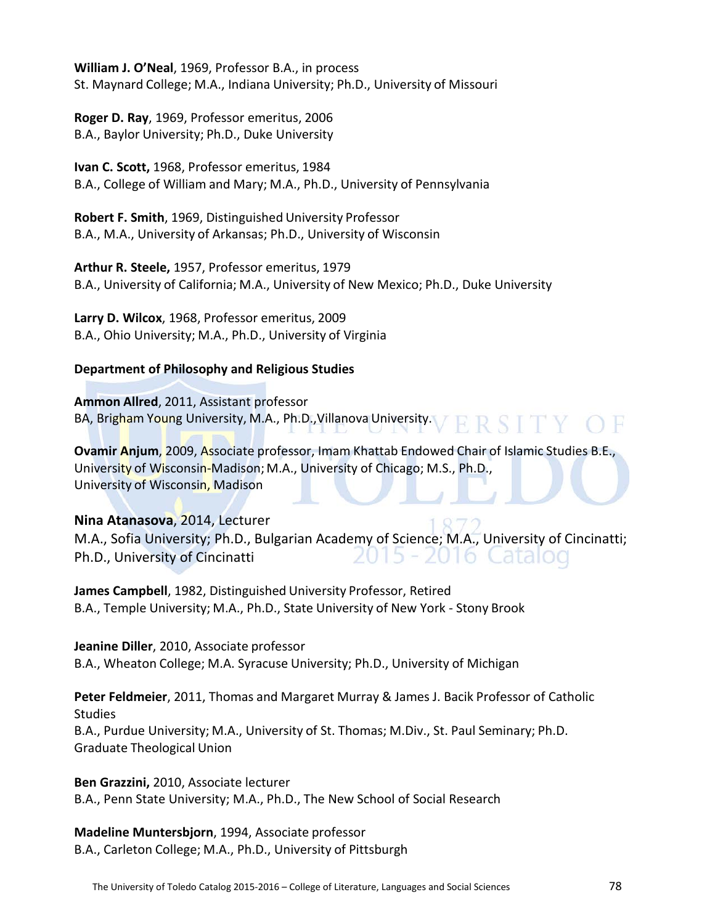**William J. O'Neal**, 1969, Professor B.A., in process St. Maynard College; M.A., Indiana University; Ph.D., University of Missouri

**Roger D. Ray**, 1969, Professor emeritus, 2006 B.A., Baylor University; Ph.D., Duke University

**Ivan C. Scott,** 1968, Professor emeritus, 1984 B.A., College of William and Mary; M.A., Ph.D., University of Pennsylvania

**Robert F. Smith**, 1969, Distinguished University Professor B.A., M.A., University of Arkansas; Ph.D., University of Wisconsin

**Arthur R. Steele,** 1957, Professor emeritus, 1979 B.A., University of California; M.A., University of New Mexico; Ph.D., Duke University

**Larry D. Wilcox**, 1968, Professor emeritus, 2009 B.A., Ohio University; M.A., Ph.D., University of Virginia

# **Department of Philosophy and Religious Studies**

**Ammon Allred**, 2011, Assistant professor BA, Brigham Young University, M.A., Ph.D., Villanova University. V R R S T T Y O F

**Ovamir Anjum**, 2009, Associate professor, Imam Khattab Endowed Chair of Islamic Studies B.E., University of Wisconsin-Madison; M.A., University of Chicago; M.S., Ph.D., University of Wisconsin, Madison

# **Nina Atanasova**, 2014, Lecturer

M.A., Sofia University; Ph.D., Bulgarian Academy of Science; M.A., University of Cincinatti; Ph.D., University of Cincinatti To Catalog

**James Campbell**, 1982, Distinguished University Professor, Retired B.A., Temple University; M.A., Ph.D., State University of New York - Stony Brook

**Jeanine Diller**, 2010, Associate professor B.A., Wheaton College; M.A. Syracuse University; Ph.D., University of Michigan

**Peter Feldmeier**, 2011, Thomas and Margaret Murray & James J. Bacik Professor of Catholic **Studies** B.A., Purdue University; M.A., University of St. Thomas; M.Div., St. Paul Seminary; Ph.D. Graduate Theological Union

**Ben Grazzini,** 2010, Associate lecturer B.A., Penn State University; M.A., Ph.D., The New School of Social Research

**Madeline Muntersbjorn**, 1994, Associate professor B.A., Carleton College; M.A., Ph.D., University of Pittsburgh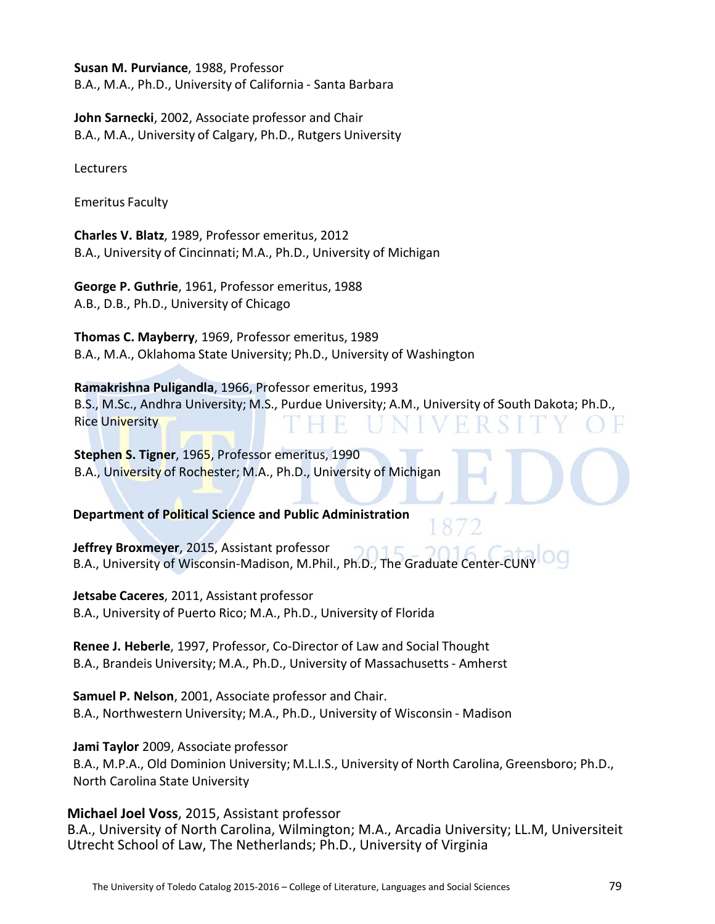**Susan M. Purviance**, 1988, Professor

B.A., M.A., Ph.D., University of California - Santa Barbara

**John Sarnecki**, 2002, Associate professor and Chair B.A., M.A., University of Calgary, Ph.D., Rutgers University

**Lecturers** 

Emeritus Faculty

**Charles V. Blatz**, 1989, Professor emeritus, 2012 B.A., University of Cincinnati; M.A., Ph.D., University of Michigan

**George P. Guthrie**, 1961, Professor emeritus, 1988 A.B., D.B., Ph.D., University of Chicago

**Thomas C. Mayberry**, 1969, Professor emeritus, 1989 B.A., M.A., Oklahoma State University; Ph.D., University of Washington

**Ramakrishna Puligandla**, 1966, Professor emeritus, 1993 B.S., M.Sc., Andhra University; M.S., Purdue University; A.M., University of South Dakota; Ph.D., Rice University

**Stephen S. Tigner**, 1965, Professor emeritus, 1990 B.A., University of Rochester; M.A., Ph.D., University of Michigan

**Department of Political Science and Public Administration**

**Jeffrey Broxmeyer**, 2015, Assistant professor  $1<sup>E</sup>$ B.A., University of Wisconsin-Madison, M.Phil., Ph.D., The Graduate Center-CU

**Jetsabe Caceres**, 2011, Assistant professor B.A., University of Puerto Rico; M.A., Ph.D., University of Florida

**Renee J. Heberle**, 1997, Professor, Co-Director of Law and Social Thought B.A., Brandeis University; M.A., Ph.D., University of Massachusetts- Amherst

**Samuel P. Nelson**, 2001, Associate professor and Chair. B.A., Northwestern University; M.A., Ph.D., University of Wisconsin - Madison

**Jami Taylor** 2009, Associate professor

B.A., M.P.A., Old Dominion University; M.L.I.S., University of North Carolina, Greensboro; Ph.D., North Carolina State University

**Michael Joel Voss**, 2015, Assistant professor B.A., University of North Carolina, Wilmington; M.A., Arcadia University; LL.M, Universiteit Utrecht School of Law, The Netherlands; Ph.D., University of Virginia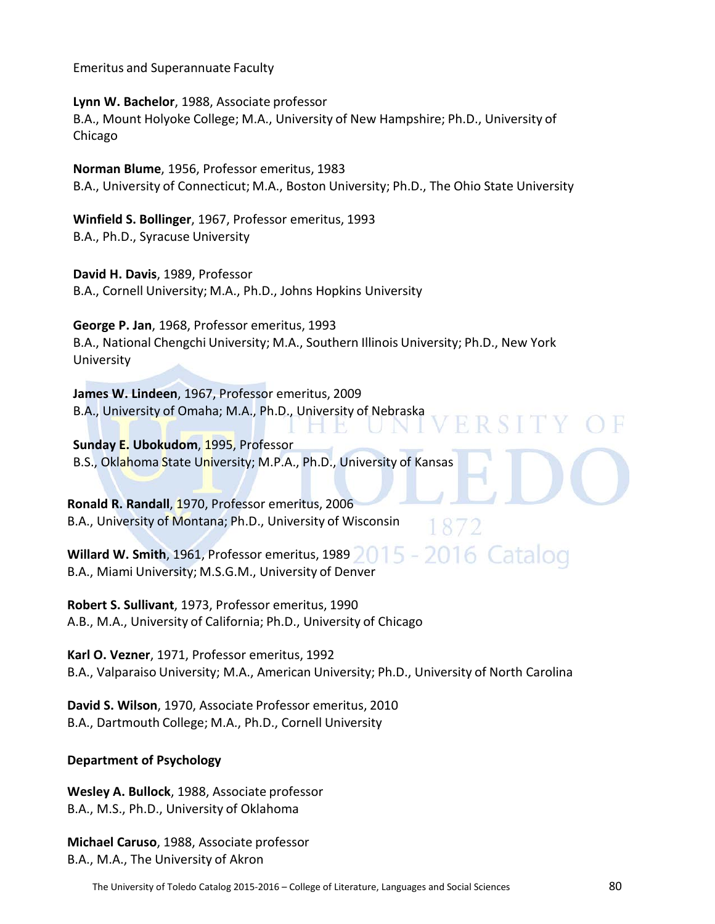Emeritus and Superannuate Faculty

**Lynn W. Bachelor**, 1988, Associate professor B.A., Mount Holyoke College; M.A., University of New Hampshire; Ph.D., University of Chicago

**Norman Blume**, 1956, Professor emeritus, 1983 B.A., University of Connecticut; M.A., Boston University; Ph.D., The Ohio State University

**Winfield S. Bollinger**, 1967, Professor emeritus, 1993 B.A., Ph.D., Syracuse University

**David H. Davis**, 1989, Professor B.A., Cornell University; M.A., Ph.D., Johns Hopkins University

**George P. Jan**, 1968, Professor emeritus, 1993 B.A., National Chengchi University; M.A., Southern Illinois University; Ph.D., New York University

F.

 $\left| \cdot \right|$ 

**FRSIT** 

**James W. Lindeen**, 1967, Professor emeritus, 2009 B.A., University of Omaha; M.A., Ph.D., University of Nebraska

**Sunday E. Ubokudom**, 1995, Professor B.S., Oklahoma State University; M.P.A., Ph.D., University of Kansas

**Ronald R. Randall**, 1970, Professor emeritus, 2006 B.A., University of Montana; Ph.D., University of Wisconsin

2016 Catalog  $15 -$ **Willard W. Smith**, 1961, Professor emeritus, 1989 B.A., Miami University; M.S.G.M., University of Denver

**Robert S. Sullivant**, 1973, Professor emeritus, 1990 A.B., M.A., University of California; Ph.D., University of Chicago

**Karl O. Vezner**, 1971, Professor emeritus, 1992 B.A., Valparaiso University; M.A., American University; Ph.D., University of North Carolina

**David S. Wilson**, 1970, Associate Professor emeritus, 2010 B.A., Dartmouth College; M.A., Ph.D., Cornell University

# **Department of Psychology**

**Wesley A. Bullock**, 1988, Associate professor B.A., M.S., Ph.D., University of Oklahoma

**Michael Caruso**, 1988, Associate professor B.A., M.A., The University of Akron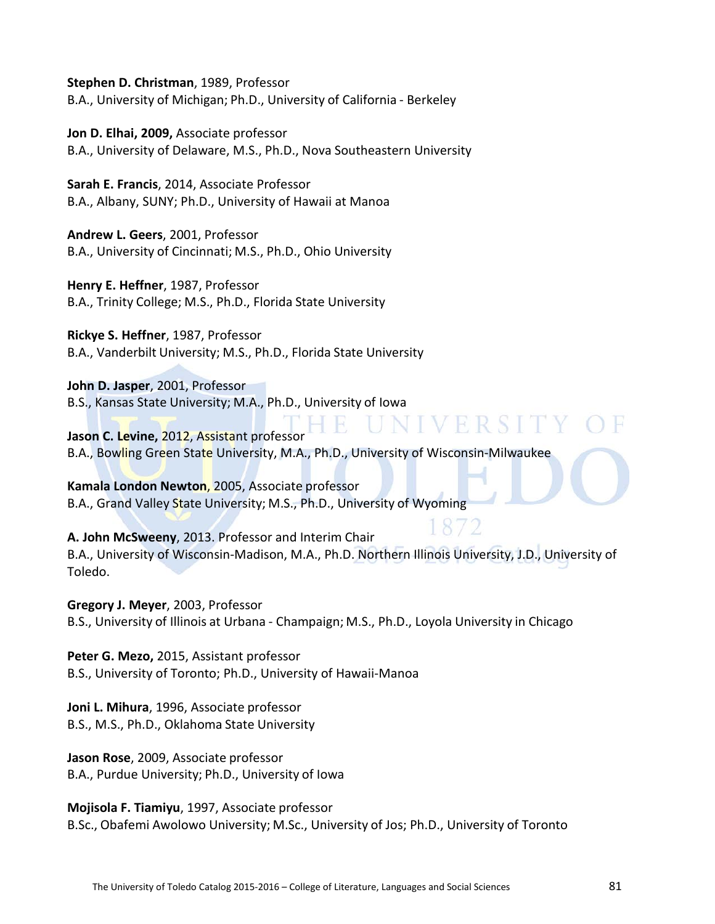**Stephen D. Christman**, 1989, Professor B.A., University of Michigan; Ph.D., University of California - Berkeley

**Jon D. Elhai, 2009,** Associate professor B.A., University of Delaware, M.S., Ph.D., Nova Southeastern University

**Sarah E. Francis**, 2014, Associate Professor B.A., Albany, SUNY; Ph.D., University of Hawaii at Manoa

**Andrew L. Geers**, 2001, Professor B.A., University of Cincinnati; M.S., Ph.D., Ohio University

**Henry E. Heffner**, 1987, Professor B.A., Trinity College; M.S., Ph.D., Florida State University

**Rickye S. Heffner**, 1987, Professor B.A., Vanderbilt University; M.S., Ph.D., Florida State University

**John D. Jasper**, 2001, Professor B.S., Kansas State University; M.A., Ph.D., University of Iowa

UNIVERSIT **Jason C. Levine,** 2012, Assistant professor B.A., Bowling Green State University, M.A., Ph.D., University of Wisconsin-Milwaukee

**Kamala London Newton**, 2005, Associate professor B.A., Grand Valley State University; M.S., Ph.D., University of Wyoming

**A. John McSweeny**, 2013. Professor and Interim Chair B.A., University of Wisconsin-Madison, M.A., Ph.D. Northern Illinois University, J.D., University of Toledo.

**Gregory J. Meyer**, 2003, Professor B.S., University of Illinois at Urbana - Champaign; M.S., Ph.D., Loyola University in Chicago

**Peter G. Mezo,** 2015, Assistant professor B.S., University of Toronto; Ph.D., University of Hawaii-Manoa

**Joni L. Mihura**, 1996, Associate professor B.S., M.S., Ph.D., Oklahoma State University

**Jason Rose**, 2009, Associate professor B.A., Purdue University; Ph.D., University of Iowa

**Mojisola F. Tiamiyu**, 1997, Associate professor B.Sc., Obafemi Awolowo University; M.Sc., University of Jos; Ph.D., University of Toronto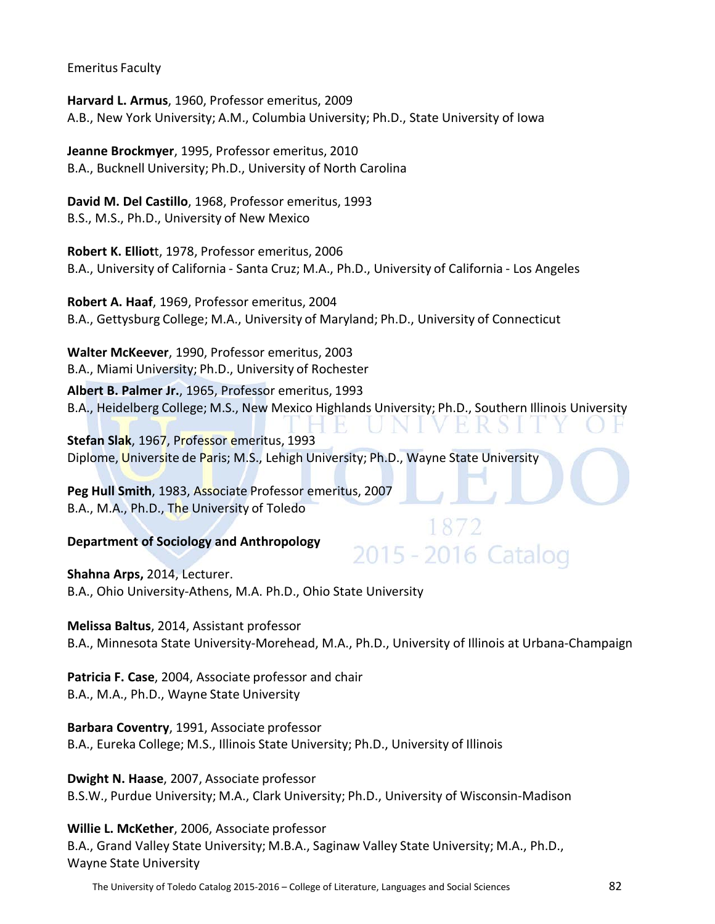Emeritus Faculty

**Harvard L. Armus**, 1960, Professor emeritus, 2009 A.B., New York University; A.M., Columbia University; Ph.D., State University of Iowa

**Jeanne Brockmyer**, 1995, Professor emeritus, 2010 B.A., Bucknell University; Ph.D., University of North Carolina

**David M. Del Castillo**, 1968, Professor emeritus, 1993 B.S., M.S., Ph.D., University of New Mexico

**Robert K. Elliot**t, 1978, Professor emeritus, 2006 B.A., University of California - Santa Cruz; M.A., Ph.D., University of California - Los Angeles

**Robert A. Haaf**, 1969, Professor emeritus, 2004 B.A., Gettysburg College; M.A., University of Maryland; Ph.D., University of Connecticut

**Walter McKeever**, 1990, Professor emeritus, 2003 B.A., Miami University; Ph.D., University of Rochester

**Albert B. Palmer Jr.**, 1965, Professor emeritus, 1993 B.A., Heidelberg College; M.S., New Mexico Highlands University; Ph.D., Southern Illinois University

**Stefan Slak**, 1967, Professor emeritus, 1993 Diplome, Universite de Paris; M.S., Lehigh University; Ph.D., Wayne State University

**Peg Hull Smith**, 1983, Associate Professor emeritus, 2007 B.A., M.A., Ph.D., The University of Toledo

# **Department of Sociology and Anthropology**

**Shahna Arps,** 2014, Lecturer. B.A., Ohio University-Athens, M.A. Ph.D., Ohio State University

**Melissa Baltus**, 2014, Assistant professor B.A., Minnesota State University-Morehead, M.A., Ph.D., University of Illinois at Urbana-Champaign

2015 - 2016 Catalog

**Patricia F. Case**, 2004, Associate professor and chair B.A., M.A., Ph.D., Wayne State University

**Barbara Coventry**, 1991, Associate professor B.A., Eureka College; M.S., Illinois State University; Ph.D., University of Illinois

**Dwight N. Haase**, 2007, Associate professor B.S.W., Purdue University; M.A., Clark University; Ph.D., University of Wisconsin-Madison

**Willie L. McKether**, 2006, Associate professor B.A., Grand Valley State University; M.B.A., Saginaw Valley State University; M.A., Ph.D., Wayne State University

The University of Toledo Catalog 2015-2016 – College of Literature, Languages and Social Sciences 82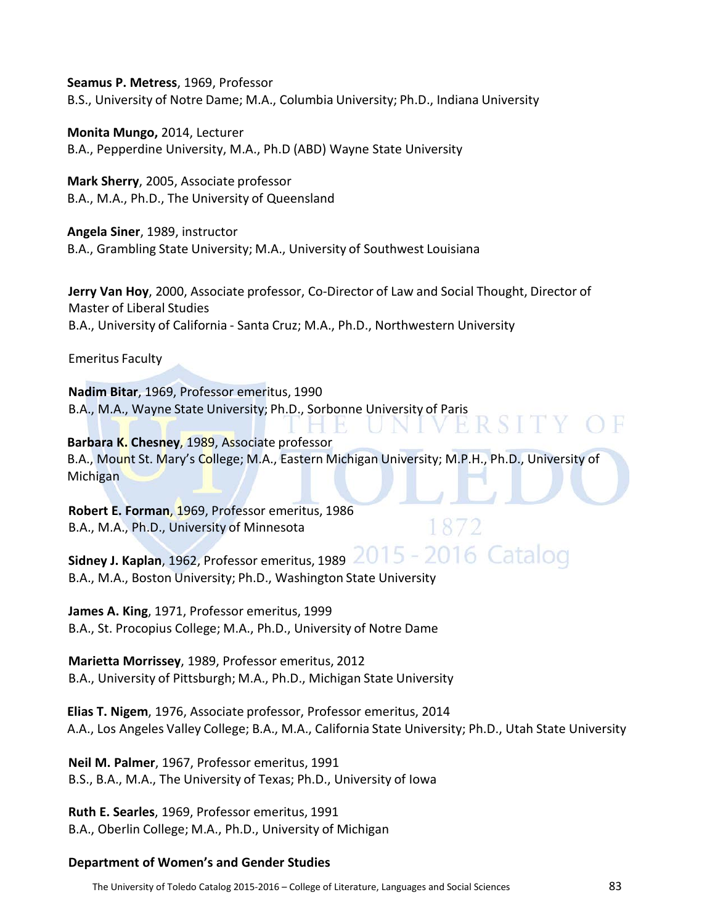**Seamus P. Metress**, 1969, Professor

B.S., University of Notre Dame; M.A., Columbia University; Ph.D., Indiana University

**Monita Mungo,** 2014, Lecturer B.A., Pepperdine University, M.A., Ph.D (ABD) Wayne State University

**Mark Sherry**, 2005, Associate professor B.A., M.A., Ph.D., The University of Queensland

**Angela Siner**, 1989, instructor B.A., Grambling State University; M.A., University of Southwest Louisiana

**Jerry Van Hoy**, 2000, Associate professor, Co-Director of Law and Social Thought, Director of Master of Liberal Studies B.A., University of California - Santa Cruz; M.A., Ph.D., Northwestern University

Emeritus Faculty

**Nadim Bitar**, 1969, Professor emeritus, 1990 B.A., M.A., Wayne State University; Ph.D., Sorbonne University of Paris

**Barbara K. Chesney**, 1989, Associate professor B.A., Mount St. Mary's College; M.A., Eastern Michigan University; M.P.H., Ph.D., University of **Michigan** 

**Robert E. Forman**, 1969, Professor emeritus, 1986 B.A., M.A., Ph.D., University of Minnesota

**Sidney J. Kaplan**, 1962, Professor emeritus, 1989 2015 - 2016 Catalog B.A., M.A., Boston University; Ph.D., Washington State University

**James A. King**, 1971, Professor emeritus, 1999 B.A., St. Procopius College; M.A., Ph.D., University of Notre Dame

**Marietta Morrissey**, 1989, Professor emeritus, 2012 B.A., University of Pittsburgh; M.A., Ph.D., Michigan State University

**Elias T. Nigem**, 1976, Associate professor, Professor emeritus, 2014 A.A., Los Angeles Valley College; B.A., M.A., California State University; Ph.D., Utah State University

**Neil M. Palmer**, 1967, Professor emeritus, 1991 B.S., B.A., M.A., The University of Texas; Ph.D., University of Iowa

**Ruth E. Searles**, 1969, Professor emeritus, 1991 B.A., Oberlin College; M.A., Ph.D., University of Michigan

## **Department of Women's and Gender Studies**

The University of Toledo Catalog 2015-2016 – College of Literature, Languages and Social Sciences 83

**RSITY**